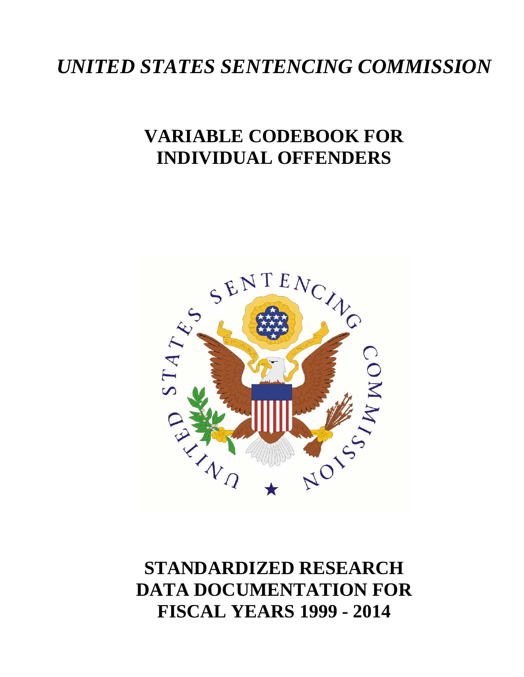# *UNITED STATES SENTENCING COMMISSION*

# **VARIABLE CODEBOOK FOR INDIVIDUAL OFFENDERS**



# **STANDARDIZED RESEARCH DATA DOCUMENTATION FOR FISCAL YEARS 1999 - 2014**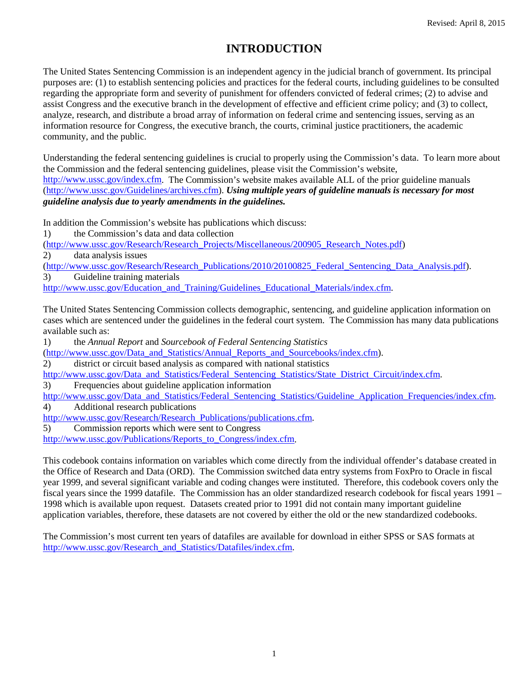# **INTRODUCTION**

The United States Sentencing Commission is an independent agency in the judicial branch of government. Its principal purposes are: (1) to establish sentencing policies and practices for the federal courts, including guidelines to be consulted regarding the appropriate form and severity of punishment for offenders convicted of federal crimes; (2) to advise and assist Congress and the executive branch in the development of effective and efficient crime policy; and (3) to collect, analyze, research, and distribute a broad array of information on federal crime and sentencing issues, serving as an information resource for Congress, the executive branch, the courts, criminal justice practitioners, the academic community, and the public.

Understanding the federal sentencing guidelines is crucial to properly using the Commission's data. To learn more about the Commission and the federal sentencing guidelines, please visit the Commission's website, [http://www.ussc.gov/index.cfm.](http://www.ussc.gov/index.cfm) The Commission's website makes available ALL of the prior guideline manuals [\(http://www.ussc.gov/Guidelines/archives.cfm\)](http://www.ussc.gov/Guidelines/archives.cfm). *Using multiple years of guideline manuals is necessary for most guideline analysis due to yearly amendments in the guidelines.*

In addition the Commission's website has publications which discuss:

1) the Commission's data and data collection

[\(http://www.ussc.gov/Research/Research\\_Projects/Miscellaneous/200905\\_Research\\_Notes.pdf\)](http://www.ussc.gov/Research/Research_Projects/Miscellaneous/200905_Research_Notes.pdf)

2) data analysis issues

[\(http://www.ussc.gov/Research/Research\\_Publications/2010/20100825\\_Federal\\_Sentencing\\_Data\\_Analysis.pdf\)](http://www.ussc.gov/Research/Research_Publications/2010/20100825_Federal_Sentencing_Data_Analysis.pdf).

3) Guideline training materials

[http://www.ussc.gov/Education\\_and\\_Training/Guidelines\\_Educational\\_Materials/index.cfm.](http://www.ussc.gov/Education_and_Training/Guidelines_Educational_Materials/index.cfm)

The United States Sentencing Commission collects demographic, sentencing, and guideline application information on cases which are sentenced under the guidelines in the federal court system. The Commission has many data publications available such as:

1) the *Annual Report* and *Sourcebook of Federal Sentencing Statistics*

[\(http://www.ussc.gov/Data\\_and\\_Statistics/Annual\\_Reports\\_and\\_Sourcebooks/index.cfm\)](http://www.ussc.gov/Data_and_Statistics/Annual_Reports_and_Sourcebooks/index.cfm).

2) district or circuit based analysis as compared with national statistics

[http://www.ussc.gov/Data\\_and\\_Statistics/Federal\\_Sentencing\\_Statistics/State\\_District\\_Circuit/index.cfm.](http://www.ussc.gov/Data_and_Statistics/Federal_Sentencing_Statistics/State_District_Circuit/index.cfm)

3) Frequencies about guideline application information

[http://www.ussc.gov/Data\\_and\\_Statistics/Federal\\_Sentencing\\_Statistics/Guideline\\_Application\\_Frequencies/index.cfm.](http://www.ussc.gov/Data_and_Statistics/Federal_Sentencing_Statistics/Guideline_Application_Frequencies/index.cfm)  4) Additional research publications

[http://www.ussc.gov/Research/Research\\_Publications/publications.cfm.](http://www.ussc.gov/Research/Research_Publications/publications.cfm)

5) Commission reports which were sent to Congress

http://www.ussc.gov/Publications/Reports to Congress/index.cfm.

This codebook contains information on variables which come directly from the individual offender's database created in the Office of Research and Data (ORD). The Commission switched data entry systems from FoxPro to Oracle in fiscal year 1999, and several significant variable and coding changes were instituted. Therefore, this codebook covers only the fiscal years since the 1999 datafile. The Commission has an older standardized research codebook for fiscal years 1991 – 1998 which is available upon request. Datasets created prior to 1991 did not contain many important guideline application variables, therefore, these datasets are not covered by either the old or the new standardized codebooks.

The Commission's most current ten years of datafiles are available for download in either SPSS or SAS formats at [http://www.ussc.gov/Research\\_and\\_Statistics/Datafiles/index.cfm.](http://www.ussc.gov/Research_and_Statistics/Datafiles/index.cfm)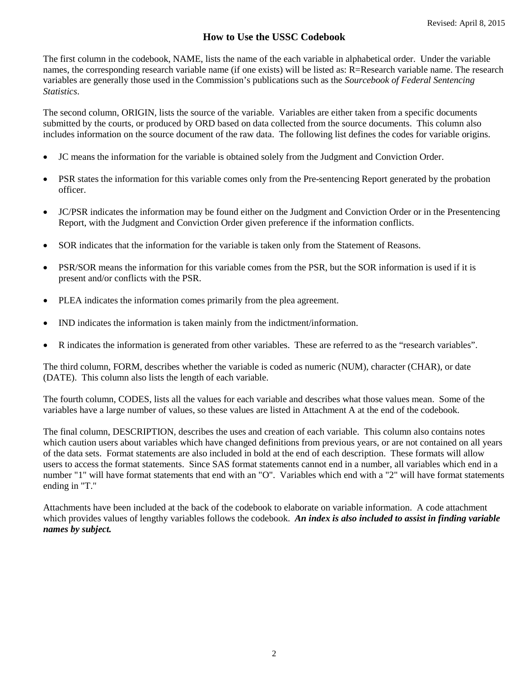# **How to Use the USSC Codebook**

The first column in the codebook, NAME, lists the name of the each variable in alphabetical order. Under the variable names, the corresponding research variable name (if one exists) will be listed as: R=Research variable name. The research variables are generally those used in the Commission's publications such as the *Sourcebook of Federal Sentencing Statistics*.

The second column, ORIGIN, lists the source of the variable. Variables are either taken from a specific documents submitted by the courts, or produced by ORD based on data collected from the source documents. This column also includes information on the source document of the raw data. The following list defines the codes for variable origins.

- JC means the information for the variable is obtained solely from the Judgment and Conviction Order.
- PSR states the information for this variable comes only from the Pre-sentencing Report generated by the probation officer.
- JC/PSR indicates the information may be found either on the Judgment and Conviction Order or in the Presentencing Report, with the Judgment and Conviction Order given preference if the information conflicts.
- SOR indicates that the information for the variable is taken only from the Statement of Reasons.
- PSR/SOR means the information for this variable comes from the PSR, but the SOR information is used if it is present and/or conflicts with the PSR.
- PLEA indicates the information comes primarily from the plea agreement.
- IND indicates the information is taken mainly from the indictment/information.
- R indicates the information is generated from other variables. These are referred to as the "research variables".

The third column, FORM, describes whether the variable is coded as numeric (NUM), character (CHAR), or date (DATE). This column also lists the length of each variable.

The fourth column, CODES, lists all the values for each variable and describes what those values mean. Some of the variables have a large number of values, so these values are listed in Attachment A at the end of the codebook.

The final column, DESCRIPTION, describes the uses and creation of each variable. This column also contains notes which caution users about variables which have changed definitions from previous years, or are not contained on all years of the data sets. Format statements are also included in bold at the end of each description. These formats will allow users to access the format statements. Since SAS format statements cannot end in a number, all variables which end in a number "1" will have format statements that end with an "O". Variables which end with a "2" will have format statements ending in "T."

Attachments have been included at the back of the codebook to elaborate on variable information. A code attachment which provides values of lengthy variables follows the codebook. An index is also included to assist in finding variable *names by subject.*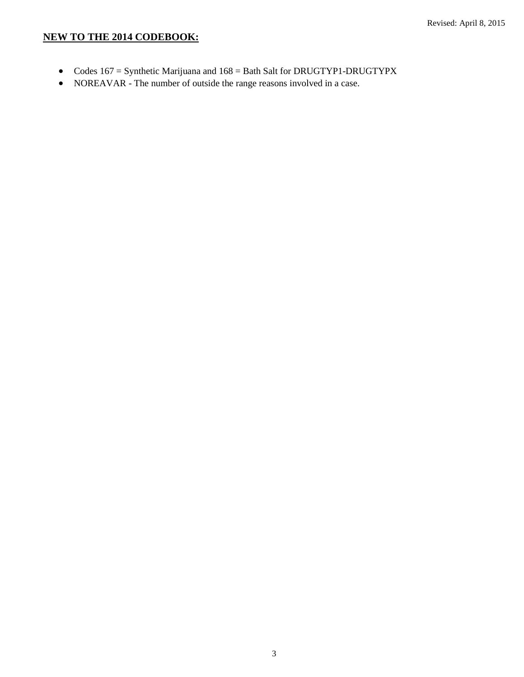## **NEW TO THE 2014 CODEBOOK:**

- Codes 167 = Synthetic Marijuana and 168 = Bath Salt for DRUGTYP1-DRUGTYPX
- NOREAVAR The number of outside the range reasons involved in a case.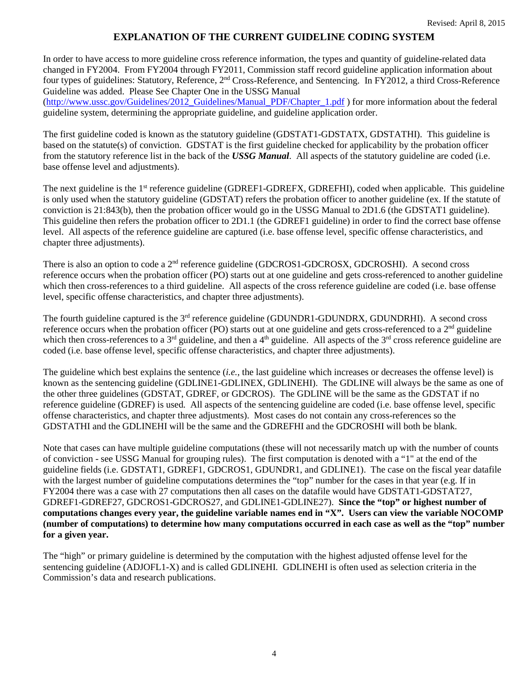## **EXPLANATION OF THE CURRENT GUIDELINE CODING SYSTEM**

In order to have access to more guideline cross reference information, the types and quantity of guideline-related data changed in FY2004. From FY2004 through FY2011, Commission staff record guideline application information about four types of guidelines: Statutory, Reference, 2nd Cross-Reference, and Sentencing. In FY2012, a third Cross-Reference Guideline was added. Please See Chapter One in the USSG Manual

[\(http://www.ussc.gov/Guidelines/2012\\_Guidelines/Manual\\_PDF/Chapter\\_1.pdf](http://www.ussc.gov/Guidelines/2012_Guidelines/Manual_PDF/Chapter_1.pdf) ) for more information about the federal guideline system, determining the appropriate guideline, and guideline application order.

The first guideline coded is known as the statutory guideline (GDSTAT1-GDSTATX, GDSTATHI). This guideline is based on the statute(s) of conviction. GDSTAT is the first guideline checked for applicability by the probation officer from the statutory reference list in the back of the *USSG Manual*. All aspects of the statutory guideline are coded (i.e. base offense level and adjustments).

The next guideline is the 1<sup>st</sup> reference guideline (GDREF1-GDREFX, GDREFHI), coded when applicable. This guideline is only used when the statutory guideline (GDSTAT) refers the probation officer to another guideline (ex. If the statute of conviction is 21:843(b), then the probation officer would go in the USSG Manual to 2D1.6 (the GDSTAT1 guideline). This guideline then refers the probation officer to 2D1.1 (the GDREF1 guideline) in order to find the correct base offense level. All aspects of the reference guideline are captured (i.e. base offense level, specific offense characteristics, and chapter three adjustments).

There is also an option to code a  $2<sup>nd</sup>$  reference guideline (GDCROS1-GDCROSX, GDCROSHI). A second cross reference occurs when the probation officer (PO) starts out at one guideline and gets cross-referenced to another guideline which then cross-references to a third guideline. All aspects of the cross reference guideline are coded (i.e. base offense level, specific offense characteristics, and chapter three adjustments).

The fourth guideline captured is the 3<sup>rd</sup> reference guideline (GDUNDR1-GDUNDRX, GDUNDRHI). A second cross reference occurs when the probation officer (PO) starts out at one guideline and gets cross-referenced to a  $2<sup>nd</sup>$  guideline which then cross-references to a  $3<sup>rd</sup>$  guideline, and then a  $4<sup>th</sup>$  guideline. All aspects of the  $3<sup>rd</sup>$  cross reference guideline are coded (i.e. base offense level, specific offense characteristics, and chapter three adjustments).

The guideline which best explains the sentence (*i.e.*, the last guideline which increases or decreases the offense level) is known as the sentencing guideline (GDLINE1-GDLINEX, GDLINEHI). The GDLINE will always be the same as one of the other three guidelines (GDSTAT, GDREF, or GDCROS). The GDLINE will be the same as the GDSTAT if no reference guideline (GDREF) is used. All aspects of the sentencing guideline are coded (i.e. base offense level, specific offense characteristics, and chapter three adjustments). Most cases do not contain any cross-references so the GDSTATHI and the GDLINEHI will be the same and the GDREFHI and the GDCROSHI will both be blank.

Note that cases can have multiple guideline computations (these will not necessarily match up with the number of counts of conviction - see USSG Manual for grouping rules). The first computation is denoted with a "1" at the end of the guideline fields (i.e. GDSTAT1, GDREF1, GDCROS1, GDUNDR1, and GDLINE1). The case on the fiscal year datafile with the largest number of guideline computations determines the "top" number for the cases in that year (e.g. If in FY2004 there was a case with 27 computations then all cases on the datafile would have GDSTAT1-GDSTAT27, GDREF1-GDREF27, GDCROS1-GDCROS27, and GDLINE1-GDLINE27). **Since the "top" or highest number of computations changes every year, the guideline variable names end in "X". Users can view the variable NOCOMP (number of computations) to determine how many computations occurred in each case as well as the "top" number for a given year.**

The "high" or primary guideline is determined by the computation with the highest adjusted offense level for the sentencing guideline (ADJOFL1-X) and is called GDLINEHI. GDLINEHI is often used as selection criteria in the Commission's data and research publications.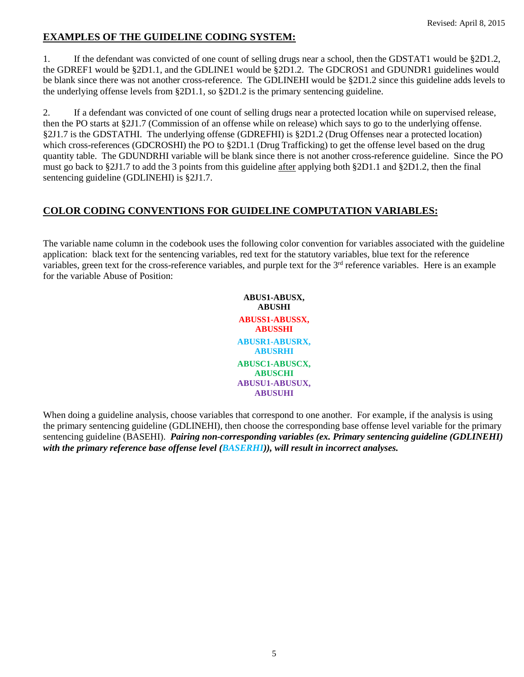# **EXAMPLES OF THE GUIDELINE CODING SYSTEM:**

1. If the defendant was convicted of one count of selling drugs near a school, then the GDSTAT1 would be §2D1.2, the GDREF1 would be §2D1.1, and the GDLINE1 would be §2D1.2. The GDCROS1 and GDUNDR1 guidelines would be blank since there was not another cross-reference. The GDLINEHI would be §2D1.2 since this guideline adds levels to the underlying offense levels from §2D1.1, so §2D1.2 is the primary sentencing guideline.

2. If a defendant was convicted of one count of selling drugs near a protected location while on supervised release, then the PO starts at §2J1.7 (Commission of an offense while on release) which says to go to the underlying offense. §2J1.7 is the GDSTATHI. The underlying offense (GDREFHI) is §2D1.2 (Drug Offenses near a protected location) which cross-references (GDCROSHI) the PO to  $\S2D1.1$  (Drug Trafficking) to get the offense level based on the drug quantity table. The GDUNDRHI variable will be blank since there is not another cross-reference guideline. Since the PO must go back to §2J1.7 to add the 3 points from this guideline after applying both §2D1.1 and §2D1.2, then the final sentencing guideline (GDLINEHI) is §2J1.7.

# **COLOR CODING CONVENTIONS FOR GUIDELINE COMPUTATION VARIABLES:**

The variable name column in the codebook uses the following color convention for variables associated with the guideline application: black text for the sentencing variables, red text for the statutory variables, blue text for the reference variables, green text for the cross-reference variables, and purple text for the 3<sup>rd</sup> reference variables. Here is an example for the variable Abuse of Position:

> **ABUS1-ABUSX, ABUSHI ABUSS1-ABUSSX, ABUSSHI ABUSR1-ABUSRX, ABUSRHI ABUSC1-ABUSCX, ABUSCHI ABUSU1-ABUSUX, ABUSUHI**

When doing a guideline analysis, choose variables that correspond to one another. For example, if the analysis is using the primary sentencing guideline (GDLINEHI), then choose the corresponding base offense level variable for the primary sentencing guideline (BASEHI). *Pairing non-corresponding variables (ex. Primary sentencing guideline (GDLINEHI) with the primary reference base offense level (BASERHI)), will result in incorrect analyses.*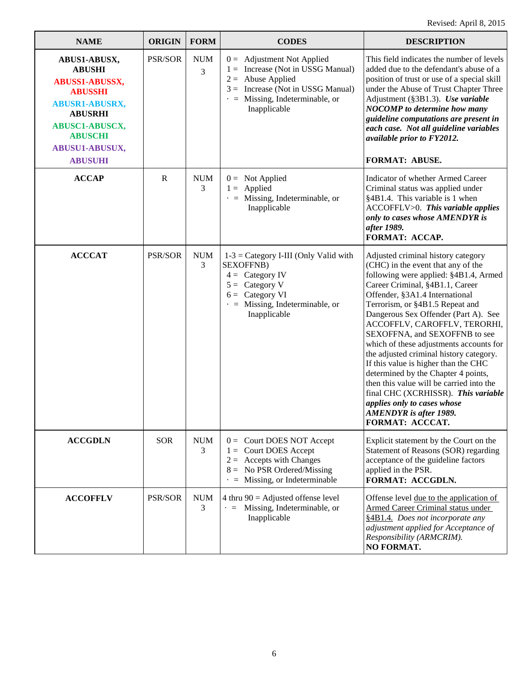| <b>NAME</b>                                                                                                                                                                                        | <b>ORIGIN</b>  | <b>FORM</b>     | <b>CODES</b>                                                                                                                                                                               | <b>DESCRIPTION</b>                                                                                                                                                                                                                                                                                                                                                                                                                                                                                                                                                                                                                                                            |
|----------------------------------------------------------------------------------------------------------------------------------------------------------------------------------------------------|----------------|-----------------|--------------------------------------------------------------------------------------------------------------------------------------------------------------------------------------------|-------------------------------------------------------------------------------------------------------------------------------------------------------------------------------------------------------------------------------------------------------------------------------------------------------------------------------------------------------------------------------------------------------------------------------------------------------------------------------------------------------------------------------------------------------------------------------------------------------------------------------------------------------------------------------|
| ABUS1-ABUSX,<br><b>ABUSHI</b><br>ABUSS1-ABUSSX,<br><b>ABUSSHI</b><br><b>ABUSR1-ABUSRX,</b><br><b>ABUSRHI</b><br><b>ABUSC1-ABUSCX,</b><br><b>ABUSCHI</b><br><b>ABUSU1-ABUSUX,</b><br><b>ABUSUHI</b> | PSR/SOR        | <b>NUM</b><br>3 | $0 =$ Adjustment Not Applied<br>$1 =$ Increase (Not in USSG Manual)<br>$2 =$ Abuse Applied<br>$3 =$ Increase (Not in USSG Manual)<br>$\cdot$ = Missing, Indeterminable, or<br>Inapplicable | This field indicates the number of levels<br>added due to the defendant's abuse of a<br>position of trust or use of a special skill<br>under the Abuse of Trust Chapter Three<br>Adjustment (§3B1.3). Use variable<br><b>NOCOMP</b> to determine how many<br>guideline computations are present in<br>each case. Not all guideline variables<br>available prior to FY2012.<br>FORMAT: ABUSE.                                                                                                                                                                                                                                                                                  |
| <b>ACCAP</b>                                                                                                                                                                                       | $\mathbf R$    | <b>NUM</b><br>3 | $0 =$ Not Applied<br>$1 =$ Applied<br>$\cdot$ = Missing, Indeterminable, or<br>Inapplicable                                                                                                | Indicator of whether Armed Career<br>Criminal status was applied under<br>§4B1.4. This variable is 1 when<br>ACCOFFLV>0. This variable applies<br>only to cases whose AMENDYR is<br>after 1989.<br>FORMAT: ACCAP.                                                                                                                                                                                                                                                                                                                                                                                                                                                             |
| <b>ACCCAT</b>                                                                                                                                                                                      | <b>PSR/SOR</b> | $\rm{NUM}$<br>3 | $1-3 =$ Category I-III (Only Valid with<br><b>SEXOFFNB</b> )<br>$4 =$ Category IV<br>$5 =$ Category V<br>$6 =$ Category VI<br>$\cdot$ = Missing, Indeterminable, or<br>Inapplicable        | Adjusted criminal history category<br>(CHC) in the event that any of the<br>following were applied: §4B1.4, Armed<br>Career Criminal, §4B1.1, Career<br>Offender, §3A1.4 International<br>Terrorism, or §4B1.5 Repeat and<br>Dangerous Sex Offender (Part A). See<br>ACCOFFLV, CAROFFLV, TERORHI,<br>SEXOFFNA, and SEXOFFNB to see<br>which of these adjustments accounts for<br>the adjusted criminal history category.<br>If this value is higher than the CHC<br>determined by the Chapter 4 points,<br>then this value will be carried into the<br>final CHC (XCRHISSR). This variable<br>applies only to cases whose<br><b>AMENDYR</b> is after 1989.<br>FORMAT: ACCCAT. |
| <b>ACCGDLN</b>                                                                                                                                                                                     | <b>SOR</b>     | <b>NUM</b><br>3 | $0 =$ Court DOES NOT Accept<br>$1 =$ Court DOES Accept<br>$2 =$ Accepts with Changes<br>$8 =$ No PSR Ordered/Missing<br>$\cdot$ = Missing, or Indeterminable                               | Explicit statement by the Court on the<br>Statement of Reasons (SOR) regarding<br>acceptance of the guideline factors<br>applied in the PSR.<br>FORMAT: ACCGDLN.                                                                                                                                                                                                                                                                                                                                                                                                                                                                                                              |
| <b>ACCOFFLV</b>                                                                                                                                                                                    | <b>PSR/SOR</b> | <b>NUM</b><br>3 | 4 thru $90$ = Adjusted offense level<br>$\cdot$ = Missing, Indeterminable, or<br>Inapplicable                                                                                              | Offense level due to the application of<br>Armed Career Criminal status under<br>§4B1.4. Does not incorporate any<br>adjustment applied for Acceptance of<br>Responsibility (ARMCRIM).<br>NO FORMAT.                                                                                                                                                                                                                                                                                                                                                                                                                                                                          |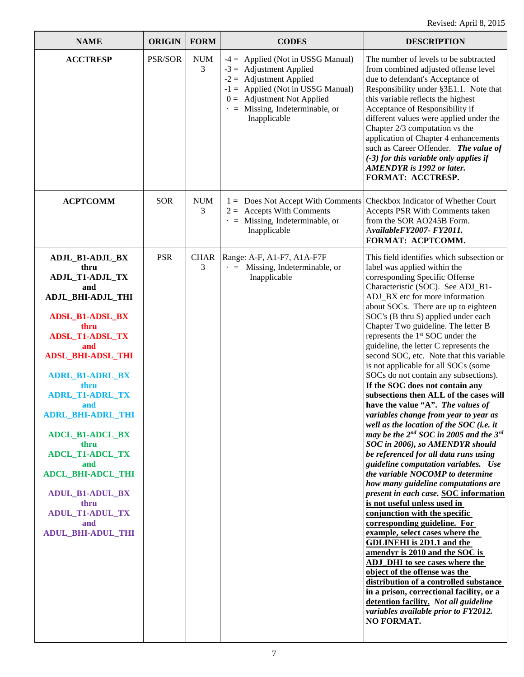| <b>NAME</b>                                                                                                                                                                                                                                                                                                                                                                                                                                                               | <b>ORIGIN</b>  | <b>FORM</b>     | <b>CODES</b>                                                                                                                                                                                                                  | <b>DESCRIPTION</b>                                                                                                                                                                                                                                                                                                                                                                                                                                                                                                                                                                                                                                                                                                                                                                                                                                                                                                                                                                                                                                                                                                                                                                                                                                                                                                                                                                                                                                                                                    |
|---------------------------------------------------------------------------------------------------------------------------------------------------------------------------------------------------------------------------------------------------------------------------------------------------------------------------------------------------------------------------------------------------------------------------------------------------------------------------|----------------|-----------------|-------------------------------------------------------------------------------------------------------------------------------------------------------------------------------------------------------------------------------|-------------------------------------------------------------------------------------------------------------------------------------------------------------------------------------------------------------------------------------------------------------------------------------------------------------------------------------------------------------------------------------------------------------------------------------------------------------------------------------------------------------------------------------------------------------------------------------------------------------------------------------------------------------------------------------------------------------------------------------------------------------------------------------------------------------------------------------------------------------------------------------------------------------------------------------------------------------------------------------------------------------------------------------------------------------------------------------------------------------------------------------------------------------------------------------------------------------------------------------------------------------------------------------------------------------------------------------------------------------------------------------------------------------------------------------------------------------------------------------------------------|
| <b>ACCTRESP</b>                                                                                                                                                                                                                                                                                                                                                                                                                                                           | <b>PSR/SOR</b> | <b>NUM</b><br>3 | $-4 =$ Applied (Not in USSG Manual)<br>$-3 =$ Adjustment Applied<br>$-2 =$ Adjustment Applied<br>$-1 =$ Applied (Not in USSG Manual)<br>$0 =$ Adjustment Not Applied<br>$\cdot$ = Missing, Indeterminable, or<br>Inapplicable | The number of levels to be subtracted<br>from combined adjusted offense level<br>due to defendant's Acceptance of<br>Responsibility under §3E1.1. Note that<br>this variable reflects the highest<br>Acceptance of Responsibility if<br>different values were applied under the<br>Chapter 2/3 computation vs the<br>application of Chapter 4 enhancements<br>such as Career Offender. The value of<br>$(-3)$ for this variable only applies if<br><b>AMENDYR</b> is 1992 or later.<br>FORMAT: ACCTRESP.                                                                                                                                                                                                                                                                                                                                                                                                                                                                                                                                                                                                                                                                                                                                                                                                                                                                                                                                                                                              |
| <b>ACPTCOMM</b>                                                                                                                                                                                                                                                                                                                                                                                                                                                           | <b>SOR</b>     | <b>NUM</b><br>3 | 1 = Does Not Accept With Comments   Checkbox Indicator of Whether Court<br>$2 =$ Accepts With Comments<br>$\cdot$ = Missing, Indeterminable, or<br>Inapplicable                                                               | Accepts PSR With Comments taken<br>from the SOR AO245B Form.<br>AvailableFY2007- FY2011.<br>FORMAT: ACPTCOMM.                                                                                                                                                                                                                                                                                                                                                                                                                                                                                                                                                                                                                                                                                                                                                                                                                                                                                                                                                                                                                                                                                                                                                                                                                                                                                                                                                                                         |
| ADJL_B1-ADJL_BX<br>thru<br>ADJL_T1-ADJL_TX<br>and<br><b>ADJL_BHI-ADJL_THI</b><br><b>ADSL_B1-ADSL_BX</b><br>thru<br><b>ADSL_T1-ADSL_TX</b><br>and<br><b>ADSL_BHI-ADSL_THI</b><br><b>ADRL_B1-ADRL_BX</b><br>thru<br><b>ADRL_T1-ADRL_TX</b><br>and<br><b>ADRL BHI-ADRL THI</b><br><b>ADCL_B1-ADCL_BX</b><br>thru<br><b>ADCL_T1-ADCL_TX</b><br>and<br><b>ADCL_BHI-ADCL_THI</b><br><b>ADUL_B1-ADUL_BX</b><br>thru<br><b>ADUL_T1-ADUL_TX</b><br>and<br><b>ADUL_BHI-ADUL_THI</b> | <b>PSR</b>     | 3               | CHAR   Range: A-F, A1-F7, A1A-F7F<br>$\cdot$ = Missing, Indeterminable, or<br>Inapplicable                                                                                                                                    | This field identifies which subsection or<br>label was applied within the<br>corresponding Specific Offense<br>Characteristic (SOC). See ADJ_B1-<br>ADJ_BX etc for more information<br>about SOCs. There are up to eighteen<br>SOC's (B thru S) applied under each<br>Chapter Two guideline. The letter B<br>represents the 1 <sup>st</sup> SOC under the<br>guideline, the letter C represents the<br>second SOC, etc. Note that this variable<br>is not applicable for all SOCs (some<br>SOCs do not contain any subsections).<br>If the SOC does not contain any<br>subsections then ALL of the cases will<br>have the value "A". The values of<br>variables change from year to year as<br>well as the location of the SOC (i.e. it<br>may be the $2^{nd}$ SOC in 2005 and the $3^{rd}$<br>SOC in 2006), so AMENDYR should<br>be referenced for all data runs using<br>guideline computation variables. Use<br>the variable NOCOMP to determine<br>how many guideline computations are<br>present in each case. SOC information<br>is not useful unless used in<br>conjunction with the specific<br>corresponding guideline. For<br>example, select cases where the<br><b>GDLINEHI</b> is 2D1.1 and the<br>amendyr is 2010 and the SOC is<br>ADJ_DHI to see cases where the<br>object of the offense was the<br>distribution of a controlled substance<br>in a prison, correctional facility, or a<br>detention facility. Not all guideline<br>variables available prior to FY2012.<br>NO FORMAT. |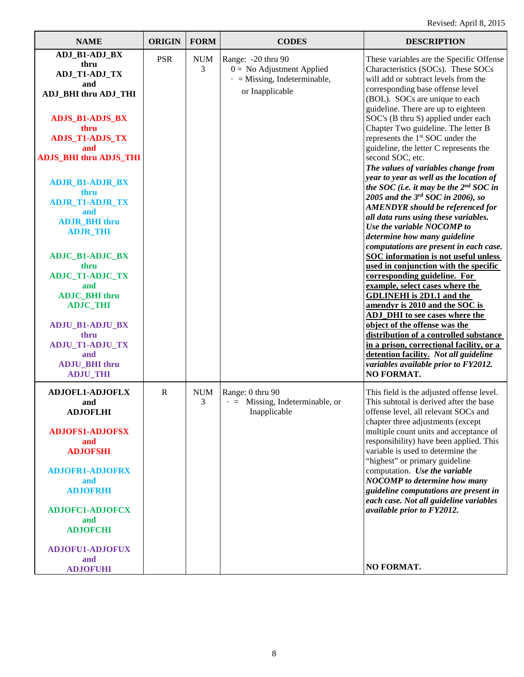| <b>NAME</b>                                                                                                                                                                                                                                                                                                                                                                                                                                                                                                                | <b>ORIGIN</b> | <b>FORM</b>     | <b>CODES</b>                                                                                               | <b>DESCRIPTION</b>                                                                                                                                                                                                                                                                                                                                                                                                                                                                                                                                                                                                                                                                                                                                                                                                                                                                                                                                                                                                                                                                                                                                                                                                                                                                                 |
|----------------------------------------------------------------------------------------------------------------------------------------------------------------------------------------------------------------------------------------------------------------------------------------------------------------------------------------------------------------------------------------------------------------------------------------------------------------------------------------------------------------------------|---------------|-----------------|------------------------------------------------------------------------------------------------------------|----------------------------------------------------------------------------------------------------------------------------------------------------------------------------------------------------------------------------------------------------------------------------------------------------------------------------------------------------------------------------------------------------------------------------------------------------------------------------------------------------------------------------------------------------------------------------------------------------------------------------------------------------------------------------------------------------------------------------------------------------------------------------------------------------------------------------------------------------------------------------------------------------------------------------------------------------------------------------------------------------------------------------------------------------------------------------------------------------------------------------------------------------------------------------------------------------------------------------------------------------------------------------------------------------|
| ADJ_B1-ADJ_BX<br>thru<br>ADJ_T1-ADJ_TX<br>and<br><b>ADJ_BHI</b> thru ADJ_THI<br><b>ADJS_B1-ADJS_BX</b><br>thru<br><b>ADJS_T1-ADJS_TX</b><br>and<br><b>ADJS_BHI thru ADJS_THI</b><br><b>ADJR_B1-ADJR_BX</b><br>thru<br><b>ADJR_T1-ADJR_TX</b><br>and<br><b>ADJR_BHI</b> thru<br><b>ADJR_THI</b><br><b>ADJC_B1-ADJC_BX</b><br>thru<br><b>ADJC_T1-ADJC_TX</b><br>and<br><b>ADJC_BHI</b> thru<br><b>ADJC_THI</b><br><b>ADJU_B1-ADJU_BX</b><br>thru<br><b>ADJU_T1-ADJU_TX</b><br>and<br><b>ADJU_BHI</b> thru<br><b>ADJU_THI</b> | <b>PSR</b>    | <b>NUM</b><br>3 | Range: -20 thru 90<br>$0 =$ No Adjustment Applied<br>$\cdot$ = Missing, Indeterminable,<br>or Inapplicable | These variables are the Specific Offense<br>Characteristics (SOCs). These SOCs<br>will add or subtract levels from the<br>corresponding base offense level<br>(BOL). SOCs are unique to each<br>guideline. There are up to eighteen<br>SOC's (B thru S) applied under each<br>Chapter Two guideline. The letter B<br>represents the 1 <sup>st</sup> SOC under the<br>guideline, the letter C represents the<br>second SOC, etc.<br>The values of variables change from<br>year to year as well as the location of<br>the SOC (i.e. it may be the $2^{nd}$ SOC in<br>2005 and the $3rd$ SOC in 2006), so<br><b>AMENDYR</b> should be referenced for<br>all data runs using these variables.<br>Use the variable NOCOMP to<br>determine how many guideline<br>computations are present in each case.<br><b>SOC</b> information is not useful unless<br>used in conjunction with the specific<br>corresponding guideline. For<br>example, select cases where the<br><b>GDLINEHI</b> is 2D1.1 and the<br>amendyr is 2010 and the SOC is<br><b>ADJ_DHI</b> to see cases where the<br>object of the offense was the<br>distribution of a controlled substance<br>in a prison, correctional facility, or a<br>detention facility. Not all guideline<br>variables available prior to FY2012.<br>NO FORMAT. |
| <b>ADJOFL1-ADJOFLX</b><br>and<br>ADJOFLHI<br><b>ADJOFS1-ADJOFSX</b><br>and<br><b>ADJOFSHI</b><br><b>ADJOFR1-ADJOFRX</b><br>and<br><b>ADJOFRHI</b><br><b>ADJOFC1-ADJOFCX</b><br>and<br><b>ADJOFCHI</b><br><b>ADJOFU1-ADJOFUX</b><br>and<br><b>ADJOFUHI</b>                                                                                                                                                                                                                                                                  | $\mathbf R$   | <b>NUM</b><br>3 | Range: 0 thru 90<br>$\cdot$ = Missing, Indeterminable, or<br>Inapplicable                                  | This field is the adjusted offense level.<br>This subtotal is derived after the base<br>offense level, all relevant SOCs and<br>chapter three adjustments (except<br>multiple count units and acceptance of<br>responsibility) have been applied. This<br>variable is used to determine the<br>"highest" or primary guideline<br>computation. Use the variable<br><b>NOCOMP</b> to determine how many<br>guideline computations are present in<br>each case. Not all guideline variables<br>available prior to FY2012.<br>NO FORMAT.                                                                                                                                                                                                                                                                                                                                                                                                                                                                                                                                                                                                                                                                                                                                                               |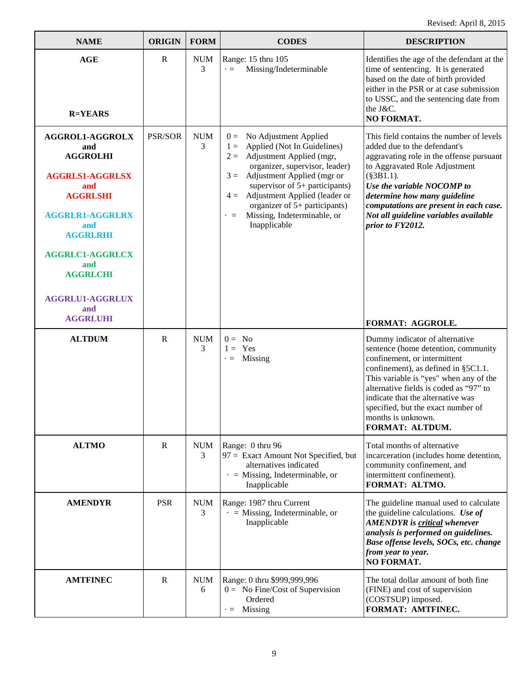| <b>NAME</b>                                                                                                                                                                                                                            | <b>ORIGIN</b>  | <b>FORM</b>     | <b>CODES</b>                                                                                                                                                                                                                                                                                                                                                 | <b>DESCRIPTION</b>                                                                                                                                                                                                                                                                                                                                   |
|----------------------------------------------------------------------------------------------------------------------------------------------------------------------------------------------------------------------------------------|----------------|-----------------|--------------------------------------------------------------------------------------------------------------------------------------------------------------------------------------------------------------------------------------------------------------------------------------------------------------------------------------------------------------|------------------------------------------------------------------------------------------------------------------------------------------------------------------------------------------------------------------------------------------------------------------------------------------------------------------------------------------------------|
| <b>AGE</b><br><b>R=YEARS</b>                                                                                                                                                                                                           | R              | <b>NUM</b><br>3 | Range: 15 thru 105<br>Missing/Indeterminable<br>$\cdot =$                                                                                                                                                                                                                                                                                                    | Identifies the age of the defendant at the<br>time of sentencing. It is generated<br>based on the date of birth provided<br>either in the PSR or at case submission<br>to USSC, and the sentencing date from<br>the J&C.<br>NO FORMAT.                                                                                                               |
| AGGROL1-AGGROLX<br>and<br><b>AGGROLHI</b><br><b>AGGRLS1-AGGRLSX</b><br>and<br><b>AGGRLSHI</b><br><b>AGGRLR1-AGGRLRX</b><br>and<br><b>AGGRLRHI</b><br><b>AGGRLC1-AGGRLCX</b><br>and<br><b>AGGRLCHI</b><br><b>AGGRLU1-AGGRLUX</b><br>and | <b>PSR/SOR</b> | <b>NUM</b><br>3 | No Adjustment Applied<br>$0 =$<br>Applied (Not In Guidelines)<br>$1 =$<br>Adjustment Applied (mgr,<br>$2 =$<br>organizer, supervisor, leader)<br>$3 =$ Adjustment Applied (mgr or<br>supervisor of $5+$ participants)<br>Adjustment Applied (leader or<br>$4 =$<br>organizer of 5+ participants)<br>Missing, Indeterminable, or<br>$\cdot =$<br>Inapplicable | This field contains the number of levels<br>added due to the defendant's<br>aggravating role in the offense pursuant<br>to Aggravated Role Adjustment<br>$(\$3B1.1).$<br>Use the variable NOCOMP to<br>determine how many guideline<br>computations are present in each case.<br>Not all guideline variables available<br>prior to FY2012.           |
| <b>AGGRLUHI</b>                                                                                                                                                                                                                        |                |                 |                                                                                                                                                                                                                                                                                                                                                              | FORMAT: AGGROLE.                                                                                                                                                                                                                                                                                                                                     |
| <b>ALTDUM</b>                                                                                                                                                                                                                          | $\mathbf R$    | <b>NUM</b><br>3 | $0 = No$<br>$1 = \text{Yes}$<br>$\cdot$ = Missing                                                                                                                                                                                                                                                                                                            | Dummy indicator of alternative<br>sentence (home detention, community<br>confinement, or intermittent<br>confinement), as defined in §5C1.1.<br>This variable is "yes" when any of the<br>alternative fields is coded as "97" to<br>indicate that the alternative was<br>specified, but the exact number of<br>months is unknown.<br>FORMAT: ALTDUM. |
| <b>ALTMO</b>                                                                                                                                                                                                                           | R              | <b>NUM</b><br>3 | Range: 0 thru 96<br>97 = Exact Amount Not Specified, but<br>alternatives indicated<br>$\cdot$ = Missing, Indeterminable, or<br>Inapplicable                                                                                                                                                                                                                  | Total months of alternative<br>incarceration (includes home detention,<br>community confinement, and<br>intermittent confinement).<br>FORMAT: ALTMO.                                                                                                                                                                                                 |
| <b>AMENDYR</b>                                                                                                                                                                                                                         | <b>PSR</b>     | <b>NUM</b><br>3 | Range: 1987 thru Current<br>$\cdot$ = Missing, Indeterminable, or<br>Inapplicable                                                                                                                                                                                                                                                                            | The guideline manual used to calculate<br>the guideline calculations. Use of<br><b>AMENDYR</b> is <b>critical</b> whenever<br>analysis is performed on guidelines.<br>Base offense levels, SOCs, etc. change<br>from year to year.<br><b>NO FORMAT.</b>                                                                                              |
| <b>AMTFINEC</b>                                                                                                                                                                                                                        | R              | <b>NUM</b><br>6 | Range: 0 thru \$999,999,996<br>$0 =$ No Fine/Cost of Supervision<br>Ordered<br>$\cdot =$ Missing                                                                                                                                                                                                                                                             | The total dollar amount of both fine<br>(FINE) and cost of supervision<br>(COSTSUP) imposed.<br>FORMAT: AMTFINEC.                                                                                                                                                                                                                                    |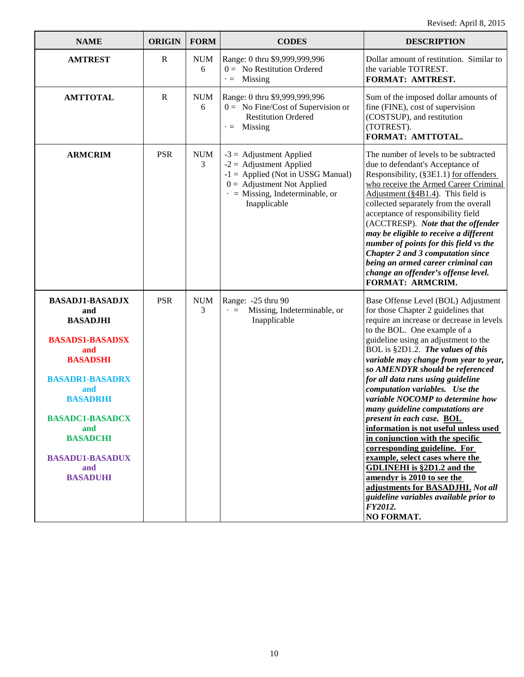| <b>NAME</b>                                                                                                                                                                                                                                                      | <b>ORIGIN</b> | <b>FORM</b>     | <b>CODES</b>                                                                                                                                                                           | <b>DESCRIPTION</b>                                                                                                                                                                                                                                                                                                                                                                                                                                                                                                                                                                                                                                                                                                                                                                                                      |
|------------------------------------------------------------------------------------------------------------------------------------------------------------------------------------------------------------------------------------------------------------------|---------------|-----------------|----------------------------------------------------------------------------------------------------------------------------------------------------------------------------------------|-------------------------------------------------------------------------------------------------------------------------------------------------------------------------------------------------------------------------------------------------------------------------------------------------------------------------------------------------------------------------------------------------------------------------------------------------------------------------------------------------------------------------------------------------------------------------------------------------------------------------------------------------------------------------------------------------------------------------------------------------------------------------------------------------------------------------|
| <b>AMTREST</b>                                                                                                                                                                                                                                                   | $\mathbf R$   | <b>NUM</b><br>6 | Range: 0 thru \$9,999,999,996<br>$0 =$ No Restitution Ordered<br>$\cdot =$ Missing                                                                                                     | Dollar amount of restitution. Similar to<br>the variable TOTREST.<br>FORMAT: AMTREST.                                                                                                                                                                                                                                                                                                                                                                                                                                                                                                                                                                                                                                                                                                                                   |
| <b>AMTTOTAL</b>                                                                                                                                                                                                                                                  | $\mathbf R$   | <b>NUM</b><br>6 | Range: 0 thru \$9,999,999,996<br>$0 = No Fine/Cost of Supervision or$<br><b>Restitution Ordered</b><br>$\cdot$ = Missing                                                               | Sum of the imposed dollar amounts of<br>fine (FINE), cost of supervision<br>(COSTSUP), and restitution<br>(TOTREST).<br>FORMAT: AMTTOTAL.                                                                                                                                                                                                                                                                                                                                                                                                                                                                                                                                                                                                                                                                               |
| <b>ARMCRIM</b>                                                                                                                                                                                                                                                   | <b>PSR</b>    | <b>NUM</b><br>3 | $-3$ = Adjustment Applied<br>$-2$ = Adjustment Applied<br>$-1$ = Applied (Not in USSG Manual)<br>$0 =$ Adjustment Not Applied<br>$\cdot$ = Missing, Indeterminable, or<br>Inapplicable | The number of levels to be subtracted<br>due to defendant's Acceptance of<br>Responsibility, (§3E1.1) for offenders<br>who receive the Armed Career Criminal<br>Adjustment (§4B1.4). This field is<br>collected separately from the overall<br>acceptance of responsibility field<br>(ACCTRESP). Note that the offender<br>may be eligible to receive a different<br>number of points for this field vs the<br>Chapter 2 and 3 computation since<br>being an armed career criminal can<br>change an offender's offense level.<br>FORMAT: ARMCRIM.                                                                                                                                                                                                                                                                       |
| <b>BASADJ1-BASADJX</b><br>and<br><b>BASADJHI</b><br><b>BASADS1-BASADSX</b><br>and<br><b>BASADSHI</b><br><b>BASADR1-BASADRX</b><br>and<br><b>BASADRHI</b><br><b>BASADC1-BASADCX</b><br>and<br><b>BASADCHI</b><br><b>BASADU1-BASADUX</b><br>and<br><b>BASADUHI</b> | <b>PSR</b>    | <b>NUM</b><br>3 | Range: -25 thru 90<br>Missing, Indeterminable, or<br>$\cdot =$<br>Inapplicable                                                                                                         | Base Offense Level (BOL) Adjustment<br>for those Chapter 2 guidelines that<br>require an increase or decrease in levels<br>to the BOL. One example of a<br>guideline using an adjustment to the<br>BOL is §2D1.2. The values of this<br>variable may change from year to year,<br>so AMENDYR should be referenced<br>for all data runs using guideline<br>computation variables. Use the<br>variable NOCOMP to determine how<br>many guideline computations are<br>present in each case. BOL<br>information is not useful unless used<br>in conjunction with the specific<br>corresponding guideline. For<br>example, select cases where the<br><b>GDLINEHI</b> is §2D1.2 and the<br>amendyr is 2010 to see the<br>adjustments for BASADJHI. Not all<br>guideline variables available prior to<br>FY2012.<br>NO FORMAT. |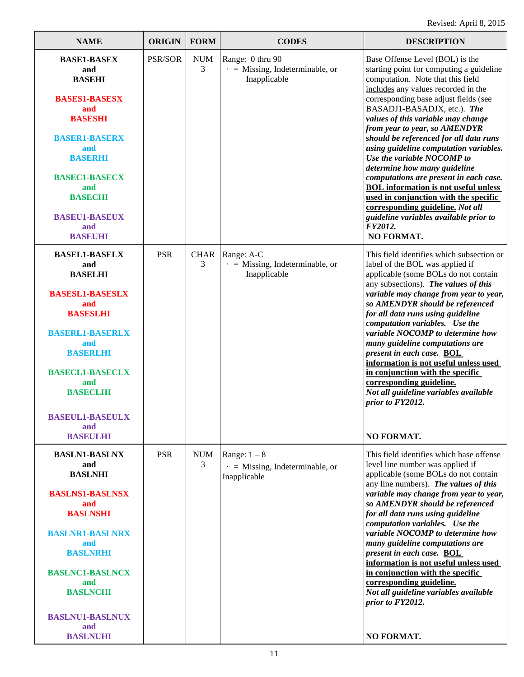| <b>NAME</b>                                                                                                                                                                                                                                                                      | <b>ORIGIN</b> | <b>FORM</b>      | <b>CODES</b>                                                              | <b>DESCRIPTION</b>                                                                                                                                                                                                                                                                                                                                                                                                                                                                                                                                                                                                                                                                                |
|----------------------------------------------------------------------------------------------------------------------------------------------------------------------------------------------------------------------------------------------------------------------------------|---------------|------------------|---------------------------------------------------------------------------|---------------------------------------------------------------------------------------------------------------------------------------------------------------------------------------------------------------------------------------------------------------------------------------------------------------------------------------------------------------------------------------------------------------------------------------------------------------------------------------------------------------------------------------------------------------------------------------------------------------------------------------------------------------------------------------------------|
| <b>BASE1-BASEX</b><br>and<br><b>BASEHI</b><br><b>BASES1-BASESX</b><br>and<br><b>BASESHI</b><br><b>BASER1-BASERX</b><br>and<br><b>BASERHI</b><br><b>BASEC1-BASECX</b><br>and<br><b>BASECHI</b><br><b>BASEU1-BASEUX</b><br>and<br><b>BASEUHI</b>                                   | PSR/SOR       | <b>NUM</b><br>3  | Range: 0 thru 90<br>$\cdot$ = Missing, Indeterminable, or<br>Inapplicable | Base Offense Level (BOL) is the<br>starting point for computing a guideline<br>computation. Note that this field<br>includes any values recorded in the<br>corresponding base adjust fields (see<br>BASADJ1-BASADJX, etc.). The<br>values of this variable may change<br>from year to year, so AMENDYR<br>should be referenced for all data runs<br>using guideline computation variables.<br>Use the variable NOCOMP to<br>determine how many guideline<br>computations are present in each case.<br><b>BOL</b> information is not useful unless<br>used in conjunction with the specific<br>corresponding guideline. Not all<br>guideline variables available prior to<br>FY2012.<br>NO FORMAT. |
| <b>BASEL1-BASELX</b><br>and<br><b>BASELHI</b><br><b>BASESL1-BASESLX</b><br>and<br><b>BASESLHI</b><br><b>BASERL1-BASERLX</b><br>and<br><b>BASERLHI</b><br><b>BASECL1-BASECLX</b><br>and<br><b>BASECLHI</b><br><b>BASEUL1-BASEULX</b><br>and                                       | <b>PSR</b>    | <b>CHAR</b><br>3 | Range: A-C<br>$\cdot$ = Missing, Indeterminable, or<br>Inapplicable       | This field identifies which subsection or<br>label of the BOL was applied if<br>applicable (some BOLs do not contain<br>any subsections). The values of this<br>variable may change from year to year,<br>so AMENDYR should be referenced<br>for all data runs using guideline<br>computation variables. Use the<br>variable NOCOMP to determine how<br>many guideline computations are<br>present in each case. BOL<br>information is not useful unless used<br>in conjunction with the specific<br>corresponding guideline.<br>Not all guideline variables available<br>prior to FY2012.                                                                                                        |
| <b>BASEULHI</b><br><b>BASLN1-BASLNX</b><br>and<br><b>BASLNHI</b><br><b>BASLNS1-BASLNSX</b><br>and<br><b>BASLNSHI</b><br><b>BASLNR1-BASLNRX</b><br>and<br><b>BASLNRHI</b><br><b>BASLNC1-BASLNCX</b><br>and<br><b>BASLNCHI</b><br><b>BASLNU1-BASLNUX</b><br>and<br><b>BASLNUHI</b> | <b>PSR</b>    | <b>NUM</b><br>3  | Range: $1 - 8$<br>$\cdot$ = Missing, Indeterminable, or<br>Inapplicable   | NO FORMAT.<br>This field identifies which base offense<br>level line number was applied if<br>applicable (some BOLs do not contain<br>any line numbers). The values of this<br>variable may change from year to year,<br>so AMENDYR should be referenced<br>for all data runs using guideline<br>computation variables. Use the<br>variable NOCOMP to determine how<br>many guideline computations are<br>present in each case. BOL<br>information is not useful unless used<br>in conjunction with the specific<br>corresponding guideline.<br>Not all guideline variables available<br>prior to FY2012.<br>NO FORMAT.                                                                           |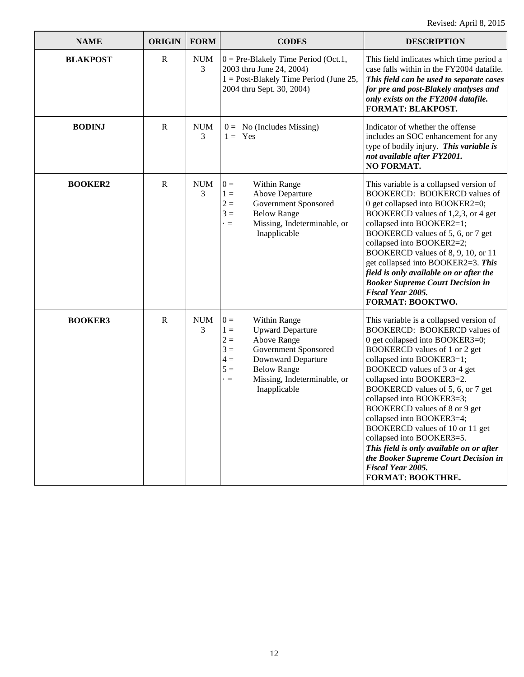| <b>NAME</b>     | <b>ORIGIN</b> | <b>FORM</b>     | <b>CODES</b>                                                                                                                                                                                                                                 | <b>DESCRIPTION</b>                                                                                                                                                                                                                                                                                                                                                                                                                                                                                                                                                  |
|-----------------|---------------|-----------------|----------------------------------------------------------------------------------------------------------------------------------------------------------------------------------------------------------------------------------------------|---------------------------------------------------------------------------------------------------------------------------------------------------------------------------------------------------------------------------------------------------------------------------------------------------------------------------------------------------------------------------------------------------------------------------------------------------------------------------------------------------------------------------------------------------------------------|
| <b>BLAKPOST</b> | $\mathbb{R}$  | <b>NUM</b><br>3 | $0 = Pre-Blakely Time Period (Oct.1,$<br>2003 thru June 24, 2004)<br>$1 =$ Post-Blakely Time Period (June 25,<br>2004 thru Sept. 30, 2004)                                                                                                   | This field indicates which time period a<br>case falls within in the FY2004 datafile.<br>This field can be used to separate cases<br>for pre and post-Blakely analyses and<br>only exists on the FY2004 datafile.<br>FORMAT: BLAKPOST.                                                                                                                                                                                                                                                                                                                              |
| <b>BODINJ</b>   | $\mathbf R$   | <b>NUM</b><br>3 | $0 = No$ (Includes Missing)<br>$1 = \text{Yes}$                                                                                                                                                                                              | Indicator of whether the offense<br>includes an SOC enhancement for any<br>type of bodily injury. This variable is<br>not available after FY2001.<br>NO FORMAT.                                                                                                                                                                                                                                                                                                                                                                                                     |
| <b>BOOKER2</b>  | $\mathbb{R}$  | <b>NUM</b><br>3 | $0 =$<br>Within Range<br>Above Departure<br>$1 =$<br>$2 =$<br>Government Sponsored<br>$3 =$<br><b>Below Range</b><br>Missing, Indeterminable, or<br>$\cdot =$<br>Inapplicable                                                                | This variable is a collapsed version of<br><b>BOOKERCD: BOOKERCD values of</b><br>0 get collapsed into BOOKER2=0;<br>BOOKERCD values of 1,2,3, or 4 get<br>collapsed into BOOKER2=1;<br>BOOKERCD values of 5, 6, or 7 get<br>collapsed into BOOKER2=2;<br>BOOKERCD values of 8, 9, 10, or 11<br>get collapsed into BOOKER2=3. This<br>field is only available on or after the<br><b>Booker Supreme Court Decision in</b><br>Fiscal Year 2005.<br>FORMAT: BOOKTWO.                                                                                                   |
| <b>BOOKER3</b>  | $\mathbf R$   | <b>NUM</b><br>3 | $0 =$<br>Within Range<br>$1 =$<br><b>Upward Departure</b><br>$2 =$<br>Above Range<br>$3 =$<br>Government Sponsored<br>$4 =$<br>Downward Departure<br>$5 =$<br><b>Below Range</b><br>Missing, Indeterminable, or<br>$\cdot =$<br>Inapplicable | This variable is a collapsed version of<br>BOOKERCD: BOOKERCD values of<br>0 get collapsed into BOOKER3=0;<br>BOOKERCD values of 1 or 2 get<br>collapsed into BOOKER3=1;<br>BOOKECD values of 3 or 4 get<br>collapsed into BOOKER3=2.<br>BOOKERCD values of 5, 6, or 7 get<br>collapsed into BOOKER3=3;<br>BOOKERCD values of 8 or 9 get<br>collapsed into BOOKER3=4;<br>BOOKERCD values of 10 or 11 get<br>collapsed into BOOKER3=5.<br>This field is only available on or after<br>the Booker Supreme Court Decision in<br>Fiscal Year 2005.<br>FORMAT: BOOKTHRE. |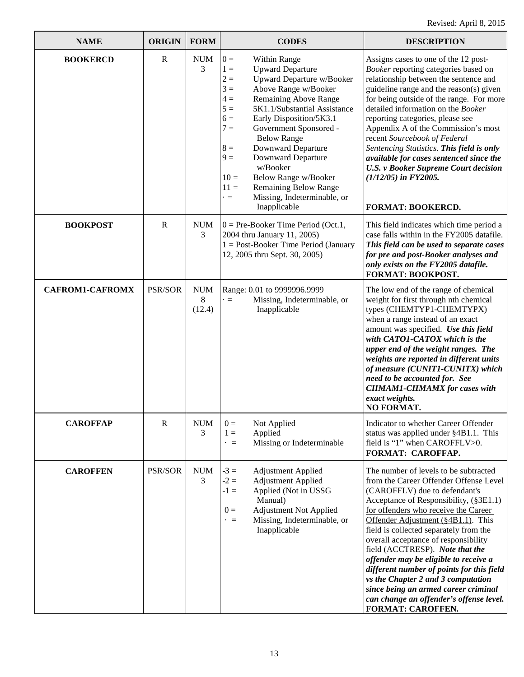| <b>NAME</b>            | <b>ORIGIN</b> | <b>FORM</b>               | <b>CODES</b>                                                                                                                                                                                                                                                                                                                                                                                                                                                                                                                     | <b>DESCRIPTION</b>                                                                                                                                                                                                                                                                                                                                                                                                                                                                                                                                                                                |
|------------------------|---------------|---------------------------|----------------------------------------------------------------------------------------------------------------------------------------------------------------------------------------------------------------------------------------------------------------------------------------------------------------------------------------------------------------------------------------------------------------------------------------------------------------------------------------------------------------------------------|---------------------------------------------------------------------------------------------------------------------------------------------------------------------------------------------------------------------------------------------------------------------------------------------------------------------------------------------------------------------------------------------------------------------------------------------------------------------------------------------------------------------------------------------------------------------------------------------------|
| <b>BOOKERCD</b>        | $\mathbf R$   | <b>NUM</b><br>3           | $0 =$<br>Within Range<br>$1 =$<br><b>Upward Departure</b><br>$2 =$<br><b>Upward Departure w/Booker</b><br>$3 =$<br>Above Range w/Booker<br>Remaining Above Range<br>$4 =$<br>$5 =$<br>5K1.1/Substantial Assistance<br>$6 =$<br>Early Disposition/5K3.1<br>$7 =$<br>Government Sponsored -<br><b>Below Range</b><br>Downward Departure<br>$8 =$<br>Downward Departure<br>$9 =$<br>w/Booker<br>Below Range w/Booker<br>$10=$<br>$11 =$<br><b>Remaining Below Range</b><br>Missing, Indeterminable, or<br>$\cdot =$<br>Inapplicable | Assigns cases to one of the 12 post-<br>Booker reporting categories based on<br>relationship between the sentence and<br>guideline range and the reason(s) given<br>for being outside of the range. For more<br>detailed information on the Booker<br>reporting categories, please see<br>Appendix A of the Commission's most<br>recent Sourcebook of Federal<br>Sentencing Statistics. This field is only<br>available for cases sentenced since the<br><b>U.S. v Booker Supreme Court decision</b><br>$(1/12/05)$ in FY2005.<br><b>FORMAT: BOOKERCD.</b>                                        |
| <b>BOOKPOST</b>        | $\mathbf R$   | <b>NUM</b><br>3           | $0 = Pre-Booker$ Time Period (Oct.1,<br>2004 thru January 11, 2005)<br>$1 = Post-Booker Time Period (January)$<br>12, 2005 thru Sept. 30, 2005)                                                                                                                                                                                                                                                                                                                                                                                  | This field indicates which time period a<br>case falls within in the FY2005 datafile.<br>This field can be used to separate cases<br>for pre and post-Booker analyses and<br>only exists on the FY2005 datafile.<br>FORMAT: BOOKPOST.                                                                                                                                                                                                                                                                                                                                                             |
| <b>CAFROM1-CAFROMX</b> | PSR/SOR       | <b>NUM</b><br>8<br>(12.4) | Range: 0.01 to 9999996.9999<br>Missing, Indeterminable, or<br>$\cdot =$<br>Inapplicable                                                                                                                                                                                                                                                                                                                                                                                                                                          | The low end of the range of chemical<br>weight for first through nth chemical<br>types (CHEMTYP1-CHEMTYPX)<br>when a range instead of an exact<br>amount was specified. Use this field<br>with CATO1-CATOX which is the<br>upper end of the weight ranges. The<br>weights are reported in different units<br>of measure (CUNIT1-CUNITX) which<br>need to be accounted for. See<br><b>CHMAM1-CHMAMX</b> for cases with<br>exact weights.<br>NO FORMAT.                                                                                                                                             |
| <b>CAROFFAP</b>        | $\mathbf R$   | <b>NUM</b><br>3           | $0 =$<br>Not Applied<br>$1 =$<br>Applied<br>Missing or Indeterminable<br>$\cdot =$                                                                                                                                                                                                                                                                                                                                                                                                                                               | Indicator to whether Career Offender<br>status was applied under §4B1.1. This<br>field is "1" when CAROFFLV>0.<br>FORMAT: CAROFFAP.                                                                                                                                                                                                                                                                                                                                                                                                                                                               |
| <b>CAROFFEN</b>        | PSR/SOR       | <b>NUM</b><br>3           | $-3 =$<br><b>Adjustment Applied</b><br>$-2 =$<br><b>Adjustment Applied</b><br>Applied (Not in USSG<br>$-1 =$<br>Manual)<br><b>Adjustment Not Applied</b><br>$0 =$<br>Missing, Indeterminable, or<br>$\cdot =$<br>Inapplicable                                                                                                                                                                                                                                                                                                    | The number of levels to be subtracted<br>from the Career Offender Offense Level<br>(CAROFFLV) due to defendant's<br>Acceptance of Responsibility, (§3E1.1)<br>for offenders who receive the Career<br>Offender Adjustment (§4B1.1). This<br>field is collected separately from the<br>overall acceptance of responsibility<br>field (ACCTRESP). Note that the<br>offender may be eligible to receive a<br>different number of points for this field<br>vs the Chapter 2 and 3 computation<br>since being an armed career criminal<br>can change an offender's offense level.<br>FORMAT: CAROFFEN. |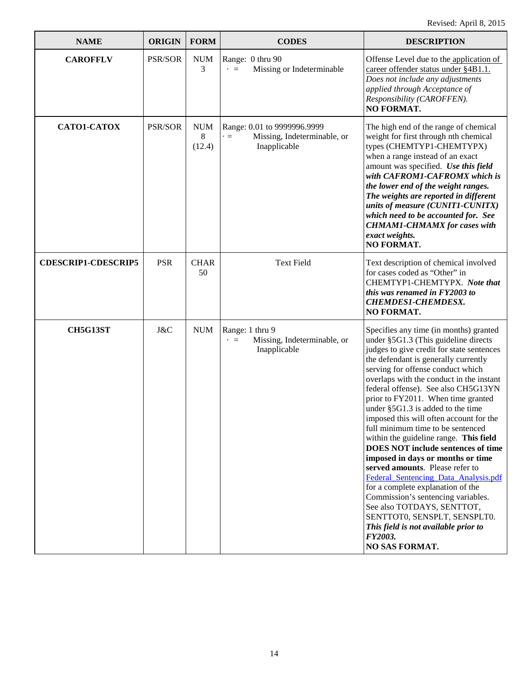| <b>NAME</b>                | <b>ORIGIN</b> | <b>FORM</b>               | <b>CODES</b>                                                                            | <b>DESCRIPTION</b>                                                                                                                                                                                                                                                                                                                                                                                                                                                                                                                                                                                                                                                                                                                                                                                                                                                              |
|----------------------------|---------------|---------------------------|-----------------------------------------------------------------------------------------|---------------------------------------------------------------------------------------------------------------------------------------------------------------------------------------------------------------------------------------------------------------------------------------------------------------------------------------------------------------------------------------------------------------------------------------------------------------------------------------------------------------------------------------------------------------------------------------------------------------------------------------------------------------------------------------------------------------------------------------------------------------------------------------------------------------------------------------------------------------------------------|
| <b>CAROFFLV</b>            | PSR/SOR       | $\rm{NUM}$<br>3           | Range: 0 thru 90<br>Missing or Indeterminable<br>$\cdot =$                              | Offense Level due to the application of<br>career offender status under §4B1.1.<br>Does not include any adjustments<br>applied through Acceptance of<br>Responsibility (CAROFFEN).<br>NO FORMAT.                                                                                                                                                                                                                                                                                                                                                                                                                                                                                                                                                                                                                                                                                |
| CATO1-CATOX                | PSR/SOR       | <b>NUM</b><br>8<br>(12.4) | Range: 0.01 to 9999996.9999<br>Missing, Indeterminable, or<br>$\cdot =$<br>Inapplicable | The high end of the range of chemical<br>weight for first through nth chemical<br>types (CHEMTYP1-CHEMTYPX)<br>when a range instead of an exact<br>amount was specified. Use this field<br>with CAFROM1-CAFROMX which is<br>the lower end of the weight ranges.<br>The weights are reported in different<br>units of measure (CUNIT1-CUNITX)<br>which need to be accounted for. See<br><b>CHMAM1-CHMAMX</b> for cases with<br>exact weights.<br><b>NO FORMAT.</b>                                                                                                                                                                                                                                                                                                                                                                                                               |
| <b>CDESCRIP1-CDESCRIP5</b> | <b>PSR</b>    | <b>CHAR</b><br>50         | <b>Text Field</b>                                                                       | Text description of chemical involved<br>for cases coded as "Other" in<br>CHEMTYP1-CHEMTYPX. Note that<br>this was renamed in FY2003 to<br><b>CHEMDES1-CHEMDESX.</b><br>NO FORMAT.                                                                                                                                                                                                                                                                                                                                                                                                                                                                                                                                                                                                                                                                                              |
| <b>CH5G13ST</b>            | J&C           | <b>NUM</b>                | Range: 1 thru 9<br>Missing, Indeterminable, or<br>$\cdot =$<br>Inapplicable             | Specifies any time (in months) granted<br>under §5G1.3 (This guideline directs<br>judges to give credit for state sentences<br>the defendant is generally currently<br>serving for offense conduct which<br>overlaps with the conduct in the instant<br>federal offense). See also CH5G13YN<br>prior to FY2011. When time granted<br>under $\S$ 5G1.3 is added to the time<br>imposed this will often account for the<br>full minimum time to be sentenced<br>within the guideline range. This field<br><b>DOES NOT include sentences of time</b><br>imposed in days or months or time<br>served amounts. Please refer to<br>Federal_Sentencing_Data_Analysis.pdf<br>for a complete explanation of the<br>Commission's sentencing variables.<br>See also TOTDAYS, SENTTOT,<br>SENTTOT0, SENSPLT, SENSPLT0.<br>This field is not available prior to<br>FY2003.<br>NO SAS FORMAT. |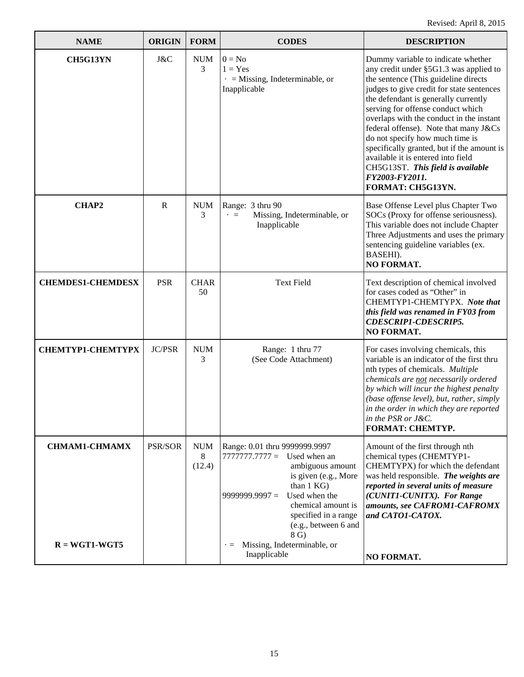| <b>NAME</b>                             | <b>ORIGIN</b> | <b>FORM</b>               | <b>CODES</b>                                                                                                                                                                                                                                                                                           | <b>DESCRIPTION</b>                                                                                                                                                                                                                                                                                                                                                                                                                                                                                                                     |
|-----------------------------------------|---------------|---------------------------|--------------------------------------------------------------------------------------------------------------------------------------------------------------------------------------------------------------------------------------------------------------------------------------------------------|----------------------------------------------------------------------------------------------------------------------------------------------------------------------------------------------------------------------------------------------------------------------------------------------------------------------------------------------------------------------------------------------------------------------------------------------------------------------------------------------------------------------------------------|
| CH5G13YN                                | J&C           | <b>NUM</b><br>3           | $0 = No$<br>$1 = Yes$<br>$\cdot$ = Missing, Indeterminable, or<br>Inapplicable                                                                                                                                                                                                                         | Dummy variable to indicate whether<br>any credit under §5G1.3 was applied to<br>the sentence (This guideline directs<br>judges to give credit for state sentences<br>the defendant is generally currently<br>serving for offense conduct which<br>overlaps with the conduct in the instant<br>federal offense). Note that many J&Cs<br>do not specify how much time is<br>specifically granted, but if the amount is<br>available it is entered into field<br>CH5G13ST. This field is available<br>FY2003-FY2011.<br>FORMAT: CH5G13YN. |
| <b>CHAP2</b>                            | $\mathbb{R}$  | <b>NUM</b><br>3           | Range: 3 thru 90<br>Missing, Indeterminable, or<br>$\cdot =$<br>Inapplicable                                                                                                                                                                                                                           | Base Offense Level plus Chapter Two<br>SOCs (Proxy for offense seriousness).<br>This variable does not include Chapter<br>Three Adjustments and uses the primary<br>sentencing guideline variables (ex.<br>BASEHI).<br>NO FORMAT.                                                                                                                                                                                                                                                                                                      |
| <b>CHEMDES1-CHEMDESX</b>                | <b>PSR</b>    | <b>CHAR</b><br>50         | <b>Text Field</b>                                                                                                                                                                                                                                                                                      | Text description of chemical involved<br>for cases coded as "Other" in<br>CHEMTYP1-CHEMTYPX. Note that<br>this field was renamed in FY03 from<br><b>CDESCRIP1-CDESCRIP5.</b><br><b>NO FORMAT.</b>                                                                                                                                                                                                                                                                                                                                      |
| <b>CHEMTYP1-CHEMTYPX</b>                | <b>JC/PSR</b> | <b>NUM</b><br>3           | Range: 1 thru 77<br>(See Code Attachment)                                                                                                                                                                                                                                                              | For cases involving chemicals, this<br>variable is an indicator of the first thru<br>nth types of chemicals. Multiple<br>chemicals are not necessarily ordered<br>by which will incur the highest penalty<br>(base offense level), but, rather, simply<br>in the order in which they are reported<br>in the PSR or J&C.<br><b>FORMAT: CHEMTYP.</b>                                                                                                                                                                                     |
| <b>CHMAM1-CHMAMX</b><br>$R = WGT1-WGT5$ | PSR/SOR       | <b>NUM</b><br>8<br>(12.4) | Range: 0.01 thru 9999999.9997<br>$77777777777 =$ Used when an<br>ambiguous amount<br>is given (e.g., More<br>than 1 KG)<br>Used when the<br>$9999999.9997 =$<br>chemical amount is<br>specified in a range<br>(e.g., between 6 and<br>8 G)<br>Missing, Indeterminable, or<br>$\cdot =$<br>Inapplicable | Amount of the first through nth<br>chemical types (CHEMTYP1-<br>CHEMTYPX) for which the defendant<br>was held responsible. The weights are<br>reported in several units of measure<br>(CUNIT1-CUNITX). For Range<br>amounts, see CAFROM1-CAFROMX<br>and CATO1-CATOX.<br>NO FORMAT.                                                                                                                                                                                                                                                     |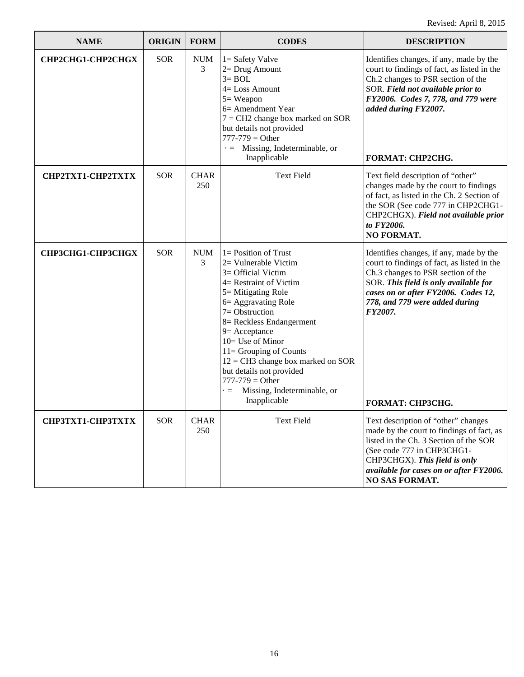| <b>NAME</b>       | <b>ORIGIN</b> | <b>FORM</b>        | <b>CODES</b>                                                                                                                                                                                                                                                                                                                                                                                                             | <b>DESCRIPTION</b>                                                                                                                                                                                                                                                            |
|-------------------|---------------|--------------------|--------------------------------------------------------------------------------------------------------------------------------------------------------------------------------------------------------------------------------------------------------------------------------------------------------------------------------------------------------------------------------------------------------------------------|-------------------------------------------------------------------------------------------------------------------------------------------------------------------------------------------------------------------------------------------------------------------------------|
| CHP2CHG1-CHP2CHGX | <b>SOR</b>    | <b>NUM</b><br>3    | $1 =$ Safety Valve<br>2= Drug Amount<br>$3 = BOL$<br>$4 = Loss$ Amount<br>$5 = Weapon$<br>6 = Amendment Year<br>$7 = CH2$ change box marked on SOR<br>but details not provided<br>$777 - 779 = Other$<br>$\cdot$ = Missing, Indeterminable, or<br>Inapplicable                                                                                                                                                           | Identifies changes, if any, made by the<br>court to findings of fact, as listed in the<br>Ch.2 changes to PSR section of the<br>SOR. Field not available prior to<br>FY2006. Codes 7, 778, and 779 were<br>added during FY2007.<br>FORMAT: CHP2CHG.                           |
| CHP2TXT1-CHP2TXTX | <b>SOR</b>    | <b>CHAR</b><br>250 | <b>Text Field</b>                                                                                                                                                                                                                                                                                                                                                                                                        | Text field description of "other"<br>changes made by the court to findings<br>of fact, as listed in the Ch. 2 Section of<br>the SOR (See code 777 in CHP2CHG1-<br>CHP2CHGX). Field not available prior<br>to FY2006.<br><b>NO FORMAT.</b>                                     |
| СНРЗСНС1-СНРЗСНСХ | <b>SOR</b>    | <b>NUM</b><br>3    | $1 =$ Position of Trust<br>2= Vulnerable Victim<br>$3=$ Official Victim<br>4= Restraint of Victim<br>5 = Mitigating Role<br>6 = Aggravating Role<br>$7=Obstruction$<br>8 = Reckless Endangerment<br>$9$ = Acceptance<br>10= Use of Minor<br>11= Grouping of Counts<br>$12 = CH3$ change box marked on SOR<br>but details not provided<br>$777 - 779 = Other$<br>Missing, Indeterminable, or<br>$\cdot =$<br>Inapplicable | Identifies changes, if any, made by the<br>court to findings of fact, as listed in the<br>Ch.3 changes to PSR section of the<br>SOR. This field is only available for<br>cases on or after FY2006. Codes 12,<br>778, and 779 were added during<br>FY2007.<br>FORMAT: CHP3CHG. |
| СНРЗТХТ1-СНРЗТХТХ | <b>SOR</b>    | <b>CHAR</b><br>250 | <b>Text Field</b>                                                                                                                                                                                                                                                                                                                                                                                                        | Text description of "other" changes<br>made by the court to findings of fact, as<br>listed in the Ch. 3 Section of the SOR<br>(See code 777 in CHP3CHG1-<br>CHP3CHGX). This field is only<br>available for cases on or after FY2006.<br>NO SAS FORMAT.                        |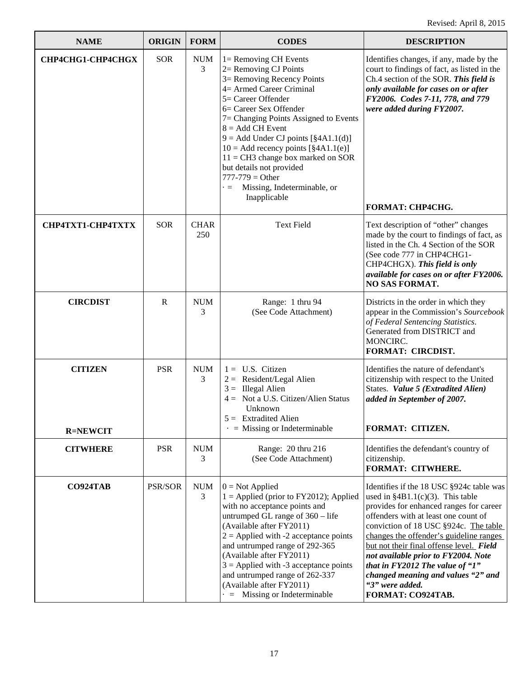| <b>NAME</b>                       | <b>ORIGIN</b> | <b>FORM</b>        | <b>CODES</b>                                                                                                                                                                                                                                                                                                                                                                                                                                                       | <b>DESCRIPTION</b>                                                                                                                                                                                                                                                                                                                                                                                                                                              |
|-----------------------------------|---------------|--------------------|--------------------------------------------------------------------------------------------------------------------------------------------------------------------------------------------------------------------------------------------------------------------------------------------------------------------------------------------------------------------------------------------------------------------------------------------------------------------|-----------------------------------------------------------------------------------------------------------------------------------------------------------------------------------------------------------------------------------------------------------------------------------------------------------------------------------------------------------------------------------------------------------------------------------------------------------------|
| CHP4CHG1-CHP4CHGX                 | <b>SOR</b>    | <b>NUM</b><br>3    | $l =$ Removing CH Events<br>2= Removing CJ Points<br>3= Removing Recency Points<br>4= Armed Career Criminal<br>5 = Career Offender<br>6= Career Sex Offender<br>7= Changing Points Assigned to Events<br>$8 = Add CH Event$<br>$9 = Add Under CJ points [§4A1.1(d)]$<br>$10 =$ Add recency points [§4A1.1(e)]<br>$11 = CH3$ change box marked on SOR<br>but details not provided<br>$777 - 779 = Other$<br>Missing, Indeterminable, or<br>$\equiv$<br>Inapplicable | Identifies changes, if any, made by the<br>court to findings of fact, as listed in the<br>Ch.4 section of the SOR. This field is<br>only available for cases on or after<br>FY2006. Codes 7-11, 778, and 779<br>were added during FY2007.<br><b>FORMAT: CHP4CHG.</b>                                                                                                                                                                                            |
| CHP4TXT1-CHP4TXTX                 | <b>SOR</b>    | <b>CHAR</b><br>250 | <b>Text Field</b>                                                                                                                                                                                                                                                                                                                                                                                                                                                  | Text description of "other" changes<br>made by the court to findings of fact, as<br>listed in the Ch. 4 Section of the SOR<br>(See code 777 in CHP4CHG1-<br>CHP4CHGX). This field is only<br>available for cases on or after FY2006.<br><b>NO SAS FORMAT.</b>                                                                                                                                                                                                   |
| <b>CIRCDIST</b>                   | $\mathbf R$   | <b>NUM</b><br>3    | Range: 1 thru 94<br>(See Code Attachment)                                                                                                                                                                                                                                                                                                                                                                                                                          | Districts in the order in which they<br>appear in the Commission's Sourcebook<br>of Federal Sentencing Statistics.<br>Generated from DISTRICT and<br>MONCIRC.<br><b>FORMAT: CIRCDIST.</b>                                                                                                                                                                                                                                                                       |
| <b>CITIZEN</b><br><b>R=NEWCIT</b> | <b>PSR</b>    | <b>NUM</b><br>3    | U.S. Citizen<br>$1 =$<br>$2 =$ Resident/Legal Alien<br>$3 =$ Illegal Alien<br>Not a U.S. Citizen/Alien Status<br>$4 =$<br>Unknown<br>$5 =$ Extradited Alien<br>$\cdot$ = Missing or Indeterminable                                                                                                                                                                                                                                                                 | Identifies the nature of defendant's<br>citizenship with respect to the United<br>States. Value 5 (Extradited Alien)<br>added in September of 2007.<br>FORMAT: CITIZEN.                                                                                                                                                                                                                                                                                         |
| <b>CITWHERE</b>                   | <b>PSR</b>    | <b>NUM</b><br>3    | Range: 20 thru 216<br>(See Code Attachment)                                                                                                                                                                                                                                                                                                                                                                                                                        | Identifies the defendant's country of<br>citizenship.<br>FORMAT: CITWHERE.                                                                                                                                                                                                                                                                                                                                                                                      |
| CO924TAB                          | PSR/SOR       | <b>NUM</b><br>3    | $0 = Not Applied$<br>$1 =$ Applied (prior to FY2012); Applied<br>with no acceptance points and<br>untrumped GL range of $360 -$ life<br>(Available after FY2011)<br>$2 =$ Applied with -2 acceptance points<br>and untrumped range of 292-365<br>(Available after FY2011)<br>$3$ = Applied with -3 acceptance points<br>and untrumped range of 262-337<br>(Available after FY2011)<br>$=$ Missing or Indeterminable                                                | Identifies if the 18 USC §924c table was<br>used in $§4B1.1(c)(3)$ . This table<br>provides for enhanced ranges for career<br>offenders with at least one count of<br>conviction of 18 USC §924c. The table<br>changes the offender's guideline ranges<br>but not their final offense level. Field<br>not available prior to FY2004. Note<br>that in $FY2012$ The value of " $1"$<br>changed meaning and values "2" and<br>"3" were added.<br>FORMAT: CO924TAB. |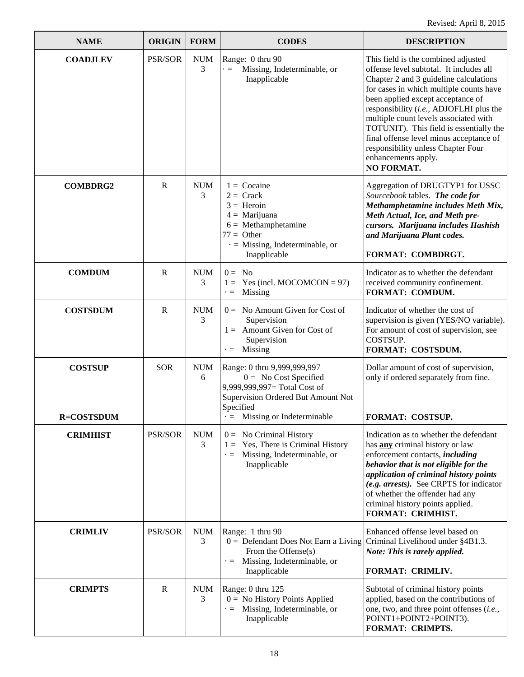| <b>NAME</b>                         | <b>ORIGIN</b>  | <b>FORM</b>     | <b>CODES</b>                                                                                                                                                                    | <b>DESCRIPTION</b>                                                                                                                                                                                                                                                                                                                                                                                                                                                   |
|-------------------------------------|----------------|-----------------|---------------------------------------------------------------------------------------------------------------------------------------------------------------------------------|----------------------------------------------------------------------------------------------------------------------------------------------------------------------------------------------------------------------------------------------------------------------------------------------------------------------------------------------------------------------------------------------------------------------------------------------------------------------|
| <b>COADJLEV</b>                     | <b>PSR/SOR</b> | <b>NUM</b><br>3 | Range: 0 thru 90<br>Missing, Indeterminable, or<br>$\cdot =$<br>Inapplicable                                                                                                    | This field is the combined adjusted<br>offense level subtotal. It includes all<br>Chapter 2 and 3 guideline calculations<br>for cases in which multiple counts have<br>been applied except acceptance of<br>responsibility (i.e., ADJOFLHI plus the<br>multiple count levels associated with<br>TOTUNIT). This field is essentially the<br>final offense level minus acceptance of<br>responsibility unless Chapter Four<br>enhancements apply.<br><b>NO FORMAT.</b> |
| <b>COMBDRG2</b>                     | $\mathbf R$    | <b>NUM</b><br>3 | $1 = Cocaine$<br>$2 =$ Crack<br>$3 =$ Heroin<br>$4 =$ Marijuana<br>$6 =$ Methamphetamine<br>$77 =$ Other<br>$\cdot$ = Missing, Indeterminable, or<br>Inapplicable               | Aggregation of DRUGTYP1 for USSC<br>Sourcebook tables. The code for<br>Methamphetamine includes Meth Mix,<br>Meth Actual, Ice, and Meth pre-<br>cursors. Marijuana includes Hashish<br>and Marijuana Plant codes.<br>FORMAT: COMBDRGT.                                                                                                                                                                                                                               |
| <b>COMDUM</b>                       | $\mathbf R$    | <b>NUM</b><br>3 | $0 = No$<br>Yes (incl. MOCOMCON = $97$ )<br>$1 =$<br>Missing<br>$\cdot =$                                                                                                       | Indicator as to whether the defendant<br>received community confinement.<br>FORMAT: COMDUM.                                                                                                                                                                                                                                                                                                                                                                          |
| <b>COSTSDUM</b>                     | $\mathbf R$    | <b>NUM</b><br>3 | $0 =$ No Amount Given for Cost of<br>Supervision<br>$1 =$ Amount Given for Cost of<br>Supervision<br>Missing<br>$\cdot =$                                                       | Indicator of whether the cost of<br>supervision is given (YES/NO variable).<br>For amount of cost of supervision, see<br>COSTSUP.<br>FORMAT: COSTSDUM.                                                                                                                                                                                                                                                                                                               |
| <b>COSTSUP</b><br><b>R=COSTSDUM</b> | <b>SOR</b>     | <b>NUM</b><br>6 | Range: 0 thru 9,999,999,997<br>$0 = No Cost Specific$<br>9,999,999,997= Total Cost of<br>Supervision Ordered But Amount Not<br>Specified<br>$\cdot$ = Missing or Indeterminable | Dollar amount of cost of supervision,<br>only if ordered separately from fine.<br><b>FORMAT: COSTSUP.</b>                                                                                                                                                                                                                                                                                                                                                            |
| <b>CRIMHIST</b>                     | PSR/SOR        | <b>NUM</b><br>3 | $0 =$ No Criminal History<br>Yes, There is Criminal History<br>$1 =$<br>Missing, Indeterminable, or<br>$\cdot$ $\equiv$<br>Inapplicable                                         | Indication as to whether the defendant<br>has any criminal history or law<br>enforcement contacts, <i>including</i><br>behavior that is not eligible for the<br>application of criminal history points<br>(e.g. arrests). See CRPTS for indicator<br>of whether the offender had any<br>criminal history points applied.<br>FORMAT: CRIMHIST.                                                                                                                        |
| <b>CRIMLIV</b>                      | PSR/SOR        | <b>NUM</b><br>3 | Range: 1 thru 90<br>$0 =$ Defendant Does Not Earn a Living<br>From the Offense(s)<br>Missing, Indeterminable, or<br>$\cdot =$<br>Inapplicable                                   | Enhanced offense level based on<br>Criminal Livelihood under §4B1.3.<br>Note: This is rarely applied.<br>FORMAT: CRIMLIV.                                                                                                                                                                                                                                                                                                                                            |
| <b>CRIMPTS</b>                      | $\mathbf{R}$   | <b>NUM</b><br>3 | Range: 0 thru 125<br>$0 =$ No History Points Applied<br>Missing, Indeterminable, or<br>$\cdot =$<br>Inapplicable                                                                | Subtotal of criminal history points<br>applied, based on the contributions of<br>one, two, and three point offenses (i.e.,<br>POINT1+POINT2+POINT3).<br>FORMAT: CRIMPTS.                                                                                                                                                                                                                                                                                             |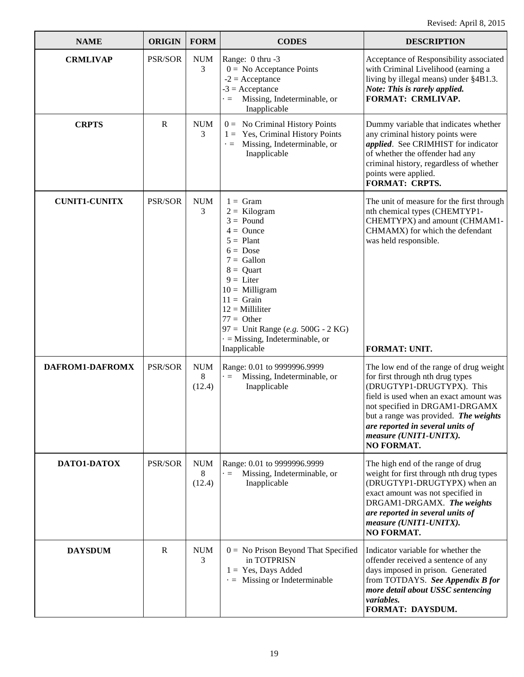| <b>NAME</b>          | <b>ORIGIN</b> | <b>FORM</b>               | <b>CODES</b>                                                                                                                                                                                                                                                                                                                   | <b>DESCRIPTION</b>                                                                                                                                                                                                                                                                                        |
|----------------------|---------------|---------------------------|--------------------------------------------------------------------------------------------------------------------------------------------------------------------------------------------------------------------------------------------------------------------------------------------------------------------------------|-----------------------------------------------------------------------------------------------------------------------------------------------------------------------------------------------------------------------------------------------------------------------------------------------------------|
| <b>CRMLIVAP</b>      | PSR/SOR       | <b>NUM</b><br>3           | Range: 0 thru -3<br>$0 = No$ Acceptance Points<br>$-2$ = Acceptance<br>$-3 =$ Acceptance<br>Missing, Indeterminable, or<br>$\equiv$<br>Inapplicable                                                                                                                                                                            | Acceptance of Responsibility associated<br>with Criminal Livelihood (earning a<br>living by illegal means) under §4B1.3.<br>Note: This is rarely applied.<br><b>FORMAT: CRMLIVAP.</b>                                                                                                                     |
| <b>CRPTS</b>         | R             | <b>NUM</b><br>3           | $0 =$ No Criminal History Points<br>$1 = \text{Yes}, \text{Criminal History Points}$<br>Missing, Indeterminable, or<br>$\cdot =$<br>Inapplicable                                                                                                                                                                               | Dummy variable that indicates whether<br>any criminal history points were<br>applied. See CRIMHIST for indicator<br>of whether the offender had any<br>criminal history, regardless of whether<br>points were applied.<br><b>FORMAT: CRPTS.</b>                                                           |
| <b>CUNIT1-CUNITX</b> | PSR/SOR       | <b>NUM</b><br>3           | $1 = \text{Gram}$<br>$2 =$ Kilogram<br>$3 =$ Pound<br>$4 =$ Ounce<br>$5 =$ Plant<br>$6 = \text{Dose}$<br>$7 =$ Gallon<br>$8 =$ Quart<br>$9 = \text{Liter}$<br>$10 =$ Milligram<br>$11 =$ Grain<br>$12 =$ Milliliter<br>$77 =$ Other<br>97 = Unit Range (e.g. $500G - 2KG$ )<br>$=$ Missing, Indeterminable, or<br>Inapplicable | The unit of measure for the first through<br>nth chemical types (CHEMTYP1-<br>CHEMTYPX) and amount (CHMAM1-<br>CHMAMX) for which the defendant<br>was held responsible.<br>FORMAT: UNIT.                                                                                                                  |
| DAFROM1-DAFROMX      | PSR/SOR       | <b>NUM</b><br>8<br>(12.4) | Range: 0.01 to 9999996.9999<br>Missing, Indeterminable, or<br>$\cdot =$<br>Inapplicable                                                                                                                                                                                                                                        | The low end of the range of drug weight<br>for first through nth drug types<br>(DRUGTYP1-DRUGTYPX). This<br>field is used when an exact amount was<br>not specified in DRGAM1-DRGAMX<br>but a range was provided. The weights<br>are reported in several units of<br>measure (UNIT1-UNITX).<br>NO FORMAT. |
| DATO1-DATOX          | PSR/SOR       | <b>NUM</b><br>8<br>(12.4) | Range: 0.01 to 9999996.9999<br>Missing, Indeterminable, or<br>$\cdot =$<br>Inapplicable                                                                                                                                                                                                                                        | The high end of the range of drug<br>weight for first through nth drug types<br>(DRUGTYP1-DRUGTYPX) when an<br>exact amount was not specified in<br>DRGAM1-DRGAMX. The weights<br>are reported in several units of<br>measure (UNIT1-UNITX).<br><b>NO FORMAT.</b>                                         |
| <b>DAYSDUM</b>       | $\mathbb{R}$  | <b>NUM</b><br>3           | $0 = No$ Prison Beyond That Specified<br>in TOTPRISN<br>$1 = Yes$ , Days Added<br>Missing or Indeterminable<br>$\cdot =$                                                                                                                                                                                                       | Indicator variable for whether the<br>offender received a sentence of any<br>days imposed in prison. Generated<br>from TOTDAYS. See Appendix B for<br>more detail about USSC sentencing<br><i>variables.</i><br>FORMAT: DAYSDUM.                                                                          |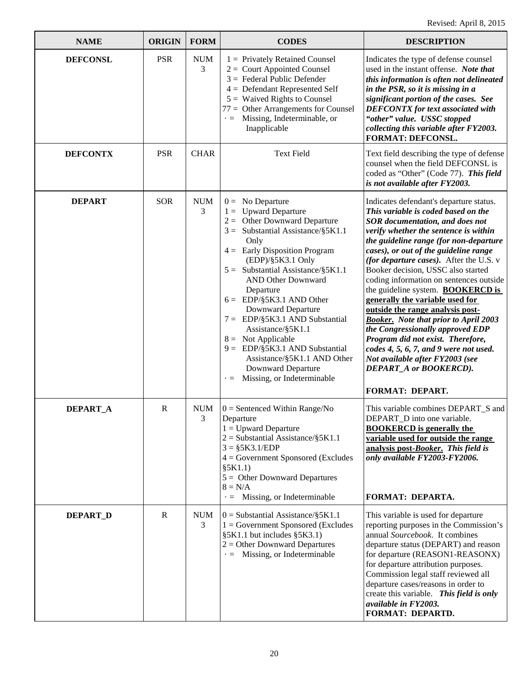| <b>NAME</b>     | <b>ORIGIN</b> | <b>FORM</b>     | <b>CODES</b>                                                                                                                                                                                                                                                                                                                                                                                                                                                                                                                                                    | <b>DESCRIPTION</b>                                                                                                                                                                                                                                                                                                                                                                                                                                                                                                                                                                                                                                                                                                                                     |
|-----------------|---------------|-----------------|-----------------------------------------------------------------------------------------------------------------------------------------------------------------------------------------------------------------------------------------------------------------------------------------------------------------------------------------------------------------------------------------------------------------------------------------------------------------------------------------------------------------------------------------------------------------|--------------------------------------------------------------------------------------------------------------------------------------------------------------------------------------------------------------------------------------------------------------------------------------------------------------------------------------------------------------------------------------------------------------------------------------------------------------------------------------------------------------------------------------------------------------------------------------------------------------------------------------------------------------------------------------------------------------------------------------------------------|
| <b>DEFCONSL</b> | <b>PSR</b>    | <b>NUM</b><br>3 | $1 =$ Privately Retained Counsel<br>$2 =$ Court Appointed Counsel<br>$3 =$ Federal Public Defender<br>$4 =$ Defendant Represented Self<br>$5 =$ Waived Rights to Counsel<br>$77 =$ Other Arrangements for Counsel<br>Missing, Indeterminable, or<br>$\cdot =$<br>Inapplicable                                                                                                                                                                                                                                                                                   | Indicates the type of defense counsel<br>used in the instant offense. Note that<br>this information is often not delineated<br>in the PSR, so it is missing in a<br>significant portion of the cases. See<br><b>DEFCONTX</b> for text associated with<br>"other" value. USSC stopped<br>collecting this variable after FY2003.<br><b>FORMAT: DEFCONSL.</b>                                                                                                                                                                                                                                                                                                                                                                                             |
| <b>DEFCONTX</b> | <b>PSR</b>    | <b>CHAR</b>     | <b>Text Field</b>                                                                                                                                                                                                                                                                                                                                                                                                                                                                                                                                               | Text field describing the type of defense<br>counsel when the field DEFCONSL is<br>coded as "Other" (Code 77). This field<br>is not available after FY2003.                                                                                                                                                                                                                                                                                                                                                                                                                                                                                                                                                                                            |
| <b>DEPART</b>   | <b>SOR</b>    | <b>NUM</b><br>3 | $0 = No Department$<br>$1 =$ Upward Departure<br>$2 =$ Other Downward Departure<br>$3 =$ Substantial Assistance/§5K1.1<br>Only<br>$4 =$ Early Disposition Program<br>(EDP)/\$5K3.1 Only<br>$5 =$ Substantial Assistance/§5K1.1<br><b>AND Other Downward</b><br>Departure<br>$6 = \text{EDP} \$ 5K3.1 AND Other<br><b>Downward Departure</b><br>$7 = EDP/\$5K3.1$ AND Substantial<br>Assistance/§5K1.1<br>$8 =$ Not Applicable<br>9 = EDP/§5K3.1 AND Substantial<br>Assistance/§5K1.1 AND Other<br>Downward Departure<br>Missing, or Indeterminable<br>$\cdot =$ | Indicates defendant's departure status.<br>This variable is coded based on the<br>SOR documentation, and does not<br>verify whether the sentence is within<br>the guideline range (for non-departure<br>cases), or out of the guideline range<br>(for departure cases). After the U.S. v<br>Booker decision, USSC also started<br>coding information on sentences outside<br>the guideline system. <b>BOOKERCD</b> is<br>generally the variable used for<br>outside the range analysis post-<br><b>Booker.</b> Note that prior to April 2003<br>the Congressionally approved EDP<br>Program did not exist. Therefore,<br>codes 4, 5, 6, 7, and 9 were not used.<br>Not available after FY2003 (see<br>DEPART_A or BOOKERCD).<br><b>FORMAT: DEPART.</b> |
| DEPART_A        | R             | NUM<br>3        | $0 =$ Sentenced Within Range/No<br>Departure<br>$1 =$ Upward Departure<br>$2 =$ Substantial Assistance/§5K1.1<br>$3 = $5K3.1/EDP$<br>$4 = Government Sponsored$ (Excludes<br>\$5K1.1)<br>$5 =$ Other Downward Departures<br>$8 = N/A$<br>$\cdot$ = Missing, or Indeterminable                                                                                                                                                                                                                                                                                   | This variable combines DEPART S and<br>DEPART_D into one variable.<br><b>BOOKERCD</b> is generally the<br>variable used for outside the range<br>analysis post-Booker. This field is<br>only available FY2003-FY2006.<br>FORMAT: DEPARTA.                                                                                                                                                                                                                                                                                                                                                                                                                                                                                                              |
| DEPART_D        | $\mathbf R$   | <b>NUM</b><br>3 | $0 =$ Substantial Assistance/§5K1.1<br>$1 = Government Sponsored$ (Excludes<br>§5K1.1 but includes §5K3.1)<br>$2 =$ Other Downward Departures<br>$\cdot$ = Missing, or Indeterminable                                                                                                                                                                                                                                                                                                                                                                           | This variable is used for departure<br>reporting purposes in the Commission's<br>annual Sourcebook. It combines<br>departure status (DEPART) and reason<br>for departure (REASON1-REASONX)<br>for departure attribution purposes.<br>Commission legal staff reviewed all<br>departure cases/reasons in order to<br>create this variable. This field is only<br>available in FY2003.<br>FORMAT: DEPARTD.                                                                                                                                                                                                                                                                                                                                                |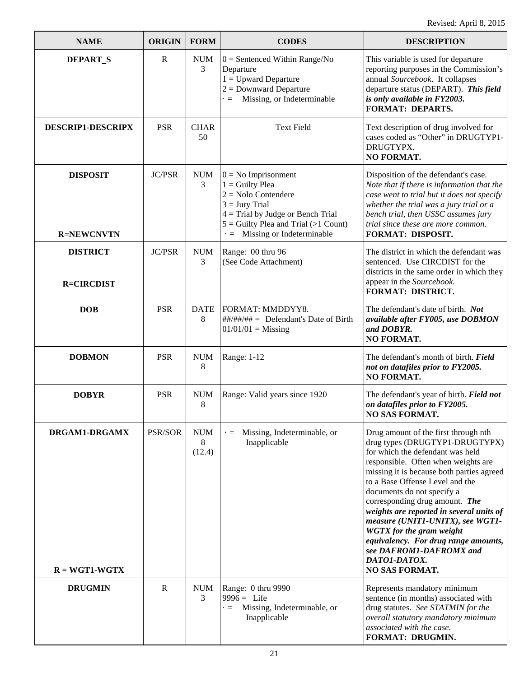| <b>NAME</b>                          | <b>ORIGIN</b> | <b>FORM</b>               | <b>CODES</b>                                                                                                                                                                                                    | <b>DESCRIPTION</b>                                                                                                                                                                                                                                                                                                                                                                                                                                                                                                               |
|--------------------------------------|---------------|---------------------------|-----------------------------------------------------------------------------------------------------------------------------------------------------------------------------------------------------------------|----------------------------------------------------------------------------------------------------------------------------------------------------------------------------------------------------------------------------------------------------------------------------------------------------------------------------------------------------------------------------------------------------------------------------------------------------------------------------------------------------------------------------------|
| DEPART <sub>S</sub>                  | $\mathbf R$   | <b>NUM</b><br>3           | $0 =$ Sentenced Within Range/No<br>Departure<br>$1 =$ Upward Departure<br>$2 =$ Downward Departure<br>Missing, or Indeterminable<br>$=$                                                                         | This variable is used for departure<br>reporting purposes in the Commission's<br>annual Sourcebook. It collapses<br>departure status (DEPART). This field<br>is only available in FY2003.<br><b>FORMAT: DEPARTS.</b>                                                                                                                                                                                                                                                                                                             |
| <b>DESCRIP1-DESCRIPX</b>             | <b>PSR</b>    | <b>CHAR</b><br>50         | <b>Text Field</b>                                                                                                                                                                                               | Text description of drug involved for<br>cases coded as "Other" in DRUGTYP1-<br>DRUGTYPX.<br><b>NO FORMAT.</b>                                                                                                                                                                                                                                                                                                                                                                                                                   |
| <b>DISPOSIT</b><br><b>R=NEWCNVTN</b> | <b>JC/PSR</b> | <b>NUM</b><br>3           | $0 = No$ Imprisonment<br>$1 =$ Guilty Plea<br>$2 =$ Nolo Contendere<br>$3 =$ Jury Trial<br>$4 =$ Trial by Judge or Bench Trial<br>$5 =$ Guilty Plea and Trial (>1 Count)<br>$\cdot$ = Missing or Indeterminable | Disposition of the defendant's case.<br>Note that if there is information that the<br>case went to trial but it does not specify<br>whether the trial was a jury trial or a<br>bench trial, then USSC assumes jury<br>trial since these are more common.<br>FORMAT: DISPOSIT.                                                                                                                                                                                                                                                    |
| <b>DISTRICT</b><br><b>R=CIRCDIST</b> | <b>JC/PSR</b> | <b>NUM</b><br>3           | Range: 00 thru 96<br>(See Code Attachment)                                                                                                                                                                      | The district in which the defendant was<br>sentenced. Use CIRCDIST for the<br>districts in the same order in which they<br>appear in the Sourcebook.<br><b>FORMAT: DISTRICT.</b>                                                                                                                                                                                                                                                                                                                                                 |
| <b>DOB</b>                           | <b>PSR</b>    | <b>DATE</b><br>8          | FORMAT: MMDDYY8.<br>$\#$ ##/##/## = Defendant's Date of Birth<br>$01/01/01 = Missing$                                                                                                                           | The defendant's date of birth. Not<br>available after FY005, use DOBMON<br>and DOBYR.<br>NO FORMAT.                                                                                                                                                                                                                                                                                                                                                                                                                              |
| <b>DOBMON</b>                        | <b>PSR</b>    | <b>NUM</b><br>8           | Range: 1-12                                                                                                                                                                                                     | The defendant's month of birth. Field<br>not on datafiles prior to FY2005.<br><b>NO FORMAT.</b>                                                                                                                                                                                                                                                                                                                                                                                                                                  |
| <b>DOBYR</b>                         | <b>PSR</b>    | <b>NUM</b><br>8           | Range: Valid years since 1920                                                                                                                                                                                   | The defendant's year of birth. Field not<br>on datafiles prior to FY2005.<br><b>NO SAS FORMAT.</b>                                                                                                                                                                                                                                                                                                                                                                                                                               |
| DRGAM1-DRGAMX<br>$R = WGT1-WGTX$     | PSR/SOR       | <b>NUM</b><br>8<br>(12.4) | Missing, Indeterminable, or<br>$\cdot =$<br>Inapplicable                                                                                                                                                        | Drug amount of the first through nth<br>drug types (DRUGTYP1-DRUGTYPX)<br>for which the defendant was held<br>responsible. Often when weights are<br>missing it is because both parties agreed<br>to a Base Offense Level and the<br>documents do not specify a<br>corresponding drug amount. The<br>weights are reported in several units of<br>measure (UNIT1-UNITX), see WGT1-<br><b>WGTX</b> for the gram weight<br>equivalency. For drug range amounts,<br>see DAFROM1-DAFROMX and<br>DATO1-DATOX.<br><b>NO SAS FORMAT.</b> |
| <b>DRUGMIN</b>                       | $\mathbb{R}$  | <b>NUM</b><br>3           | Range: 0 thru 9990<br>$9996 =$ Life<br>Missing, Indeterminable, or<br>$\cdot =$<br>Inapplicable                                                                                                                 | Represents mandatory minimum<br>sentence (in months) associated with<br>drug statutes. See STATMIN for the<br>overall statutory mandatory minimum<br>associated with the case.<br>FORMAT: DRUGMIN.                                                                                                                                                                                                                                                                                                                               |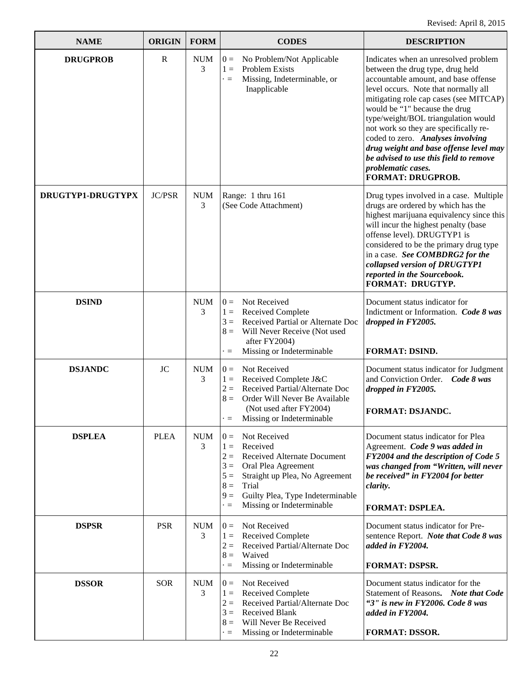| <b>NAME</b>       | <b>ORIGIN</b> | <b>FORM</b>     | <b>CODES</b>                                                                                                                                                                                                                                                          | <b>DESCRIPTION</b>                                                                                                                                                                                                                                                                                                                                                                                                                                                                             |
|-------------------|---------------|-----------------|-----------------------------------------------------------------------------------------------------------------------------------------------------------------------------------------------------------------------------------------------------------------------|------------------------------------------------------------------------------------------------------------------------------------------------------------------------------------------------------------------------------------------------------------------------------------------------------------------------------------------------------------------------------------------------------------------------------------------------------------------------------------------------|
| <b>DRUGPROB</b>   | $\mathbf R$   | <b>NUM</b><br>3 | No Problem/Not Applicable<br>$0 =$<br>$1 =$<br>Problem Exists<br>Missing, Indeterminable, or<br>$\cdot =$<br>Inapplicable                                                                                                                                             | Indicates when an unresolved problem<br>between the drug type, drug held<br>accountable amount, and base offense<br>level occurs. Note that normally all<br>mitigating role cap cases (see MITCAP)<br>would be "1" because the drug<br>type/weight/BOL triangulation would<br>not work so they are specifically re-<br>coded to zero. Analyses involving<br>drug weight and base offense level may<br>be advised to use this field to remove<br>problematic cases.<br><b>FORMAT: DRUGPROB.</b> |
| DRUGTYP1-DRUGTYPX | <b>JC/PSR</b> | <b>NUM</b><br>3 | Range: 1 thru 161<br>(See Code Attachment)                                                                                                                                                                                                                            | Drug types involved in a case. Multiple<br>drugs are ordered by which has the<br>highest marijuana equivalency since this<br>will incur the highest penalty (base<br>offense level). DRUGTYP1 is<br>considered to be the primary drug type<br>in a case. See COMBDRG2 for the<br>collapsed version of DRUGTYP1<br>reported in the Sourcebook.<br><b>FORMAT: DRUGTYP.</b>                                                                                                                       |
| <b>DSIND</b>      |               | <b>NUM</b><br>3 | Not Received<br>$0 =$<br>$1 =$<br><b>Received Complete</b><br>Received Partial or Alternate Doc<br>$3 =$<br>$8 =$<br>Will Never Receive (Not used<br>after FY2004)<br>Missing or Indeterminable<br>$\quad =$                                                          | Document status indicator for<br>Indictment or Information. Code 8 was<br>dropped in FY2005.<br><b>FORMAT: DSIND.</b>                                                                                                                                                                                                                                                                                                                                                                          |
| <b>DSJANDC</b>    | JC            | <b>NUM</b><br>3 | Not Received<br>$0 =$<br>Received Complete J&C<br>$1 =$<br>$2 =$<br>Received Partial/Alternate Doc<br>Order Will Never Be Available<br>$8 =$<br>(Not used after FY2004)<br>Missing or Indeterminable<br>$\cdot =$                                                     | Document status indicator for Judgment<br>and Conviction Order. Code 8 was<br>dropped in FY2005.<br><b>FORMAT: DSJANDC.</b>                                                                                                                                                                                                                                                                                                                                                                    |
| <b>DSPLEA</b>     | <b>PLEA</b>   | <b>NUM</b><br>3 | Not Received<br>$0 =$<br>Received<br>$1 =$<br>$2=$<br>Received Alternate Document<br>$3 =$<br>Oral Plea Agreement<br>$5 =$<br>Straight up Plea, No Agreement<br>$8 =$<br>Trial<br>$9 =$<br>Guilty Plea, Type Indeterminable<br>Missing or Indeterminable<br>$\cdot =$ | Document status indicator for Plea<br>Agreement. Code 9 was added in<br>FY2004 and the description of Code 5<br>was changed from "Written, will never<br>be received" in FY2004 for better<br>clarity.<br>FORMAT: DSPLEA.                                                                                                                                                                                                                                                                      |
| <b>DSPSR</b>      | <b>PSR</b>    | <b>NUM</b><br>3 | Not Received<br>$0 =$<br>Received Complete<br>$1 =$<br>Received Partial/Alternate Doc<br>$2 =$<br>$8 =$<br>Waived<br>Missing or Indeterminable<br>$\cdot =$                                                                                                           | Document status indicator for Pre-<br>sentence Report. Note that Code 8 was<br>added in FY2004.<br><b>FORMAT: DSPSR.</b>                                                                                                                                                                                                                                                                                                                                                                       |
| <b>DSSOR</b>      | <b>SOR</b>    | <b>NUM</b><br>3 | Not Received<br>$0 =$<br>Received Complete<br>$1 =$<br>Received Partial/Alternate Doc<br>$2 =$<br><b>Received Blank</b><br>$3 =$<br>Will Never Be Received<br>$8 =$<br>Missing or Indeterminable<br>$\cdot =$                                                         | Document status indicator for the<br>Statement of Reasons. Note that Code<br>"3" is new in FY2006. Code 8 was<br>added in FY2004.<br><b>FORMAT: DSSOR.</b>                                                                                                                                                                                                                                                                                                                                     |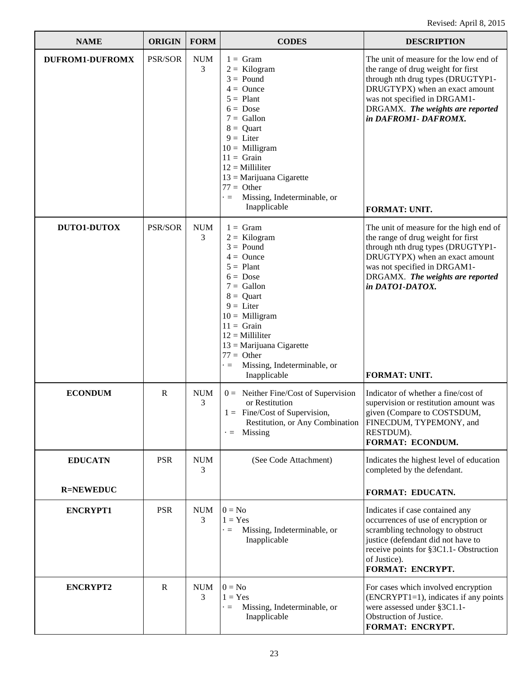| <b>NAME</b>                        | <b>ORIGIN</b>  | <b>FORM</b>     | <b>CODES</b>                                                                                                                                                                                                                                                                                                                       | <b>DESCRIPTION</b>                                                                                                                                                                                                                                                     |
|------------------------------------|----------------|-----------------|------------------------------------------------------------------------------------------------------------------------------------------------------------------------------------------------------------------------------------------------------------------------------------------------------------------------------------|------------------------------------------------------------------------------------------------------------------------------------------------------------------------------------------------------------------------------------------------------------------------|
| <b>DUFROM1-DUFROMX</b>             | <b>PSR/SOR</b> | <b>NUM</b><br>3 | $1 = \text{Gram}$<br>$2 =$ Kilogram<br>$3 =$ Pound<br>$4 =$ Ounce<br>$5 =$ Plant<br>$6 = \text{Dose}$<br>$7 =$ Gallon<br>$8 =$ Quart<br>$9 = \text{Liter}$<br>$10 =$ Milligram<br>$11 =$ Grain<br>$12 =$ Milliliter<br>$13 =$ Marijuana Cigarette<br>$77 =$ Other<br>Missing, Indeterminable, or<br>$\blacksquare$<br>Inapplicable | The unit of measure for the low end of<br>the range of drug weight for first<br>through nth drug types (DRUGTYP1-<br>DRUGTYPX) when an exact amount<br>was not specified in DRGAM1-<br>DRGAMX. The weights are reported<br>in DAFROM1-DAFROMX.<br><b>FORMAT: UNIT.</b> |
| <b>DUTO1-DUTOX</b>                 | PSR/SOR        | <b>NUM</b><br>3 | $1 = \text{Gram}$<br>$2 =$ Kilogram<br>$3 =$ Pound<br>$4 =$ Ounce<br>$5 =$ Plant<br>$6 = \text{Dose}$<br>$7 =$ Gallon<br>$8 =$ Quart<br>$9 =$ Liter<br>$10 =$ Milligram<br>$11 =$ Grain<br>$12 =$ Milliliter<br>$13 =$ Marijuana Cigarette<br>$77 =$ Other<br>Missing, Indeterminable, or<br>$\blacksquare$<br>Inapplicable        | The unit of measure for the high end of<br>the range of drug weight for first<br>through nth drug types (DRUGTYP1-<br>DRUGTYPX) when an exact amount<br>was not specified in DRGAM1-<br>DRGAMX. The weights are reported<br>in DATO1-DATOX.<br>FORMAT: UNIT.           |
| <b>ECONDUM</b>                     | R              | <b>NUM</b><br>3 | $0 =$ Neither Fine/Cost of Supervision<br>or Restitution<br>$1 =$ Fine/Cost of Supervision,<br>Restitution, or Any Combination<br>$\cdot =$ Missing                                                                                                                                                                                | Indicator of whether a fine/cost of<br>supervision or restitution amount was<br>given (Compare to COSTSDUM,<br>FINECDUM, TYPEMONY, and<br>RESTDUM).<br><b>FORMAT: ECONDUM.</b>                                                                                         |
| <b>EDUCATN</b><br><b>R=NEWEDUC</b> | <b>PSR</b>     | <b>NUM</b><br>3 | (See Code Attachment)                                                                                                                                                                                                                                                                                                              | Indicates the highest level of education<br>completed by the defendant.                                                                                                                                                                                                |
| <b>ENCRYPT1</b>                    | <b>PSR</b>     | <b>NUM</b><br>3 | $0 = No$<br>$1 = Yes$<br>Missing, Indeterminable, or<br>$\blacksquare$<br>Inapplicable                                                                                                                                                                                                                                             | FORMAT: EDUCATN.<br>Indicates if case contained any<br>occurrences of use of encryption or<br>scrambling technology to obstruct<br>justice (defendant did not have to<br>receive points for §3C1.1- Obstruction<br>of Justice).<br>FORMAT: ENCRYPT.                    |
| <b>ENCRYPT2</b>                    | $\mathbb{R}$   | <b>NUM</b><br>3 | $0 = No$<br>$1 = Yes$<br>Missing, Indeterminable, or<br>$\cdot =$<br>Inapplicable                                                                                                                                                                                                                                                  | For cases which involved encryption<br>$(ENCRYPT1=1)$ , indicates if any points<br>were assessed under §3C1.1-<br>Obstruction of Justice.<br>FORMAT: ENCRYPT.                                                                                                          |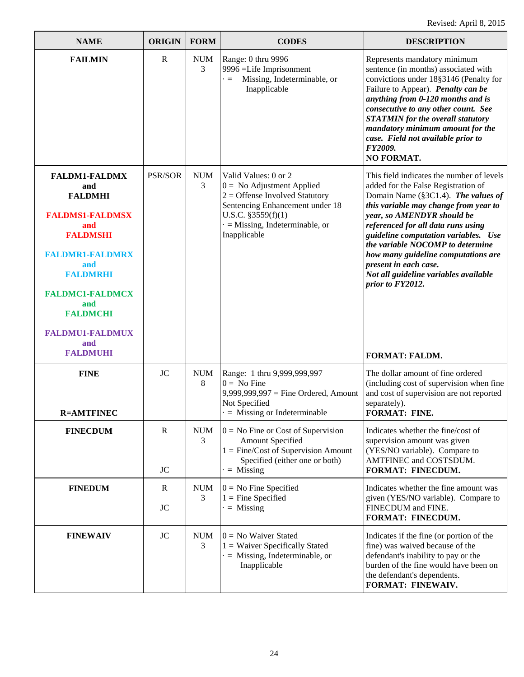| <b>NAME</b>                                                                                                                                                                                                                                                   | <b>ORIGIN</b>             | <b>FORM</b>     | <b>CODES</b>                                                                                                                                                                                                | <b>DESCRIPTION</b>                                                                                                                                                                                                                                                                                                                                                                                                                            |
|---------------------------------------------------------------------------------------------------------------------------------------------------------------------------------------------------------------------------------------------------------------|---------------------------|-----------------|-------------------------------------------------------------------------------------------------------------------------------------------------------------------------------------------------------------|-----------------------------------------------------------------------------------------------------------------------------------------------------------------------------------------------------------------------------------------------------------------------------------------------------------------------------------------------------------------------------------------------------------------------------------------------|
| <b>FAILMIN</b>                                                                                                                                                                                                                                                | $\mathbb{R}$              | <b>NUM</b><br>3 | Range: 0 thru 9996<br>9996 = Life Imprisonment<br>Missing, Indeterminable, or<br>$\cdot =$<br>Inapplicable                                                                                                  | Represents mandatory minimum<br>sentence (in months) associated with<br>convictions under 18§3146 (Penalty for<br>Failure to Appear). Penalty can be<br>anything from 0-120 months and is<br>consecutive to any other count. See<br><b>STATMIN</b> for the overall statutory<br>mandatory minimum amount for the<br>case. Field not available prior to<br>FY2009.<br>NO FORMAT.                                                               |
| <b>FALDM1-FALDMX</b><br>and<br><b>FALDMHI</b><br><b>FALDMS1-FALDMSX</b><br>and<br><b>FALDMSHI</b><br><b>FALDMR1-FALDMRX</b><br>and<br><b>FALDMRHI</b><br><b>FALDMC1-FALDMCX</b><br>and<br><b>FALDMCHI</b><br><b>FALDMU1-FALDMUX</b><br>and<br><b>FALDMUHI</b> | <b>PSR/SOR</b>            | <b>NUM</b><br>3 | Valid Values: 0 or 2<br>$0 =$ No Adjustment Applied<br>$2 =$ Offense Involved Statutory<br>Sentencing Enhancement under 18<br>U.S.C. $$3559(f)(1)$<br>$\cdot$ = Missing, Indeterminable, or<br>Inapplicable | This field indicates the number of levels<br>added for the False Registration of<br>Domain Name (§3C1.4). The values of<br>this variable may change from year to<br>year, so AMENDYR should be<br>referenced for all data runs using<br>guideline computation variables. Use<br>the variable NOCOMP to determine<br>how many guideline computations are<br>present in each case.<br>Not all guideline variables available<br>prior to FY2012. |
| <b>FINE</b><br><b>R=AMTFINEC</b>                                                                                                                                                                                                                              | <b>JC</b>                 | <b>NUM</b><br>8 | Range: 1 thru 9,999,999,997<br>$0 = No$ Fine<br>$9,999,999,997$ = Fine Ordered, Amount<br>Not Specified<br>$\cdot$ = Missing or Indeterminable                                                              | <b>FORMAT: FALDM.</b><br>The dollar amount of fine ordered<br>(including cost of supervision when fine<br>and cost of supervision are not reported<br>separately).<br>FORMAT: FINE.                                                                                                                                                                                                                                                           |
| <b>FINECDUM</b>                                                                                                                                                                                                                                               | $\mathbb{R}$<br><b>JC</b> | <b>NUM</b><br>3 | $0 = No$ Fine or Cost of Supervision<br>Amount Specified<br>$1 =$ Fine/Cost of Supervision Amount<br>Specified (either one or both)<br>$=$ Missing                                                          | Indicates whether the fine/cost of<br>supervision amount was given<br>(YES/NO variable). Compare to<br>AMTFINEC and COSTSDUM.<br>FORMAT: FINECDUM.                                                                                                                                                                                                                                                                                            |
| <b>FINEDUM</b>                                                                                                                                                                                                                                                | $\bf{R}$<br>JC            | <b>NUM</b><br>3 | $0 = No$ Fine Specified<br>$1 =$ Fine Specified<br>$=$ Missing                                                                                                                                              | Indicates whether the fine amount was<br>given (YES/NO variable). Compare to<br>FINECDUM and FINE.<br>FORMAT: FINECDUM.                                                                                                                                                                                                                                                                                                                       |
| <b>FINEWAIV</b>                                                                                                                                                                                                                                               | <b>JC</b>                 | <b>NUM</b><br>3 | $0 = No$ Waiver Stated<br>1 = Waiver Specifically Stated<br>$\cdot$ = Missing, Indeterminable, or<br>Inapplicable                                                                                           | Indicates if the fine (or portion of the<br>fine) was waived because of the<br>defendant's inability to pay or the<br>burden of the fine would have been on<br>the defendant's dependents.<br>FORMAT: FINEWAIV.                                                                                                                                                                                                                               |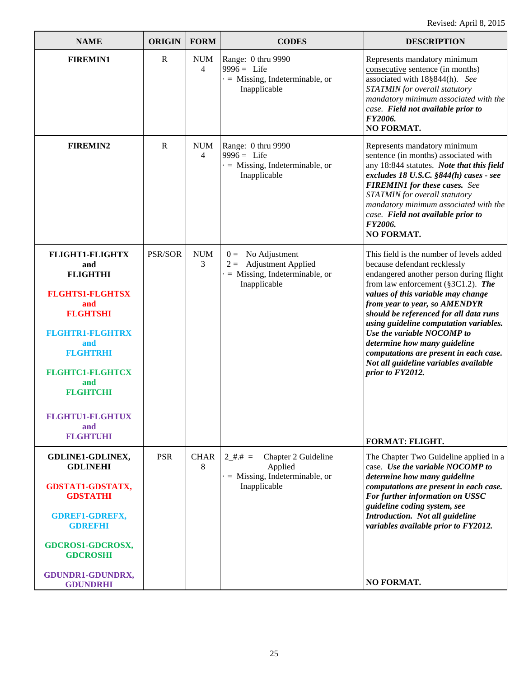| <b>NAME</b>                                                                                                                                                                                                                                                      | <b>ORIGIN</b> | <b>FORM</b>                  | <b>CODES</b>                                                                                             | <b>DESCRIPTION</b>                                                                                                                                                                                                                                                                                                                                                                                                                                                                                           |
|------------------------------------------------------------------------------------------------------------------------------------------------------------------------------------------------------------------------------------------------------------------|---------------|------------------------------|----------------------------------------------------------------------------------------------------------|--------------------------------------------------------------------------------------------------------------------------------------------------------------------------------------------------------------------------------------------------------------------------------------------------------------------------------------------------------------------------------------------------------------------------------------------------------------------------------------------------------------|
| <b>FIREMIN1</b>                                                                                                                                                                                                                                                  | $\mathbf R$   | <b>NUM</b><br>4              | Range: 0 thru 9990<br>$9996 =$ Life<br>$\cdot$ = Missing, Indeterminable, or<br>Inapplicable             | Represents mandatory minimum<br>consecutive sentence (in months)<br>associated with 18§844(h). See<br>STATMIN for overall statutory<br>mandatory minimum associated with the<br>case. Field not available prior to<br>FY2006.<br><b>NO FORMAT.</b>                                                                                                                                                                                                                                                           |
| <b>FIREMIN2</b>                                                                                                                                                                                                                                                  | $\mathbf{R}$  | <b>NUM</b><br>$\overline{4}$ | Range: 0 thru 9990<br>$9996 =$ Life<br>$\cdot$ = Missing, Indeterminable, or<br>Inapplicable             | Represents mandatory minimum<br>sentence (in months) associated with<br>any 18:844 statutes. Note that this field<br>excludes 18 U.S.C. §844(h) cases - see<br><b>FIREMIN1</b> for these cases. See<br>STATMIN for overall statutory<br>mandatory minimum associated with the<br>case. Field not available prior to<br>FY2006.<br>NO FORMAT.                                                                                                                                                                 |
| <b>FLIGHT1-FLIGHTX</b><br>and<br><b>FLIGHTHI</b><br><b>FLGHTS1-FLGHTSX</b><br>and<br><b>FLGHTSHI</b><br><b>FLGHTR1-FLGHTRX</b><br>and<br><b>FLGHTRHI</b><br><b>FLGHTC1-FLGHTCX</b><br>and<br><b>FLGHTCHI</b><br><b>FLGHTU1-FLGHTUX</b><br>and<br><b>FLGHTUHI</b> | PSR/SOR       | <b>NUM</b><br>3              | $0 =$ No Adjustment<br>$2 =$ Adjustment Applied<br>$\cdot$ = Missing, Indeterminable, or<br>Inapplicable | This field is the number of levels added<br>because defendant recklessly<br>endangered another person during flight<br>from law enforcement (§3C1.2). The<br>values of this variable may change<br>from year to year, so AMENDYR<br>should be referenced for all data runs<br>using guideline computation variables.<br>Use the variable NOCOMP to<br>determine how many guideline<br>computations are present in each case.<br>Not all guideline variables available<br>prior to FY2012.<br>FORMAT: FLIGHT. |
| <b>GDLINE1-GDLINEX,</b><br><b>GDLINEHI</b><br><b>GDSTAT1-GDSTATX,</b><br><b>GDSTATHI</b><br><b>GDREF1-GDREFX,</b><br><b>GDREFHI</b><br><b>GDCROS1-GDCROSX,</b><br><b>GDCROSHI</b><br>GDUNDR1-GDUNDRX,<br><b>GDUNDRHI</b>                                         | <b>PSR</b>    | <b>CHAR</b><br>8             | $2$ #.# =<br>Chapter 2 Guideline<br>Applied<br>$\cdot$ = Missing, Indeterminable, or<br>Inapplicable     | The Chapter Two Guideline applied in a<br>case. Use the variable NOCOMP to<br>determine how many guideline<br>computations are present in each case.<br>For further information on USSC<br>guideline coding system, see<br>Introduction. Not all guideline<br>variables available prior to FY2012.<br>NO FORMAT.                                                                                                                                                                                             |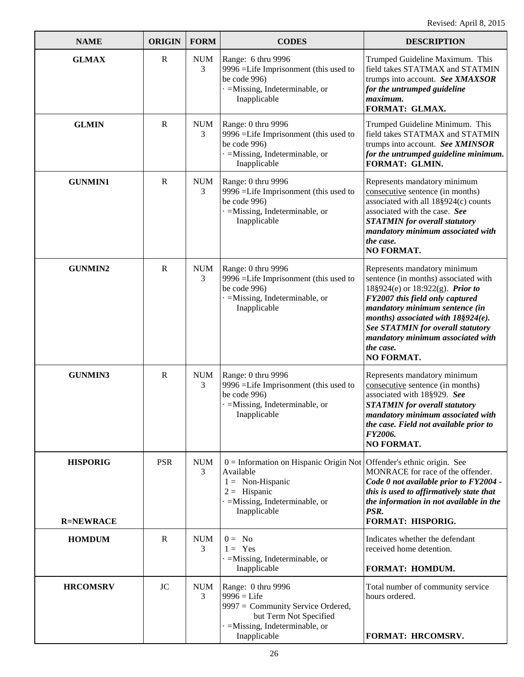| <b>NAME</b>                         | <b>ORIGIN</b> | <b>FORM</b>     | <b>CODES</b>                                                                                                                                                                          | <b>DESCRIPTION</b>                                                                                                                                                                                                                                                                                                                  |
|-------------------------------------|---------------|-----------------|---------------------------------------------------------------------------------------------------------------------------------------------------------------------------------------|-------------------------------------------------------------------------------------------------------------------------------------------------------------------------------------------------------------------------------------------------------------------------------------------------------------------------------------|
| <b>GLMAX</b>                        | $\mathbf R$   | <b>NUM</b><br>3 | Range: 6 thru 9996<br>9996 = Life Imprisonment (this used to<br>be code 996)<br>$\cdot$ =Missing, Indeterminable, or<br>Inapplicable                                                  | Trumped Guideline Maximum. This<br>field takes STATMAX and STATMIN<br>trumps into account. See XMAXSOR<br>for the untrumped guideline<br>maximum.<br>FORMAT: GLMAX.                                                                                                                                                                 |
| <b>GLMIN</b>                        | $\mathbb{R}$  | <b>NUM</b><br>3 | Range: 0 thru 9996<br>9996 = Life Imprisonment (this used to<br>be code 996)<br>$=$ Missing, Indeterminable, or<br>Inapplicable                                                       | Trumped Guideline Minimum. This<br>field takes STATMAX and STATMIN<br>trumps into account. See XMINSOR<br>for the untrumped guideline minimum.<br>FORMAT: GLMIN.                                                                                                                                                                    |
| <b>GUNMIN1</b>                      | $\mathbb{R}$  | <b>NUM</b><br>3 | Range: 0 thru 9996<br>9996 =Life Imprisonment (this used to<br>be code 996)<br>$=$ Missing, Indeterminable, or<br>Inapplicable                                                        | Represents mandatory minimum<br>consecutive sentence (in months)<br>associated with all 18§924(c) counts<br>associated with the case. See<br><b>STATMIN</b> for overall statutory<br>mandatory minimum associated with<br>the case.<br>NO FORMAT.                                                                                   |
| <b>GUNMIN2</b>                      | $\mathbf R$   | <b>NUM</b><br>3 | Range: 0 thru 9996<br>9996 =Life Imprisonment (this used to<br>be code 996)<br>$=$ Missing, Indeterminable, or<br>Inapplicable                                                        | Represents mandatory minimum<br>sentence (in months) associated with<br>18§924(e) or 18:922(g). <i>Prior to</i><br>FY2007 this field only captured<br>mandatory minimum sentence (in<br>months) associated with $18\S924(e)$ .<br>See STATMIN for overall statutory<br>mandatory minimum associated with<br>the case.<br>NO FORMAT. |
| <b>GUNMIN3</b>                      | $\mathbf R$   | <b>NUM</b><br>3 | Range: 0 thru 9996<br>9996 =Life Imprisonment (this used to<br>be code 996)<br>$=$ Missing, Indeterminable, or<br>Inapplicable                                                        | Represents mandatory minimum<br>consecutive sentence (in months)<br>associated with 18§929. See<br><b>STATMIN</b> for overall statutory<br>mandatory minimum associated with<br>the case. Field not available prior to<br>FY2006.<br><b>NO FORMAT.</b>                                                                              |
| <b>HISPORIG</b><br><b>R=NEWRACE</b> | <b>PSR</b>    | <b>NUM</b><br>3 | $0 =$ Information on Hispanic Origin Not Offender's ethnic origin. See<br>Available<br>$1 = \text{Non-Hispanic}$<br>$2 =$ Hispanic<br>$=$ Missing, Indeterminable, or<br>Inapplicable | MONRACE for race of the offender.<br>Code 0 not available prior to FY2004 -<br>this is used to affirmatively state that<br>the information in not available in the<br>PSR.<br>FORMAT: HISPORIG.                                                                                                                                     |
| <b>HOMDUM</b>                       | $\mathbf R$   | <b>NUM</b><br>3 | $0 = No$<br>$1 = \text{Yes}$<br>$=$ Missing, Indeterminable, or<br>Inapplicable                                                                                                       | Indicates whether the defendant<br>received home detention.<br>FORMAT: HOMDUM.                                                                                                                                                                                                                                                      |
| <b>HRCOMSRV</b>                     | <b>JC</b>     | <b>NUM</b><br>3 | Range: 0 thru 9996<br>$9996 =$ Life<br>9997 = Community Service Ordered,<br>but Term Not Specified<br>$=$ Missing, Indeterminable, or<br>Inapplicable                                 | Total number of community service<br>hours ordered.<br>FORMAT: HRCOMSRV.                                                                                                                                                                                                                                                            |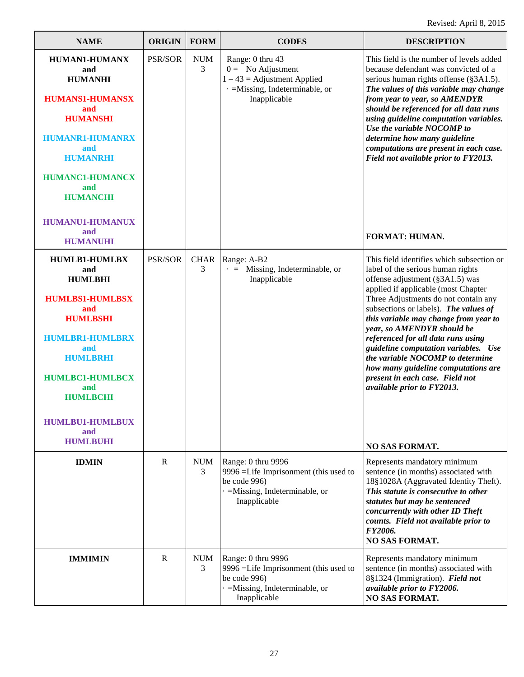| <b>NAME</b>                                                                                                                                                                                                                                                   | <b>ORIGIN</b> | <b>FORM</b>      | <b>CODES</b>                                                                                                                         | <b>DESCRIPTION</b>                                                                                                                                                                                                                                                                                                                                                                                                                                                                                                                         |
|---------------------------------------------------------------------------------------------------------------------------------------------------------------------------------------------------------------------------------------------------------------|---------------|------------------|--------------------------------------------------------------------------------------------------------------------------------------|--------------------------------------------------------------------------------------------------------------------------------------------------------------------------------------------------------------------------------------------------------------------------------------------------------------------------------------------------------------------------------------------------------------------------------------------------------------------------------------------------------------------------------------------|
| <b>HUMAN1-HUMANX</b><br>and<br><b>HUMANHI</b><br><b>HUMANS1-HUMANSX</b><br>and<br><b>HUMANSHI</b><br><b>HUMANR1-HUMANRX</b><br>and<br><b>HUMANRHI</b><br><b>HUMANC1-HUMANCX</b><br>and<br><b>HUMANCHI</b><br><b>HUMANU1-HUMANUX</b><br>and<br><b>HUMANUHI</b> | PSR/SOR       | <b>NUM</b><br>3  | Range: 0 thru 43<br>$0 =$ No Adjustment<br>$1 - 43$ = Adjustment Applied<br>· = Missing, Indeterminable, or<br>Inapplicable          | This field is the number of levels added<br>because defendant was convicted of a<br>serious human rights offense (§3A1.5).<br>The values of this variable may change<br>from year to year, so AMENDYR<br>should be referenced for all data runs<br>using guideline computation variables.<br>Use the variable NOCOMP to<br>determine how many guideline<br>computations are present in each case.<br>Field not available prior to FY2013.<br><b>FORMAT: HUMAN.</b>                                                                         |
| <b>HUMLB1-HUMLBX</b><br>and<br><b>HUMLBHI</b><br><b>HUMLBS1-HUMLBSX</b><br>and<br><b>HUMLBSHI</b><br><b>HUMLBR1-HUMLBRX</b><br>and<br><b>HUMLBRHI</b><br><b>HUMLBC1-HUMLBCX</b><br>and<br><b>HUMLBCHI</b><br><b>HUMLBU1-HUMLBUX</b><br>and<br><b>HUMLBUHI</b> | PSR/SOR       | <b>CHAR</b><br>3 | Range: A-B2<br>$\cdot$ = Missing, Indeterminable, or<br>Inapplicable                                                                 | This field identifies which subsection or<br>label of the serious human rights<br>offense adjustment (§3A1.5) was<br>applied if applicable (most Chapter<br>Three Adjustments do not contain any<br>subsections or labels). The values of<br>this variable may change from year to<br>year, so AMENDYR should be<br>referenced for all data runs using<br>guideline computation variables. Use<br>the variable NOCOMP to determine<br>how many guideline computations are<br>present in each case. Field not<br>available prior to FY2013. |
| <b>IDMIN</b>                                                                                                                                                                                                                                                  | $\mathbf R$   | <b>NUM</b><br>3  | Range: 0 thru 9996<br>9996 =Life Imprisonment (this used to<br>be code 996)<br>$\cdot$ =Missing, Indeterminable, or<br>Inapplicable  | <b>NO SAS FORMAT.</b><br>Represents mandatory minimum<br>sentence (in months) associated with<br>18§1028A (Aggravated Identity Theft).<br>This statute is consecutive to other<br>statutes but may be sentenced<br>concurrently with other ID Theft<br>counts. Field not available prior to<br>FY2006.<br><b>NO SAS FORMAT.</b>                                                                                                                                                                                                            |
| <b>IMMIMIN</b>                                                                                                                                                                                                                                                | R             | <b>NUM</b><br>3  | Range: 0 thru 9996<br>9996 = Life Imprisonment (this used to<br>be code 996)<br>$\cdot$ =Missing, Indeterminable, or<br>Inapplicable | Represents mandatory minimum<br>sentence (in months) associated with<br>8§1324 (Immigration). Field not<br>available prior to FY2006.<br>NO SAS FORMAT.                                                                                                                                                                                                                                                                                                                                                                                    |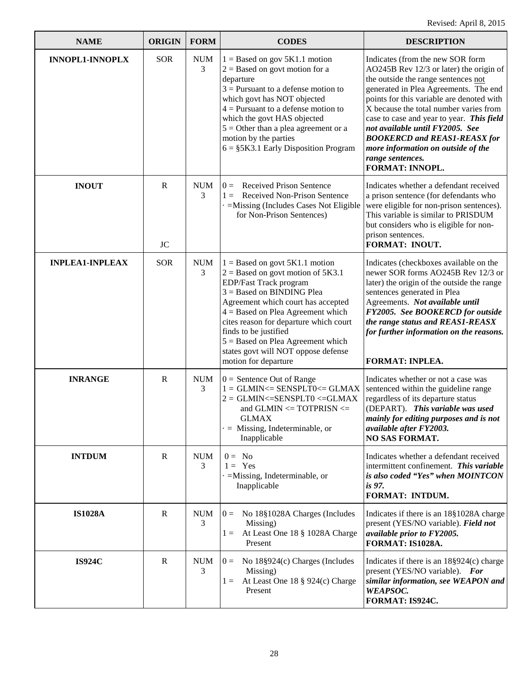| <b>NAME</b>            | <b>ORIGIN</b>            | <b>FORM</b>     | <b>CODES</b>                                                                                                                                                                                                                                                                                                                                                                           | <b>DESCRIPTION</b>                                                                                                                                                                                                                                                                                                                                                                                                                                     |
|------------------------|--------------------------|-----------------|----------------------------------------------------------------------------------------------------------------------------------------------------------------------------------------------------------------------------------------------------------------------------------------------------------------------------------------------------------------------------------------|--------------------------------------------------------------------------------------------------------------------------------------------------------------------------------------------------------------------------------------------------------------------------------------------------------------------------------------------------------------------------------------------------------------------------------------------------------|
| <b>INNOPL1-INNOPLX</b> | <b>SOR</b>               | <b>NUM</b><br>3 | $1 =$ Based on gov 5K1.1 motion<br>$2 =$ Based on govt motion for a<br>departure<br>$3$ = Pursuant to a defense motion to<br>which govt has NOT objected<br>$4$ = Pursuant to a defense motion to<br>which the govt HAS objected<br>$5 =$ Other than a plea agreement or a<br>motion by the parties<br>$6 = \frac{55K3.1}{25}$ Early Disposition Program                               | Indicates (from the new SOR form<br>AO245B Rev 12/3 or later) the origin of<br>the outside the range sentences not<br>generated in Plea Agreements. The end<br>points for this variable are denoted with<br>X because the total number varies from<br>case to case and year to year. This field<br>not available until FY2005. See<br><b>BOOKERCD and REAS1-REASX for</b><br>more information on outside of the<br>range sentences.<br>FORMAT: INNOPL. |
| <b>INOUT</b>           | $\mathbf R$<br><b>JC</b> | <b>NUM</b><br>3 | <b>Received Prison Sentence</b><br>$0 =$<br>Received Non-Prison Sentence<br>$1 =$<br>=Missing (Includes Cases Not Eligible<br>for Non-Prison Sentences)                                                                                                                                                                                                                                | Indicates whether a defendant received<br>a prison sentence (for defendants who<br>were eligible for non-prison sentences).<br>This variable is similar to PRISDUM<br>but considers who is eligible for non-<br>prison sentences.<br>FORMAT: INOUT.                                                                                                                                                                                                    |
| <b>INPLEA1-INPLEAX</b> | <b>SOR</b>               | <b>NUM</b><br>3 | $1 =$ Based on govt 5K1.1 motion<br>$2 =$ Based on govt motion of 5K3.1<br>EDP/Fast Track program<br>$3 =$ Based on BINDING Plea<br>Agreement which court has accepted<br>$4 =$ Based on Plea Agreement which<br>cites reason for departure which court<br>finds to be justified<br>$5 =$ Based on Plea Agreement which<br>states govt will NOT oppose defense<br>motion for departure | Indicates (checkboxes available on the<br>newer SOR forms AO245B Rev 12/3 or<br>later) the origin of the outside the range<br>sentences generated in Plea<br>Agreements. Not available until<br>FY2005. See BOOKERCD for outside<br>the range status and REAS1-REASX<br>for further information on the reasons.<br><b>FORMAT: INPLEA.</b>                                                                                                              |
| <b>INRANGE</b>         | $\mathbf R$              | <b>NUM</b><br>3 | $0 =$ Sentence Out of Range<br>$1 = \text{GLMIN} \leq \text{SENSEPLT0} \leq \text{GLMAX}$<br>$2 = \frac{GLMIN}{=$ SENSPLT0 <= GLMAX<br>and GLMIN $\leq$ TOTPRISN $\leq$<br><b>GLMAX</b><br>$=$ Missing, Indeterminable, or<br>Inapplicable                                                                                                                                             | Indicates whether or not a case was<br>sentenced within the guideline range<br>regardless of its departure status<br>(DEPART). This variable was used<br>mainly for editing purposes and is not<br>available after FY2003.<br><b>NO SAS FORMAT.</b>                                                                                                                                                                                                    |
| <b>INTDUM</b>          | $\mathbb{R}$             | <b>NUM</b><br>3 | $0 = No$<br>$1 = \text{Yes}$<br>$=$ Missing, Indeterminable, or<br>Inapplicable                                                                                                                                                                                                                                                                                                        | Indicates whether a defendant received<br>intermittent confinement. This variable<br>is also coded "Yes" when MOINTCON<br><i>is</i> 97.<br>FORMAT: INTDUM.                                                                                                                                                                                                                                                                                             |
| <b>IS1028A</b>         | $\mathbb{R}$             | NUM<br>3        | No 18§1028A Charges (Includes<br>$0 =$<br>Missing)<br>At Least One 18 § 1028A Charge<br>$1 =$<br>Present                                                                                                                                                                                                                                                                               | Indicates if there is an 18§1028A charge<br>present (YES/NO variable). Field not<br>available prior to FY2005.<br>FORMAT: IS1028A.                                                                                                                                                                                                                                                                                                                     |
| <b>IS924C</b>          | $\mathbf R$              | <b>NUM</b><br>3 | No $18\S924(c)$ Charges (Includes<br>$0 =$<br>Missing)<br>At Least One 18 § 924(c) Charge<br>$1 =$<br>Present                                                                                                                                                                                                                                                                          | Indicates if there is an $18\S924(c)$ charge<br>present (YES/NO variable). For<br>similar information, see WEAPON and<br><b>WEAPSOC.</b><br>FORMAT: IS924C.                                                                                                                                                                                                                                                                                            |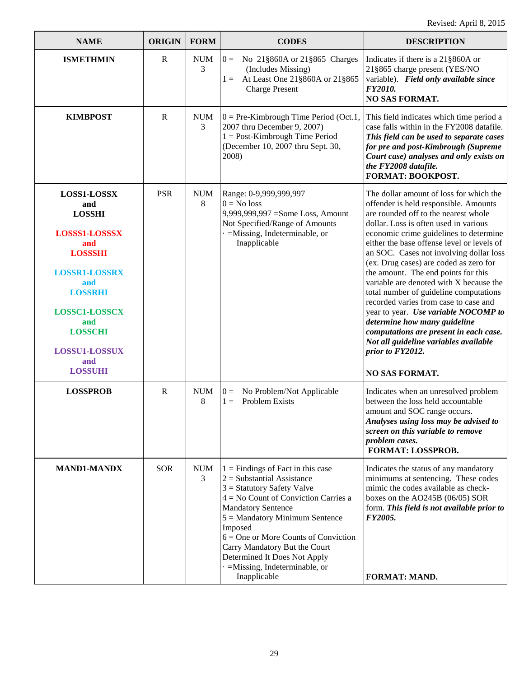| <b>NAME</b>                                                                                                                                                                                                                             | <b>ORIGIN</b> | <b>FORM</b>     | <b>CODES</b>                                                                                                                                                                                                                                                                                                                                                                                 | <b>DESCRIPTION</b>                                                                                                                                                                                                                                                                                                                                                                                                                                                                                                                                                                                                                                                                                                          |
|-----------------------------------------------------------------------------------------------------------------------------------------------------------------------------------------------------------------------------------------|---------------|-----------------|----------------------------------------------------------------------------------------------------------------------------------------------------------------------------------------------------------------------------------------------------------------------------------------------------------------------------------------------------------------------------------------------|-----------------------------------------------------------------------------------------------------------------------------------------------------------------------------------------------------------------------------------------------------------------------------------------------------------------------------------------------------------------------------------------------------------------------------------------------------------------------------------------------------------------------------------------------------------------------------------------------------------------------------------------------------------------------------------------------------------------------------|
| <b>ISMETHMIN</b>                                                                                                                                                                                                                        | $\mathbf R$   | <b>NUM</b><br>3 | No 21§860A or 21§865 Charges<br>$0 =$<br>(Includes Missing)<br>At Least One 21§860A or 21§865<br>$1 =$<br><b>Charge Present</b>                                                                                                                                                                                                                                                              | Indicates if there is a 21§860A or<br>21§865 charge present (YES/NO<br>variable). Field only available since<br>FY2010.<br><b>NO SAS FORMAT.</b>                                                                                                                                                                                                                                                                                                                                                                                                                                                                                                                                                                            |
| <b>KIMBPOST</b>                                                                                                                                                                                                                         | $\mathbf R$   | <b>NUM</b><br>3 | $0 = Pre-Kimbrought$ Time Period (Oct.1,<br>2007 thru December 9, 2007)<br>$1 = Post-Kimbrought Time Period$<br>(December 10, 2007 thru Sept. 30,<br>2008)                                                                                                                                                                                                                                   | This field indicates which time period a<br>case falls within in the FY2008 datafile.<br>This field can be used to separate cases<br>for pre and post-Kimbrough (Supreme<br>Court case) analyses and only exists on<br>the FY2008 datafile.<br>FORMAT: BOOKPOST.                                                                                                                                                                                                                                                                                                                                                                                                                                                            |
| LOSS1-LOSSX<br>and<br><b>LOSSHI</b><br><b>LOSSS1-LOSSSX</b><br>and<br><b>LOSSSHI</b><br><b>LOSSR1-LOSSRX</b><br>and<br><b>LOSSRHI</b><br><b>LOSSC1-LOSSCX</b><br>and<br><b>LOSSCHI</b><br><b>LOSSU1-LOSSUX</b><br>and<br><b>LOSSUHI</b> | <b>PSR</b>    | <b>NUM</b><br>8 | Range: 0-9,999,999,997<br>$0 = No$ loss<br>9,999,999,997 = Some Loss, Amount<br>Not Specified/Range of Amounts<br>$=$ Missing, Indeterminable, or<br>Inapplicable                                                                                                                                                                                                                            | The dollar amount of loss for which the<br>offender is held responsible. Amounts<br>are rounded off to the nearest whole<br>dollar. Loss is often used in various<br>economic crime guidelines to determine<br>either the base offense level or levels of<br>an SOC. Cases not involving dollar loss<br>(ex. Drug cases) are coded as zero for<br>the amount. The end points for this<br>variable are denoted with X because the<br>total number of guideline computations<br>recorded varies from case to case and<br>year to year. Use variable NOCOMP to<br>determine how many guideline<br>computations are present in each case.<br>Not all guideline variables available<br>prior to FY2012.<br><b>NO SAS FORMAT.</b> |
| <b>LOSSPROB</b>                                                                                                                                                                                                                         | $\mathbf R$   | <b>NUM</b><br>8 | No Problem/Not Applicable<br>$0 =$<br><b>Problem Exists</b><br>$1 =$                                                                                                                                                                                                                                                                                                                         | Indicates when an unresolved problem<br>between the loss held accountable<br>amount and SOC range occurs.<br>Analyses using loss may be advised to<br>screen on this variable to remove<br>problem cases.<br>FORMAT: LOSSPROB.                                                                                                                                                                                                                                                                                                                                                                                                                                                                                              |
| <b>MAND1-MANDX</b>                                                                                                                                                                                                                      | <b>SOR</b>    | <b>NUM</b><br>3 | $1 =$ Findings of Fact in this case<br>$2 =$ Substantial Assistance<br>$3 =$ Statutory Safety Valve<br>$4 = No$ Count of Conviction Carries a<br><b>Mandatory Sentence</b><br>$5 =$ Mandatory Minimum Sentence<br>Imposed<br>$6 =$ One or More Counts of Conviction<br>Carry Mandatory But the Court<br>Determined It Does Not Apply<br>$\cdot$ =Missing, Indeterminable, or<br>Inapplicable | Indicates the status of any mandatory<br>minimums at sentencing. These codes<br>mimic the codes available as check-<br>boxes on the AO245B $(06/05)$ SOR<br>form. This field is not available prior to<br>FY2005.<br>FORMAT: MAND.                                                                                                                                                                                                                                                                                                                                                                                                                                                                                          |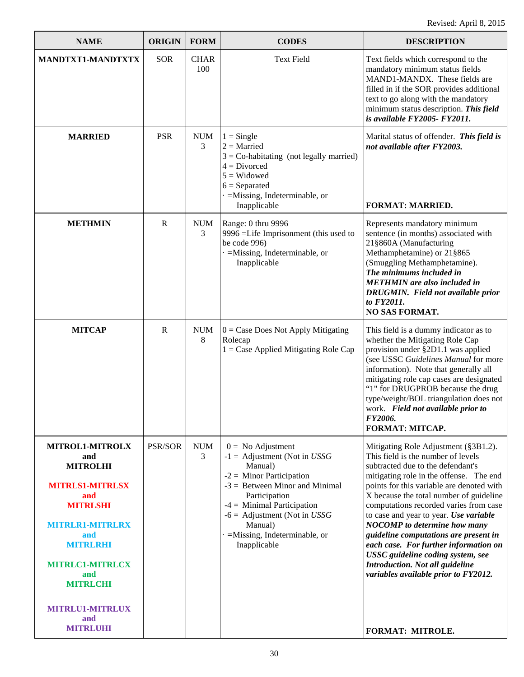| <b>NAME</b>                                                                                                                                                                                                                                                      | <b>ORIGIN</b>  | <b>FORM</b>        | <b>CODES</b>                                                                                                                                                                                                                                                                                      | <b>DESCRIPTION</b>                                                                                                                                                                                                                                                                                                                                                                                                                                                                                                                                                                                  |
|------------------------------------------------------------------------------------------------------------------------------------------------------------------------------------------------------------------------------------------------------------------|----------------|--------------------|---------------------------------------------------------------------------------------------------------------------------------------------------------------------------------------------------------------------------------------------------------------------------------------------------|-----------------------------------------------------------------------------------------------------------------------------------------------------------------------------------------------------------------------------------------------------------------------------------------------------------------------------------------------------------------------------------------------------------------------------------------------------------------------------------------------------------------------------------------------------------------------------------------------------|
| MANDTXT1-MANDTXTX                                                                                                                                                                                                                                                | <b>SOR</b>     | <b>CHAR</b><br>100 | <b>Text Field</b>                                                                                                                                                                                                                                                                                 | Text fields which correspond to the<br>mandatory minimum status fields<br>MAND1-MANDX. These fields are<br>filled in if the SOR provides additional<br>text to go along with the mandatory<br>minimum status description. This field<br>is available FY2005- FY2011.                                                                                                                                                                                                                                                                                                                                |
| <b>MARRIED</b>                                                                                                                                                                                                                                                   | <b>PSR</b>     | <b>NUM</b><br>3    | $1 =$ Single<br>$2 =$ Married<br>$3 =$ Co-habitating (not legally married)<br>$4 = Divored$<br>$5 = Widowed$<br>$6 =$ Separated<br>$\cdot$ =Missing, Indeterminable, or<br>Inapplicable                                                                                                           | Marital status of offender. This field is<br>not available after FY2003.<br><b>FORMAT: MARRIED.</b>                                                                                                                                                                                                                                                                                                                                                                                                                                                                                                 |
| <b>METHMIN</b>                                                                                                                                                                                                                                                   | $\mathbb{R}$   | <b>NUM</b><br>3    | Range: 0 thru 9996<br>9996 =Life Imprisonment (this used to<br>be code 996)<br>$=$ Missing, Indeterminable, or<br>Inapplicable                                                                                                                                                                    | Represents mandatory minimum<br>sentence (in months) associated with<br>21§860A (Manufacturing<br>Methamphetamine) or 21§865<br>(Smuggling Methamphetamine).<br>The minimums included in<br><b>METHMIN</b> are also included in<br><b>DRUGMIN.</b> Field not available prior<br>to FY2011.<br><b>NO SAS FORMAT.</b>                                                                                                                                                                                                                                                                                 |
| <b>MITCAP</b>                                                                                                                                                                                                                                                    | $\mathbf R$    | <b>NUM</b><br>8    | $0 = Case Does Not Apply Mitigating$<br>Rolecap<br>$1 = Case$ Applied Mitigating Role Cap                                                                                                                                                                                                         | This field is a dummy indicator as to<br>whether the Mitigating Role Cap<br>provision under §2D1.1 was applied<br>(see USSC Guidelines Manual for more<br>information). Note that generally all<br>mitigating role cap cases are designated<br>"1" for DRUGPROB because the drug<br>type/weight/BOL triangulation does not<br>work. Field not available prior to<br>FY2006.<br>FORMAT: MITCAP.                                                                                                                                                                                                      |
| <b>MITROL1-MITROLX</b><br>and<br><b>MITROLHI</b><br><b>MITRLS1-MITRLSX</b><br>and<br><b>MITRLSHI</b><br><b>MITRLR1-MITRLRX</b><br>and<br><b>MITRLRHI</b><br><b>MITRLC1-MITRLCX</b><br>and<br><b>MITRLCHI</b><br><b>MITRLU1-MITRLUX</b><br>and<br><b>MITRLUHI</b> | <b>PSR/SOR</b> | <b>NUM</b><br>3    | $0 = No$ Adjustment<br>$-1 =$ Adjustment (Not in <i>USSG</i><br>Manual)<br>$-2 =$ Minor Participation<br>$-3$ = Between Minor and Minimal<br>Participation<br>$-4 =$ Minimal Participation<br>$-6 =$ Adjustment (Not in <i>USSG</i><br>Manual)<br>$=$ Missing, Indeterminable, or<br>Inapplicable | Mitigating Role Adjustment (§3B1.2).<br>This field is the number of levels<br>subtracted due to the defendant's<br>mitigating role in the offense. The end<br>points for this variable are denoted with<br>X because the total number of guideline<br>computations recorded varies from case<br>to case and year to year. Use variable<br><b>NOCOMP</b> to determine how many<br>guideline computations are present in<br>each case. For further information on<br>USSC guideline coding system, see<br>Introduction. Not all guideline<br>variables available prior to FY2012.<br>FORMAT: MITROLE. |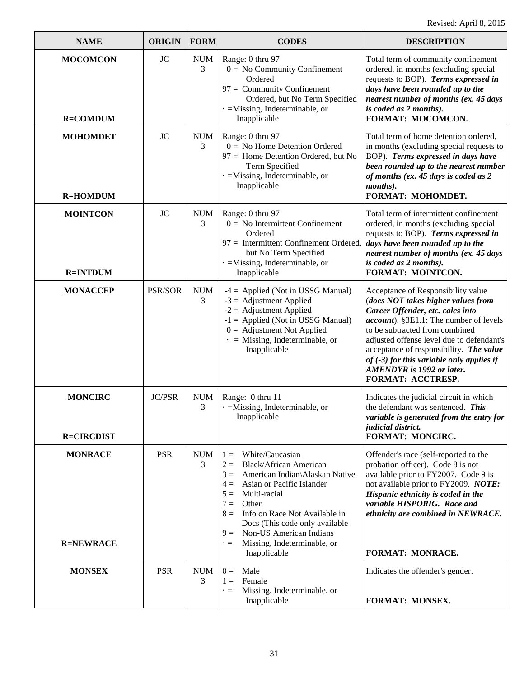| <b>NAME</b>                         | <b>ORIGIN</b>  | <b>FORM</b>     | <b>CODES</b>                                                                                                                                                                                                                                                                                                                                                               | <b>DESCRIPTION</b>                                                                                                                                                                                                                                                                                                                                                                               |
|-------------------------------------|----------------|-----------------|----------------------------------------------------------------------------------------------------------------------------------------------------------------------------------------------------------------------------------------------------------------------------------------------------------------------------------------------------------------------------|--------------------------------------------------------------------------------------------------------------------------------------------------------------------------------------------------------------------------------------------------------------------------------------------------------------------------------------------------------------------------------------------------|
| <b>MOCOMCON</b><br><b>R=COMDUM</b>  | <b>JC</b>      | <b>NUM</b><br>3 | Range: 0 thru 97<br>$0 = No$ Community Confinement<br>Ordered<br>$97 =$ Community Confinement<br>Ordered, but No Term Specified<br>$=$ Missing, Indeterminable, or<br>Inapplicable                                                                                                                                                                                         | Total term of community confinement<br>ordered, in months (excluding special<br>requests to BOP). Terms expressed in<br>days have been rounded up to the<br>nearest number of months (ex. 45 days<br>is coded as 2 months).<br>FORMAT: MOCOMCON.                                                                                                                                                 |
| <b>MOHOMDET</b><br><b>R=HOMDUM</b>  | <b>JC</b>      | <b>NUM</b><br>3 | Range: 0 thru 97<br>$0 =$ No Home Detention Ordered<br>97 = Home Detention Ordered, but No<br>Term Specified<br>$=$ Missing, Indeterminable, or<br>Inapplicable                                                                                                                                                                                                            | Total term of home detention ordered,<br>in months (excluding special requests to<br>BOP). Terms expressed in days have<br>been rounded up to the nearest number<br>of months (ex. 45 days is coded as 2<br>months).<br>FORMAT: MOHOMDET.                                                                                                                                                        |
| <b>MOINTCON</b><br><b>R=INTDUM</b>  | <b>JC</b>      | <b>NUM</b><br>3 | Range: 0 thru 97<br>$0 =$ No Intermittent Confinement<br>Ordered<br>97 = Intermittent Confinement Ordered,<br>but No Term Specified<br>$=$ Missing, Indeterminable, or<br>Inapplicable                                                                                                                                                                                     | Total term of intermittent confinement<br>ordered, in months (excluding special<br>requests to BOP). Terms expressed in<br>days have been rounded up to the<br>nearest number of months (ex. 45 days<br>is coded as 2 months).<br>FORMAT: MOINTCON.                                                                                                                                              |
| <b>MONACCEP</b>                     | <b>PSR/SOR</b> | <b>NUM</b><br>3 | $-4 =$ Applied (Not in USSG Manual)<br>$-3$ = Adjustment Applied<br>$-2$ = Adjustment Applied<br>$-1$ = Applied (Not in USSG Manual)<br>$0 =$ Adjustment Not Applied<br>$\cdot$ = Missing, Indeterminable, or<br>Inapplicable                                                                                                                                              | Acceptance of Responsibility value<br>(does NOT takes higher values from<br>Career Offender, etc. calcs into<br><i>account</i> ), §3E1.1: The number of levels<br>to be subtracted from combined<br>adjusted offense level due to defendant's<br>acceptance of responsibility. The value<br>of $(-3)$ for this variable only applies if<br><b>AMENDYR</b> is 1992 or later.<br>FORMAT: ACCTRESP. |
| <b>MONCIRC</b><br><b>R=CIRCDIST</b> | <b>JC/PSR</b>  | <b>NUM</b><br>3 | Range: 0 thru 11<br>$=$ Missing, Indeterminable, or<br>Inapplicable                                                                                                                                                                                                                                                                                                        | Indicates the judicial circuit in which<br>the defendant was sentenced. This<br>variable is generated from the entry for<br><i>judicial district.</i><br><b>FORMAT: MONCIRC.</b>                                                                                                                                                                                                                 |
| <b>MONRACE</b><br><b>R=NEWRACE</b>  | <b>PSR</b>     | <b>NUM</b><br>3 | White/Caucasian<br>$1 =$<br><b>Black/African American</b><br>$2 =$<br>American Indian\Alaskan Native<br>$3 =$<br>Asian or Pacific Islander<br>$4 =$<br>Multi-racial<br>$5 =$<br>Other<br>$7 =$<br>Info on Race Not Available in<br>$8 =$<br>Docs (This code only available<br>Non-US American Indians<br>$9 =$<br>Missing, Indeterminable, or<br>$\cdot =$<br>Inapplicable | Offender's race (self-reported to the<br>probation officer). Code 8 is not<br>available prior to FY2007. Code 9 is<br>not available prior to FY2009. NOTE:<br>Hispanic ethnicity is coded in the<br>variable HISPORIG. Race and<br>ethnicity are combined in NEWRACE.<br>FORMAT: MONRACE.                                                                                                        |
| <b>MONSEX</b>                       | <b>PSR</b>     | <b>NUM</b><br>3 | Male<br>$0 =$<br>Female<br>$1 =$<br>Missing, Indeterminable, or<br>$\cdot =$<br>Inapplicable                                                                                                                                                                                                                                                                               | Indicates the offender's gender.<br>FORMAT: MONSEX.                                                                                                                                                                                                                                                                                                                                              |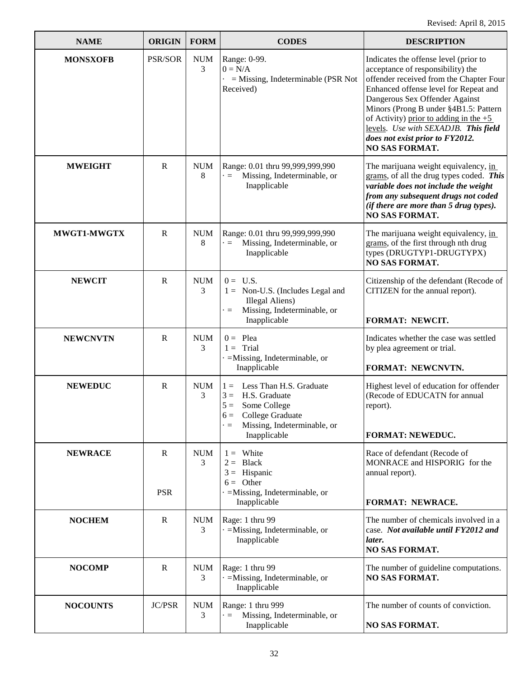| <b>NAME</b>     | <b>ORIGIN</b>   | <b>FORM</b>     | <b>CODES</b>                                                                                                                                                                | <b>DESCRIPTION</b>                                                                                                                                                                                                                                                                                                                                                                        |
|-----------------|-----------------|-----------------|-----------------------------------------------------------------------------------------------------------------------------------------------------------------------------|-------------------------------------------------------------------------------------------------------------------------------------------------------------------------------------------------------------------------------------------------------------------------------------------------------------------------------------------------------------------------------------------|
| <b>MONSXOFB</b> | PSR/SOR         | <b>NUM</b><br>3 | Range: 0-99.<br>$0 = N/A$<br>$-$ = Missing, Indeterminable (PSR Not<br>Received)                                                                                            | Indicates the offense level (prior to<br>acceptance of responsibility) the<br>offender received from the Chapter Four<br>Enhanced offense level for Repeat and<br>Dangerous Sex Offender Against<br>Minors (Prong B under §4B1.5: Pattern<br>of Activity) prior to adding in the $+5$<br>levels. Use with SEXADJB. This field<br>does not exist prior to FY2012.<br><b>NO SAS FORMAT.</b> |
| <b>MWEIGHT</b>  | R               | <b>NUM</b><br>8 | Range: 0.01 thru 99,999,999,990<br>Missing, Indeterminable, or<br>$\cdot =$<br>Inapplicable                                                                                 | The marijuana weight equivalency, in<br>grams, of all the drug types coded. This<br>variable does not include the weight<br>from any subsequent drugs not coded<br>(if there are more than 5 drug types).<br><b>NO SAS FORMAT.</b>                                                                                                                                                        |
| MWGT1-MWGTX     | $\mathbf R$     | <b>NUM</b><br>8 | Range: 0.01 thru 99,999,999,990<br>Missing, Indeterminable, or<br>$=$<br>Inapplicable                                                                                       | The marijuana weight equivalency, in<br>grams, of the first through nth drug<br>types (DRUGTYP1-DRUGTYPX)<br><b>NO SAS FORMAT.</b>                                                                                                                                                                                                                                                        |
| <b>NEWCIT</b>   | $\mathbf R$     | <b>NUM</b><br>3 | $0 = U.S.$<br>$1 =$ Non-U.S. (Includes Legal and<br>Illegal Aliens)<br>Missing, Indeterminable, or<br>$\blacksquare$<br>Inapplicable                                        | Citizenship of the defendant (Recode of<br>CITIZEN for the annual report).<br>FORMAT: NEWCIT.                                                                                                                                                                                                                                                                                             |
| <b>NEWCNVTN</b> | $\mathbf R$     | <b>NUM</b><br>3 | $0 =$ Plea<br>$1 =$ Trial<br>$\cdot$ =Missing, Indeterminable, or<br>Inapplicable                                                                                           | Indicates whether the case was settled<br>by plea agreement or trial.<br>FORMAT: NEWCNVTN.                                                                                                                                                                                                                                                                                                |
| <b>NEWEDUC</b>  | $\mathbf R$     | <b>NUM</b><br>3 | Less Than H.S. Graduate<br>$1 =$<br>H.S. Graduate<br>$3 =$<br>$5 =$<br>Some College<br>College Graduate<br>$6 =$<br>Missing, Indeterminable, or<br>$\equiv$<br>Inapplicable | Highest level of education for offender<br>(Recode of EDUCATN for annual<br>report).<br><b>FORMAT: NEWEDUC.</b>                                                                                                                                                                                                                                                                           |
| <b>NEWRACE</b>  | R<br><b>PSR</b> | <b>NUM</b><br>3 | $1 =$ White<br>$2 = Black$<br>$3 =$ Hispanic<br>$6 =$ Other<br>$=$ Missing, Indeterminable, or                                                                              | Race of defendant (Recode of<br>MONRACE and HISPORIG for the<br>annual report).                                                                                                                                                                                                                                                                                                           |
|                 |                 |                 | Inapplicable                                                                                                                                                                | <b>FORMAT: NEWRACE.</b>                                                                                                                                                                                                                                                                                                                                                                   |
| <b>NOCHEM</b>   | $\mathbf R$     | <b>NUM</b><br>3 | Rage: 1 thru 99<br>$\cdot$ =Missing, Indeterminable, or<br>Inapplicable                                                                                                     | The number of chemicals involved in a<br>case. Not available until FY2012 and<br>later.<br><b>NO SAS FORMAT.</b>                                                                                                                                                                                                                                                                          |
| <b>NOCOMP</b>   | $\mathbf R$     | <b>NUM</b><br>3 | Rage: 1 thru 99<br>$=$ Missing, Indeterminable, or<br>Inapplicable                                                                                                          | The number of guideline computations.<br><b>NO SAS FORMAT.</b>                                                                                                                                                                                                                                                                                                                            |
| <b>NOCOUNTS</b> | <b>JC/PSR</b>   | <b>NUM</b><br>3 | Range: 1 thru 999<br>Missing, Indeterminable, or<br>$\equiv$<br>Inapplicable                                                                                                | The number of counts of conviction.<br>NO SAS FORMAT.                                                                                                                                                                                                                                                                                                                                     |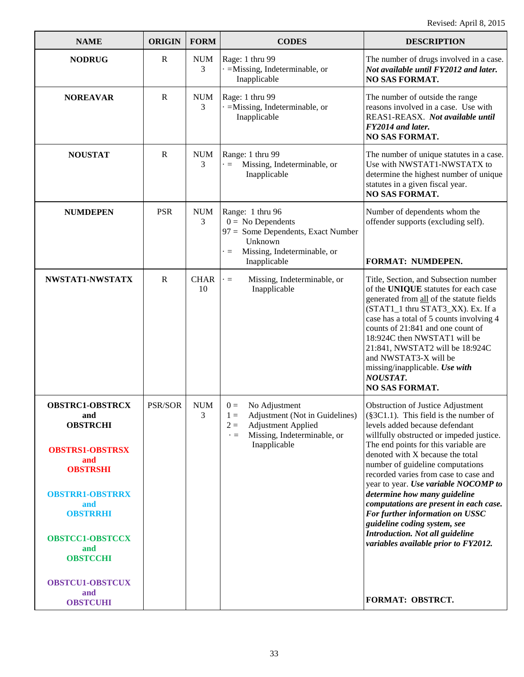| <b>NAME</b>                                                                                                                                                                                                                            | <b>ORIGIN</b> | <b>FORM</b>       | <b>CODES</b>                                                                                                                                                        | <b>DESCRIPTION</b>                                                                                                                                                                                                                                                                                                                                                                                                                                                                                                                                                                           |
|----------------------------------------------------------------------------------------------------------------------------------------------------------------------------------------------------------------------------------------|---------------|-------------------|---------------------------------------------------------------------------------------------------------------------------------------------------------------------|----------------------------------------------------------------------------------------------------------------------------------------------------------------------------------------------------------------------------------------------------------------------------------------------------------------------------------------------------------------------------------------------------------------------------------------------------------------------------------------------------------------------------------------------------------------------------------------------|
| <b>NODRUG</b>                                                                                                                                                                                                                          | $\mathbf R$   | <b>NUM</b><br>3   | Rage: 1 thru 99<br>$\cdot$ =Missing, Indeterminable, or<br>Inapplicable                                                                                             | The number of drugs involved in a case.<br>Not available until FY2012 and later.<br>NO SAS FORMAT.                                                                                                                                                                                                                                                                                                                                                                                                                                                                                           |
| <b>NOREAVAR</b>                                                                                                                                                                                                                        | $\mathbf R$   | <b>NUM</b><br>3   | Rage: 1 thru 99<br>=Missing, Indeterminable, or<br>Inapplicable                                                                                                     | The number of outside the range<br>reasons involved in a case. Use with<br>REAS1-REASX. Not available until<br>FY2014 and later.<br><b>NO SAS FORMAT.</b>                                                                                                                                                                                                                                                                                                                                                                                                                                    |
| <b>NOUSTAT</b>                                                                                                                                                                                                                         | $\mathbf R$   | <b>NUM</b><br>3   | Range: 1 thru 99<br>Missing, Indeterminable, or<br>$\cdot =$<br>Inapplicable                                                                                        | The number of unique statutes in a case.<br>Use with NWSTAT1-NWSTATX to<br>determine the highest number of unique<br>statutes in a given fiscal year.<br><b>NO SAS FORMAT.</b>                                                                                                                                                                                                                                                                                                                                                                                                               |
| <b>NUMDEPEN</b>                                                                                                                                                                                                                        | <b>PSR</b>    | <b>NUM</b><br>3   | Range: 1 thru 96<br>$0 = No$ Dependents<br>97 = Some Dependents, Exact Number<br>Unknown<br>Missing, Indeterminable, or<br>$\cdot =$<br>Inapplicable                | Number of dependents whom the<br>offender supports (excluding self).<br>FORMAT: NUMDEPEN.                                                                                                                                                                                                                                                                                                                                                                                                                                                                                                    |
| NWSTAT1-NWSTATX                                                                                                                                                                                                                        | $\mathbf R$   | <b>CHAR</b><br>10 | Missing, Indeterminable, or<br>$\cdot =$<br>Inapplicable                                                                                                            | Title, Section, and Subsection number<br>of the UNIQUE statutes for each case<br>generated from all of the statute fields<br>(STAT1_1 thru STAT3_XX). Ex. If a<br>case has a total of 5 counts involving 4<br>counts of 21:841 and one count of<br>18:924C then NWSTAT1 will be<br>21:841, NWSTAT2 will be 18:924C<br>and NWSTAT3-X will be<br>missing/inapplicable. Use with<br><b>NOUSTAT.</b><br>NO SAS FORMAT.                                                                                                                                                                           |
| <b>OBSTRC1-OBSTRCX</b><br>and<br><b>OBSTRCHI</b><br><b>OBSTRS1-OBSTRSX</b><br>and<br><b>OBSTRSHI</b><br><b>OBSTRR1-OBSTRRX</b><br>and<br><b>OBSTRRHI</b><br><b>OBSTCC1-OBSTCCX</b><br>and<br><b>OBSTCCHI</b><br><b>OBSTCU1-OBSTCUX</b> | PSR/SOR       | <b>NUM</b><br>3   | No Adjustment<br>$0 =$<br>Adjustment (Not in Guidelines)<br>$1 =$<br>$2 =$<br><b>Adjustment Applied</b><br>Missing, Indeterminable, or<br>$\cdot =$<br>Inapplicable | <b>Obstruction of Justice Adjustment</b><br>$(\$3C1.1)$ . This field is the number of<br>levels added because defendant<br>willfully obstructed or impeded justice.<br>The end points for this variable are<br>denoted with X because the total<br>number of guideline computations<br>recorded varies from case to case and<br>year to year. Use variable NOCOMP to<br>determine how many guideline<br>computations are present in each case.<br>For further information on USSC<br>guideline coding system, see<br>Introduction. Not all guideline<br>variables available prior to FY2012. |
| and<br><b>OBSTCUHI</b>                                                                                                                                                                                                                 |               |                   |                                                                                                                                                                     | FORMAT: OBSTRCT.                                                                                                                                                                                                                                                                                                                                                                                                                                                                                                                                                                             |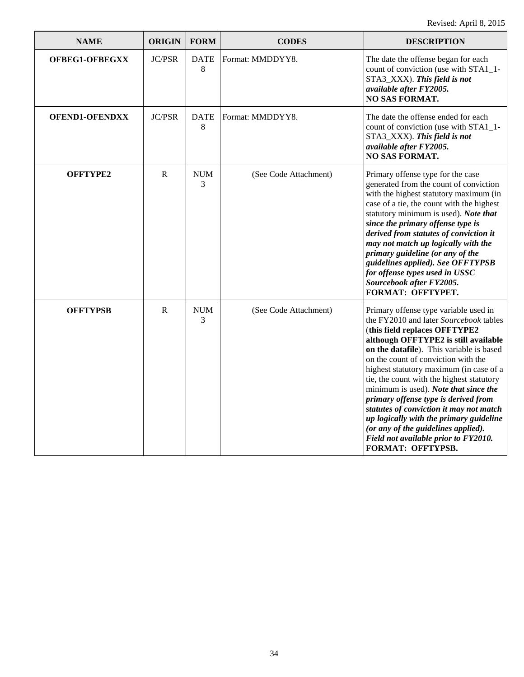| <b>NAME</b>           | <b>ORIGIN</b> | <b>FORM</b>                      | <b>CODES</b>          | <b>DESCRIPTION</b>                                                                                                                                                                                                                                                                                                                                                                                                                                                                                                                                                                                             |
|-----------------------|---------------|----------------------------------|-----------------------|----------------------------------------------------------------------------------------------------------------------------------------------------------------------------------------------------------------------------------------------------------------------------------------------------------------------------------------------------------------------------------------------------------------------------------------------------------------------------------------------------------------------------------------------------------------------------------------------------------------|
| OFBEG1-OFBEGXX        | <b>JC/PSR</b> | <b>DATE</b><br>8                 | Format: MMDDYY8.      | The date the offense began for each<br>count of conviction (use with STA1_1-<br>STA3_XXX). This field is not<br>available after FY2005.<br><b>NO SAS FORMAT.</b>                                                                                                                                                                                                                                                                                                                                                                                                                                               |
| <b>OFEND1-OFENDXX</b> | <b>JC/PSR</b> | <b>DATE</b><br>8                 | Format: MMDDYY8.      | The date the offense ended for each<br>count of conviction (use with STA1_1-<br>STA3_XXX). This field is not<br>available after FY2005.<br><b>NO SAS FORMAT.</b>                                                                                                                                                                                                                                                                                                                                                                                                                                               |
| OFFTYPE2              | $\mathbb{R}$  | <b>NUM</b><br>3                  | (See Code Attachment) | Primary offense type for the case<br>generated from the count of conviction<br>with the highest statutory maximum (in<br>case of a tie, the count with the highest<br>statutory minimum is used). Note that<br>since the primary offense type is<br>derived from statutes of conviction it<br>may not match up logically with the<br>primary guideline (or any of the<br>guidelines applied). See OFFTYPSB<br>for offense types used in USSC<br>Sourcebook after FY2005.<br><b>FORMAT: OFFTYPET.</b>                                                                                                           |
| <b>OFFTYPSB</b>       | R             | $\boldsymbol{\mathsf{NUM}}$<br>3 | (See Code Attachment) | Primary offense type variable used in<br>the FY2010 and later Sourcebook tables<br>(this field replaces OFFTYPE2<br>although OFFTYPE2 is still available<br>on the datafile). This variable is based<br>on the count of conviction with the<br>highest statutory maximum (in case of a<br>tie, the count with the highest statutory<br>minimum is used). Note that since the<br>primary offense type is derived from<br>statutes of conviction it may not match<br>up logically with the primary guideline<br>(or any of the guidelines applied).<br>Field not available prior to FY2010.<br>FORMAT: OFFTYPSB. |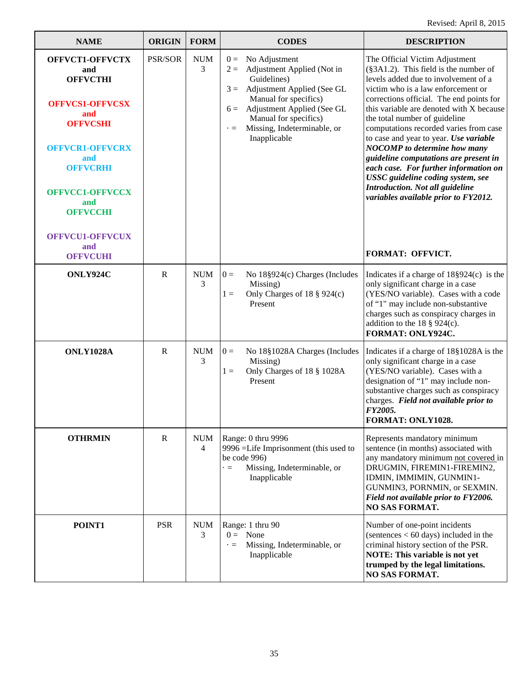| <b>NAME</b>                                                                                                                                                                                                                                        | <b>ORIGIN</b> | <b>FORM</b>                  | <b>CODES</b>                                                                                                                                                                                                                                                             | <b>DESCRIPTION</b>                                                                                                                                                                                                                                                                                                                                                                                                                                                                                                                                                                                                              |
|----------------------------------------------------------------------------------------------------------------------------------------------------------------------------------------------------------------------------------------------------|---------------|------------------------------|--------------------------------------------------------------------------------------------------------------------------------------------------------------------------------------------------------------------------------------------------------------------------|---------------------------------------------------------------------------------------------------------------------------------------------------------------------------------------------------------------------------------------------------------------------------------------------------------------------------------------------------------------------------------------------------------------------------------------------------------------------------------------------------------------------------------------------------------------------------------------------------------------------------------|
| OFFVCT1-OFFVCTX<br>and<br><b>OFFVCTHI</b><br><b>OFFVCS1-OFFVCSX</b><br>and<br><b>OFFVCSHI</b><br><b>OFFVCR1-OFFVCRX</b><br>and<br><b>OFFVCRHI</b><br><b>OFFVCC1-OFFVCCX</b><br>and<br><b>OFFVCCHI</b><br>OFFVCU1-OFFVCUX<br>and<br><b>OFFVCUHI</b> | PSR/SOR       | $\rm{NUM}$<br>3              | No Adjustment<br>$0 =$<br>Adjustment Applied (Not in<br>$2 =$<br>Guidelines)<br>Adjustment Applied (See GL<br>$3 =$<br>Manual for specifics)<br>Adjustment Applied (See GL<br>$6 =$<br>Manual for specifics)<br>Missing, Indeterminable, or<br>$\cdot =$<br>Inapplicable | The Official Victim Adjustment<br>(§3A1.2). This field is the number of<br>levels added due to involvement of a<br>victim who is a law enforcement or<br>corrections official. The end points for<br>this variable are denoted with X because<br>the total number of guideline<br>computations recorded varies from case<br>to case and year to year. Use variable<br><b>NOCOMP</b> to determine how many<br>guideline computations are present in<br>each case. For further information on<br>USSC guideline coding system, see<br>Introduction. Not all guideline<br>variables available prior to FY2012.<br>FORMAT: OFFVICT. |
| ONLY924C                                                                                                                                                                                                                                           | $\mathbf R$   | <b>NUM</b><br>3              | No 18§924(c) Charges (Includes<br>$0 =$<br>Missing)<br>Only Charges of 18 § 924(c)<br>$1 =$<br>Present                                                                                                                                                                   | Indicates if a charge of $18\S924(c)$ is the<br>only significant charge in a case<br>(YES/NO variable). Cases with a code<br>of "1" may include non-substantive<br>charges such as conspiracy charges in<br>addition to the 18 $\S$ 924(c).<br>FORMAT: ONLY924C.                                                                                                                                                                                                                                                                                                                                                                |
| <b>ONLY1028A</b>                                                                                                                                                                                                                                   | $\mathbf R$   | <b>NUM</b><br>3              | $0 =$<br>No 18§1028A Charges (Includes<br>Missing)<br>Only Charges of 18 § 1028A<br>$1 =$<br>Present                                                                                                                                                                     | Indicates if a charge of 18§1028A is the<br>only significant charge in a case<br>(YES/NO variable). Cases with a<br>designation of "1" may include non-<br>substantive charges such as conspiracy<br>charges. Field not available prior to<br>FY2005.<br>FORMAT: ONLY1028.                                                                                                                                                                                                                                                                                                                                                      |
| <b>OTHRMIN</b>                                                                                                                                                                                                                                     | $\mathbf R$   | <b>NUM</b><br>$\overline{4}$ | Range: 0 thru 9996<br>9996 =Life Imprisonment (this used to<br>be code 996)<br>Missing, Indeterminable, or<br>$\blacksquare$<br>Inapplicable                                                                                                                             | Represents mandatory minimum<br>sentence (in months) associated with<br>any mandatory minimum not covered in<br>DRUGMIN, FIREMIN1-FIREMIN2,<br>IDMIN, IMMIMIN, GUNMIN1-<br>GUNMIN3, PORNMIN, or SEXMIN.<br>Field not available prior to FY2006.<br><b>NO SAS FORMAT.</b>                                                                                                                                                                                                                                                                                                                                                        |
| POINT1                                                                                                                                                                                                                                             | <b>PSR</b>    | <b>NUM</b><br>3              | Range: 1 thru 90<br>$0 =$ None<br>Missing, Indeterminable, or<br>$\cdot$ $=$<br>Inapplicable                                                                                                                                                                             | Number of one-point incidents<br>(sentences $< 60 \text{ days}$ ) included in the<br>criminal history section of the PSR.<br>NOTE: This variable is not yet<br>trumped by the legal limitations.<br><b>NO SAS FORMAT.</b>                                                                                                                                                                                                                                                                                                                                                                                                       |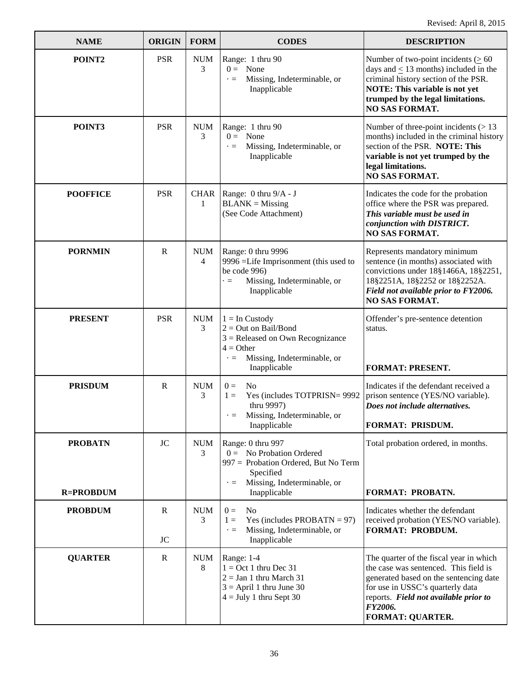| <b>NAME</b>                        | <b>ORIGIN</b>             | <b>FORM</b>     | <b>CODES</b>                                                                                                                                                     | <b>DESCRIPTION</b>                                                                                                                                                                                                                            |
|------------------------------------|---------------------------|-----------------|------------------------------------------------------------------------------------------------------------------------------------------------------------------|-----------------------------------------------------------------------------------------------------------------------------------------------------------------------------------------------------------------------------------------------|
| POINT2                             | <b>PSR</b>                | <b>NUM</b><br>3 | Range: 1 thru 90<br>$0 = \text{None}$<br>Missing, Indeterminable, or<br>$\cdot =$<br>Inapplicable                                                                | Number of two-point incidents ( $\geq 60$<br>days and $\leq$ 13 months) included in the<br>criminal history section of the PSR.<br>NOTE: This variable is not yet<br>trumped by the legal limitations.<br><b>NO SAS FORMAT.</b>               |
| POINT3                             | <b>PSR</b>                | <b>NUM</b><br>3 | Range: 1 thru 90<br>$0 = \text{None}$<br>Missing, Indeterminable, or<br>$\cdot =$<br>Inapplicable                                                                | Number of three-point incidents $($ > 13<br>months) included in the criminal history<br>section of the PSR. NOTE: This<br>variable is not yet trumped by the<br>legal limitations.<br><b>NO SAS FORMAT.</b>                                   |
| <b>POOFFICE</b>                    | <b>PSR</b>                | 1               | CHAR   Range: 0 thru 9/A - J<br>$BLANK = Missing$<br>(See Code Attachment)                                                                                       | Indicates the code for the probation<br>office where the PSR was prepared.<br>This variable must be used in<br>conjunction with DISTRICT.<br><b>NO SAS FORMAT.</b>                                                                            |
| <b>PORNMIN</b>                     | $\mathbf R$               | <b>NUM</b><br>4 | Range: 0 thru 9996<br>9996 =Life Imprisonment (this used to<br>be code 996)<br>Missing, Indeterminable, or<br>$\cdot =$<br>Inapplicable                          | Represents mandatory minimum<br>sentence (in months) associated with<br>convictions under 18§1466A, 18§2251,<br>18§2251A, 18§2252 or 18§2252A.<br>Field not available prior to FY2006.<br>NO SAS FORMAT.                                      |
| <b>PRESENT</b>                     | <b>PSR</b>                | <b>NUM</b><br>3 | $1 =$ In Custody<br>$2 = Out on Bail/Bond$<br>$3$ = Released on Own Recognizance<br>$4 = Other$<br>Missing, Indeterminable, or<br>$\cdot$ $=$<br>Inapplicable    | Offender's pre-sentence detention<br>status.<br><b>FORMAT: PRESENT.</b>                                                                                                                                                                       |
| <b>PRISDUM</b>                     | $\mathbf R$               | <b>NUM</b><br>3 | N <sub>0</sub><br>$0 =$<br>Yes (includes TOTPRISN= 9992<br>$1 =$<br>thru 9997)<br>Missing, Indeterminable, or<br>Inapplicable                                    | Indicates if the defendant received a<br>prison sentence (YES/NO variable).<br>Does not include alternatives.<br><b>FORMAT: PRISDUM.</b>                                                                                                      |
| <b>PROBATN</b><br><b>R=PROBDUM</b> | <b>JC</b>                 | <b>NUM</b><br>3 | Range: 0 thru 997<br>$0 =$ No Probation Ordered<br>997 = Probation Ordered, But No Term<br>Specified<br>Missing, Indeterminable, or<br>$\cdot =$<br>Inapplicable | Total probation ordered, in months.<br>FORMAT: PROBATN.                                                                                                                                                                                       |
| <b>PROBDUM</b>                     | $\mathbb{R}$<br><b>JC</b> | <b>NUM</b><br>3 | N <sub>0</sub><br>$0 =$<br>Yes (includes $PROBATN = 97$ )<br>$1 =$<br>Missing, Indeterminable, or<br>$\cdot =$<br>Inapplicable                                   | Indicates whether the defendant<br>received probation (YES/NO variable).<br><b>FORMAT: PROBDUM.</b>                                                                                                                                           |
| <b>QUARTER</b>                     | $\mathbf R$               | <b>NUM</b><br>8 | Range: 1-4<br>$1 = Oct 1$ thru Dec 31<br>$2 =$ Jan 1 thru March 31<br>$3 =$ April 1 thru June 30<br>$4 =$ July 1 thru Sept 30                                    | The quarter of the fiscal year in which<br>the case was sentenced. This field is<br>generated based on the sentencing date<br>for use in USSC's quarterly data<br>reports. Field not available prior to<br>FY2006.<br><b>FORMAT: QUARTER.</b> |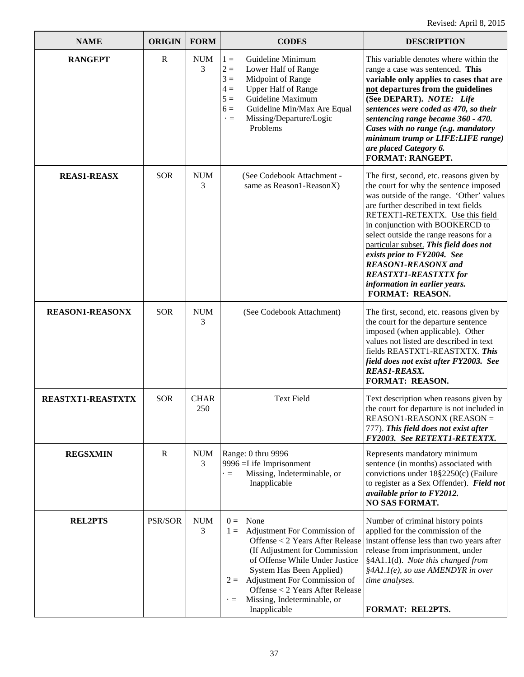| <b>NAME</b>            | <b>ORIGIN</b> | <b>FORM</b>        | <b>CODES</b>                                                                                                                                                                                                                                                                                                                  | <b>DESCRIPTION</b>                                                                                                                                                                                                                                                                                                                                                                                                                                                                |
|------------------------|---------------|--------------------|-------------------------------------------------------------------------------------------------------------------------------------------------------------------------------------------------------------------------------------------------------------------------------------------------------------------------------|-----------------------------------------------------------------------------------------------------------------------------------------------------------------------------------------------------------------------------------------------------------------------------------------------------------------------------------------------------------------------------------------------------------------------------------------------------------------------------------|
| <b>RANGEPT</b>         | $\mathbb{R}$  | <b>NUM</b><br>3    | Guideline Minimum<br>$1 =$<br>$2 =$<br>Lower Half of Range<br>$3 =$<br>Midpoint of Range<br><b>Upper Half of Range</b><br>$4 =$<br>Guideline Maximum<br>$5 =$<br>Guideline Min/Max Are Equal<br>$6 =$<br>Missing/Departure/Logic<br>$\cdot =$<br>Problems                                                                     | This variable denotes where within the<br>range a case was sentenced. This<br>variable only applies to cases that are<br>not departures from the guidelines<br>(See DEPART). NOTE: Life<br>sentences were coded as 470, so their<br>sentencing range became 360 - 470.<br>Cases with no range (e.g. mandatory<br>minimum trump or LIFE: LIFE range)<br>are placed Category 6.<br>FORMAT: RANGEPT.                                                                                 |
| <b>REAS1-REASX</b>     | <b>SOR</b>    | <b>NUM</b><br>3    | (See Codebook Attachment -<br>same as Reason1-ReasonX)                                                                                                                                                                                                                                                                        | The first, second, etc. reasons given by<br>the court for why the sentence imposed<br>was outside of the range. 'Other' values<br>are further described in text fields<br>RETEXT1-RETEXTX. Use this field<br>in conjunction with BOOKERCD to<br>select outside the range reasons for a<br>particular subset. This field does not<br>exists prior to FY2004. See<br><b>REASON1-REASONX</b> and<br><b>REASTXT1-REASTXTX for</b><br>information in earlier years.<br>FORMAT: REASON. |
| <b>REASON1-REASONX</b> | <b>SOR</b>    | <b>NUM</b><br>3    | (See Codebook Attachment)                                                                                                                                                                                                                                                                                                     | The first, second, etc. reasons given by<br>the court for the departure sentence<br>imposed (when applicable). Other<br>values not listed are described in text<br>fields REASTXT1-REASTXTX. This<br>field does not exist after FY2003. See<br><b>REAS1-REASX.</b><br><b>FORMAT: REASON.</b>                                                                                                                                                                                      |
| REASTXT1-REASTXTX      | <b>SOR</b>    | <b>CHAR</b><br>250 | <b>Text Field</b>                                                                                                                                                                                                                                                                                                             | Text description when reasons given by<br>the court for departure is not included in<br>REASON1-REASONX (REASON =<br>777). This field does not exist after<br>FY2003. See RETEXT1-RETEXTX.                                                                                                                                                                                                                                                                                        |
| <b>REGSXMIN</b>        | $\mathbf R$   | <b>NUM</b><br>3    | Range: 0 thru 9996<br>9996 = Life Imprisonment<br>Missing, Indeterminable, or<br>$\cdot =$<br>Inapplicable                                                                                                                                                                                                                    | Represents mandatory minimum<br>sentence (in months) associated with<br>convictions under 18§2250(c) (Failure<br>to register as a Sex Offender). Field not<br>available prior to FY2012.<br><b>NO SAS FORMAT.</b>                                                                                                                                                                                                                                                                 |
| <b>REL2PTS</b>         | PSR/SOR       | <b>NUM</b><br>3    | None<br>$0 =$<br>Adjustment For Commission of<br>$1 =$<br>Offense < 2 Years After Release<br>(If Adjustment for Commission<br>of Offense While Under Justice<br>System Has Been Applied)<br>$2 =$ Adjustment For Commission of<br>Offense < 2 Years After Release<br>Missing, Indeterminable, or<br>$\cdot =$<br>Inapplicable | Number of criminal history points<br>applied for the commission of the<br>instant offense less than two years after<br>release from imprisonment, under<br>§4A1.1(d). Note this changed from<br>$§4A1.1(e)$ , so use AMENDYR in over<br>time analyses.<br>FORMAT: REL2PTS.                                                                                                                                                                                                        |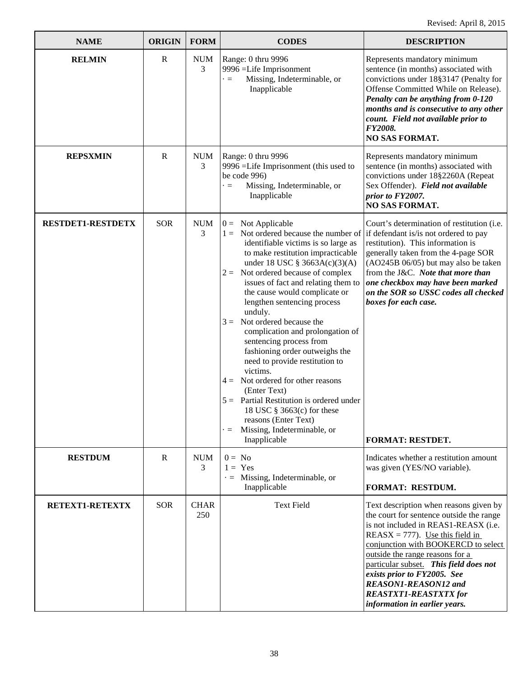| <b>NAME</b>              | <b>ORIGIN</b> | <b>FORM</b>        | <b>CODES</b>                                                                                                                                                                                                                                                                                                                                                                                                                                                                                                                                                                                                                                                                                                                                              | <b>DESCRIPTION</b>                                                                                                                                                                                                                                                                                                                                                                                          |
|--------------------------|---------------|--------------------|-----------------------------------------------------------------------------------------------------------------------------------------------------------------------------------------------------------------------------------------------------------------------------------------------------------------------------------------------------------------------------------------------------------------------------------------------------------------------------------------------------------------------------------------------------------------------------------------------------------------------------------------------------------------------------------------------------------------------------------------------------------|-------------------------------------------------------------------------------------------------------------------------------------------------------------------------------------------------------------------------------------------------------------------------------------------------------------------------------------------------------------------------------------------------------------|
| <b>RELMIN</b>            | $\mathbf R$   | <b>NUM</b><br>3    | Range: 0 thru 9996<br>9996 = Life Imprisonment<br>Missing, Indeterminable, or<br>$\cdot =$<br>Inapplicable                                                                                                                                                                                                                                                                                                                                                                                                                                                                                                                                                                                                                                                | Represents mandatory minimum<br>sentence (in months) associated with<br>convictions under 18§3147 (Penalty for<br>Offense Committed While on Release).<br>Penalty can be anything from 0-120<br>months and is consecutive to any other<br>count. Field not available prior to<br>FY2008.<br><b>NO SAS FORMAT.</b>                                                                                           |
| <b>REPSXMIN</b>          | $\mathbf R$   | <b>NUM</b><br>3    | Range: 0 thru 9996<br>9996 = Life Imprisonment (this used to<br>be code 996)<br>Missing, Indeterminable, or<br>$\cdot =$<br>Inapplicable                                                                                                                                                                                                                                                                                                                                                                                                                                                                                                                                                                                                                  | Represents mandatory minimum<br>sentence (in months) associated with<br>convictions under 18§2260A (Repeat<br>Sex Offender). Field not available<br>prior to FY2007.<br><b>NO SAS FORMAT.</b>                                                                                                                                                                                                               |
| <b>RESTDET1-RESTDETX</b> | <b>SOR</b>    | <b>NUM</b><br>3    | $0 =$ Not Applicable<br>$1 =$ Not ordered because the number of<br>identifiable victims is so large as<br>to make restitution impracticable<br>under 18 USC $\S 3663A(c)(3)(A)$<br>Not ordered because of complex<br>$2 =$<br>issues of fact and relating them to<br>the cause would complicate or<br>lengthen sentencing process<br>unduly.<br>Not ordered because the<br>$3 =$<br>complication and prolongation of<br>sentencing process from<br>fashioning order outweighs the<br>need to provide restitution to<br>victims.<br>$4 =$ Not ordered for other reasons<br>(Enter Text)<br>$5 =$ Partial Restitution is ordered under<br>18 USC $\S$ 3663(c) for these<br>reasons (Enter Text)<br>Missing, Indeterminable, or<br>$\cdot =$<br>Inapplicable | Court's determination of restitution (i.e.<br>if defendant is/is not ordered to pay<br>restitution). This information is<br>generally taken from the 4-page SOR<br>(AO245B 06/05) but may also be taken<br>from the J&C. Note that more than<br>one checkbox may have been marked<br>on the SOR so USSC codes all checked<br>boxes for each case.<br><b>FORMAT: RESTDET.</b>                                |
| <b>RESTDUM</b>           | $\mathbb{R}$  | <b>NUM</b><br>3    | $0 = No$<br>$1 = Yes$<br>$\cdot$ = Missing, Indeterminable, or<br>Inapplicable                                                                                                                                                                                                                                                                                                                                                                                                                                                                                                                                                                                                                                                                            | Indicates whether a restitution amount<br>was given (YES/NO variable).<br>FORMAT: RESTDUM.                                                                                                                                                                                                                                                                                                                  |
| RETEXT1-RETEXTX          | <b>SOR</b>    | <b>CHAR</b><br>250 | <b>Text Field</b>                                                                                                                                                                                                                                                                                                                                                                                                                                                                                                                                                                                                                                                                                                                                         | Text description when reasons given by<br>the court for sentence outside the range<br>is not included in REAS1-REASX (i.e.<br>$REASX = 777$ . Use this field in<br>conjunction with BOOKERCD to select<br>outside the range reasons for a<br>particular subset. This field does not<br>exists prior to FY2005. See<br>REASON1-REASON12 and<br><b>REASTXT1-REASTXTX for</b><br>information in earlier years. |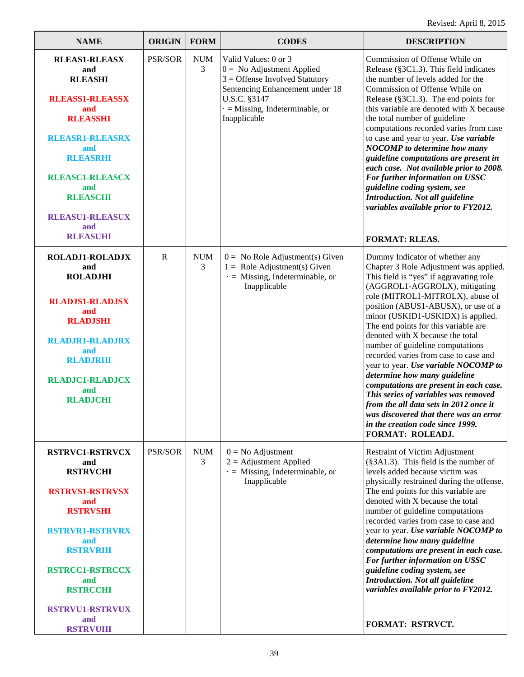| <b>NAME</b>                                                                                                                                                                                                                                                      | <b>ORIGIN</b>  | <b>FORM</b>     | <b>CODES</b>                                                                                                                                                                                  | <b>DESCRIPTION</b>                                                                                                                                                                                                                                                                                                                                                                                                                                                                                                                                                                                                                                                                                                                  |
|------------------------------------------------------------------------------------------------------------------------------------------------------------------------------------------------------------------------------------------------------------------|----------------|-----------------|-----------------------------------------------------------------------------------------------------------------------------------------------------------------------------------------------|-------------------------------------------------------------------------------------------------------------------------------------------------------------------------------------------------------------------------------------------------------------------------------------------------------------------------------------------------------------------------------------------------------------------------------------------------------------------------------------------------------------------------------------------------------------------------------------------------------------------------------------------------------------------------------------------------------------------------------------|
| <b>RLEAS1-RLEASX</b><br>and<br><b>RLEASHI</b><br><b>RLEASS1-RLEASSX</b><br>and<br><b>RLEASSHI</b><br><b>RLEASR1-RLEASRX</b><br>and<br><b>RLEASRHI</b><br><b>RLEASC1-RLEASCX</b><br>and<br><b>RLEASCHI</b><br><b>RLEASU1-RLEASUX</b><br>and<br><b>RLEASUHI</b>    | <b>PSR/SOR</b> | <b>NUM</b><br>3 | Valid Values: 0 or 3<br>$0 =$ No Adjustment Applied<br>$3 =$ Offense Involved Statutory<br>Sentencing Enhancement under 18<br>U.S.C. §3147<br>$=$ Missing, Indeterminable, or<br>Inapplicable | Commission of Offense While on<br>Release (§3C1.3). This field indicates<br>the number of levels added for the<br>Commission of Offense While on<br>Release (§3C1.3). The end points for<br>this variable are denoted with X because<br>the total number of guideline<br>computations recorded varies from case<br>to case and year to year. Use variable<br><b>NOCOMP</b> to determine how many<br>guideline computations are present in<br>each case. Not available prior to 2008.<br>For further information on USSC<br>guideline coding system, see<br><b>Introduction. Not all guideline</b><br>variables available prior to FY2012.<br><b>FORMAT: RLEAS.</b>                                                                  |
| <b>ROLADJ1-ROLADJX</b><br>and<br><b>ROLADJHI</b><br><b>RLADJS1-RLADJSX</b><br>and<br><b>RLADJSHI</b><br><b>RLADJR1-RLADJRX</b><br>and<br><b>RLADJRHI</b><br><b>RLADJC1-RLADJCX</b><br>and<br><b>RLADJCHI</b>                                                     | $\mathbb{R}$   | <b>NUM</b><br>3 | $0 =$ No Role Adjustment(s) Given<br>$1 =$ Role Adjustment(s) Given<br>$\cdot$ = Missing, Indeterminable, or<br>Inapplicable                                                                  | Dummy Indicator of whether any<br>Chapter 3 Role Adjustment was applied.<br>This field is "yes" if aggravating role<br>(AGGROL1-AGGROLX), mitigating<br>role (MITROL1-MITROLX), abuse of<br>position (ABUS1-ABUSX), or use of a<br>minor (USKID1-USKIDX) is applied.<br>The end points for this variable are<br>denoted with X because the total<br>number of guideline computations<br>recorded varies from case to case and<br>year to year. Use variable NOCOMP to<br>determine how many guideline<br>computations are present in each case.<br>This series of variables was removed<br>from the all data sets in 2012 once it<br>was discovered that there was an error<br>in the creation code since 1999.<br>FORMAT: ROLEADJ. |
| <b>RSTRVC1-RSTRVCX</b><br>and<br><b>RSTRVCHI</b><br><b>RSTRVS1-RSTRVSX</b><br>and<br><b>RSTRVSHI</b><br><b>RSTRVR1-RSTRVRX</b><br>and<br><b>RSTRVRHI</b><br><b>RSTRCC1-RSTRCCX</b><br>and<br><b>RSTRCCHI</b><br><b>RSTRVU1-RSTRVUX</b><br>and<br><b>RSTRVUHI</b> | <b>PSR/SOR</b> | <b>NUM</b><br>3 | $0 = No$ Adjustment<br>$2 =$ Adjustment Applied<br>$\cdot$ = Missing, Indeterminable, or<br>Inapplicable                                                                                      | <b>Restraint of Victim Adjustment</b><br>(§3A1.3). This field is the number of<br>levels added because victim was<br>physically restrained during the offense.<br>The end points for this variable are<br>denoted with X because the total<br>number of guideline computations<br>recorded varies from case to case and<br>year to year. Use variable NOCOMP to<br>determine how many guideline<br>computations are present in each case.<br>For further information on USSC<br>guideline coding system, see<br>Introduction. Not all guideline<br>variables available prior to FY2012.<br>FORMAT: RSTRVCT.                                                                                                                         |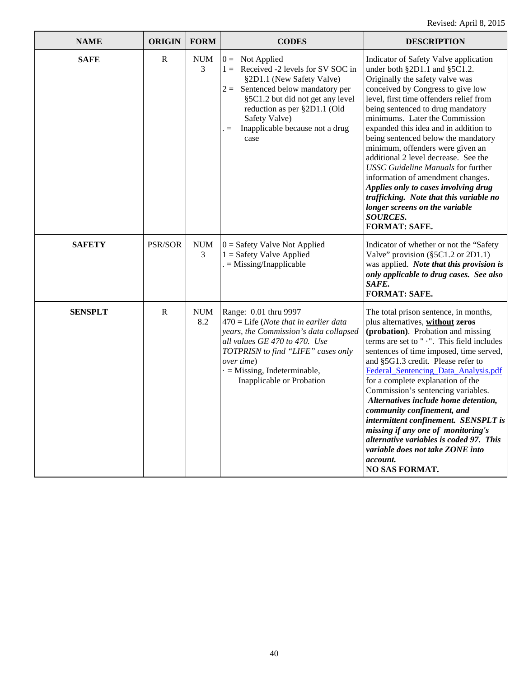| <b>NAME</b>    | <b>ORIGIN</b> | <b>FORM</b>       | <b>CODES</b>                                                                                                                                                                                                                                                               | <b>DESCRIPTION</b>                                                                                                                                                                                                                                                                                                                                                                                                                                                                                                                                                                                                                                                             |
|----------------|---------------|-------------------|----------------------------------------------------------------------------------------------------------------------------------------------------------------------------------------------------------------------------------------------------------------------------|--------------------------------------------------------------------------------------------------------------------------------------------------------------------------------------------------------------------------------------------------------------------------------------------------------------------------------------------------------------------------------------------------------------------------------------------------------------------------------------------------------------------------------------------------------------------------------------------------------------------------------------------------------------------------------|
| <b>SAFE</b>    | $\mathbf R$   | <b>NUM</b><br>3   | $0 =$ Not Applied<br>$1 =$ Received -2 levels for SV SOC in<br>§2D1.1 (New Safety Valve)<br>$2 =$ Sentenced below mandatory per<br>§5C1.2 but did not get any level<br>reduction as per §2D1.1 (Old<br>Safety Valve)<br>Inapplicable because not a drug<br>$=$<br>case     | Indicator of Safety Valve application<br>under both §2D1.1 and §5C1.2.<br>Originally the safety valve was<br>conceived by Congress to give low<br>level, first time offenders relief from<br>being sentenced to drug mandatory<br>minimums. Later the Commission<br>expanded this idea and in addition to<br>being sentenced below the mandatory<br>minimum, offenders were given an<br>additional 2 level decrease. See the<br><b>USSC Guideline Manuals for further</b><br>information of amendment changes.<br>Applies only to cases involving drug<br>trafficking. Note that this variable no<br>longer screens on the variable<br><b>SOURCES.</b><br><b>FORMAT: SAFE.</b> |
| <b>SAFETY</b>  | PSR/SOR       | <b>NUM</b><br>3   | $0 =$ Safety Valve Not Applied<br>$1 =$ Safety Valve Applied<br>$=$ Missing/Inapplicable                                                                                                                                                                                   | Indicator of whether or not the "Safety<br>Valve" provision (§5C1.2 or 2D1.1)<br>was applied. Note that this provision is<br>only applicable to drug cases. See also<br>SAFE.<br><b>FORMAT: SAFE.</b>                                                                                                                                                                                                                                                                                                                                                                                                                                                                          |
| <b>SENSPLT</b> | $\mathbf R$   | <b>NUM</b><br>8.2 | Range: 0.01 thru 9997<br>$470$ = Life ( <i>Note that in earlier data</i><br>years, the Commission's data collapsed<br>all values GE 470 to 470. Use<br>TOTPRISN to find "LIFE" cases only<br>over time)<br>$\cdot$ = Missing, Indeterminable,<br>Inapplicable or Probation | The total prison sentence, in months,<br>plus alternatives, without zeros<br>(probation). Probation and missing<br>terms are set to " . ". This field includes<br>sentences of time imposed, time served,<br>and §5G1.3 credit. Please refer to<br>Federal Sentencing Data Analysis.pdf<br>for a complete explanation of the<br>Commission's sentencing variables.<br>Alternatives include home detention,<br>community confinement, and<br>intermittent confinement. SENSPLT is<br>missing if any one of monitoring's<br>alternative variables is coded 97. This<br>variable does not take ZONE into<br>account.<br>NO SAS FORMAT.                                            |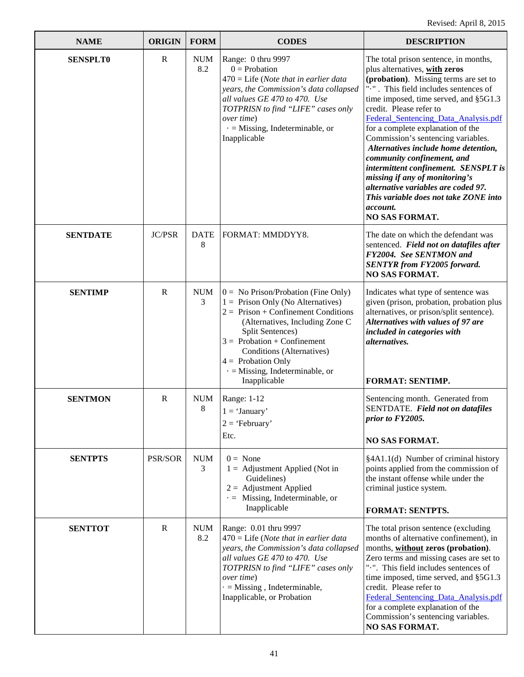| <b>NAME</b>     | <b>ORIGIN</b> | <b>FORM</b>       | <b>CODES</b>                                                                                                                                                                                                                                                                                                                  | <b>DESCRIPTION</b>                                                                                                                                                                                                                                                                                                                                                                                                                                                                                                                                                                                                   |
|-----------------|---------------|-------------------|-------------------------------------------------------------------------------------------------------------------------------------------------------------------------------------------------------------------------------------------------------------------------------------------------------------------------------|----------------------------------------------------------------------------------------------------------------------------------------------------------------------------------------------------------------------------------------------------------------------------------------------------------------------------------------------------------------------------------------------------------------------------------------------------------------------------------------------------------------------------------------------------------------------------------------------------------------------|
| <b>SENSPLT0</b> | $\mathbf R$   | <b>NUM</b><br>8.2 | Range: 0 thru 9997<br>$0 =$ Probation<br>$470$ = Life ( <i>Note that in earlier data</i><br>years, the Commission's data collapsed<br>all values GE 470 to 470. Use<br>TOTPRISN to find "LIFE" cases only<br>over time)<br>$\cdot$ = Missing, Indeterminable, or<br>Inapplicable                                              | The total prison sentence, in months,<br>plus alternatives, with zeros<br>(probation). Missing terms are set to<br>".". This field includes sentences of<br>time imposed, time served, and §5G1.3<br>credit. Please refer to<br>Federal_Sentencing_Data_Analysis.pdf<br>for a complete explanation of the<br>Commission's sentencing variables.<br>Alternatives include home detention,<br>community confinement, and<br>intermittent confinement. SENSPLT is<br>missing if any of monitoring's<br>alternative variables are coded 97.<br>This variable does not take ZONE into<br>account.<br><b>NO SAS FORMAT.</b> |
| <b>SENTDATE</b> | <b>JC/PSR</b> | <b>DATE</b><br>8  | FORMAT: MMDDYY8.                                                                                                                                                                                                                                                                                                              | The date on which the defendant was<br>sentenced. Field not on datafiles after<br>FY2004. See SENTMON and<br><b>SENTYR</b> from FY2005 forward.<br><b>NO SAS FORMAT.</b>                                                                                                                                                                                                                                                                                                                                                                                                                                             |
| <b>SENTIMP</b>  | $\mathbb{R}$  | <b>NUM</b><br>3   | $0 = No Prison/Probability$ (Fine Only)<br>$1 =$ Prison Only (No Alternatives)<br>$2 =$ Prison + Confinement Conditions<br>(Alternatives, Including Zone C<br>Split Sentences)<br>$3 =$ Probation + Confinement<br>Conditions (Alternatives)<br>$4 =$ Probation Only<br>$\cdot$ = Missing, Indeterminable, or<br>Inapplicable | Indicates what type of sentence was<br>given (prison, probation, probation plus<br>alternatives, or prison/split sentence).<br>Alternatives with values of 97 are<br>included in categories with<br>alternatives.<br><b>FORMAT: SENTIMP.</b>                                                                                                                                                                                                                                                                                                                                                                         |
| <b>SENTMON</b>  | $\mathbf R$   | <b>NUM</b><br>8   | Range: 1-12<br>$1 = 'January'$<br>$2 = 'February'$<br>Etc.                                                                                                                                                                                                                                                                    | Sentencing month. Generated from<br>SENTDATE. Field not on datafiles<br>prior to FY2005.<br><b>NO SAS FORMAT.</b>                                                                                                                                                                                                                                                                                                                                                                                                                                                                                                    |
| <b>SENTPTS</b>  | PSR/SOR       | <b>NUM</b><br>3   | $0 = \text{None}$<br>$1 =$ Adjustment Applied (Not in<br>Guidelines)<br>$2 =$ Adjustment Applied<br>$\cdot$ = Missing, Indeterminable, or<br>Inapplicable                                                                                                                                                                     | §4A1.1(d) Number of criminal history<br>points applied from the commission of<br>the instant offense while under the<br>criminal justice system.<br><b>FORMAT: SENTPTS.</b>                                                                                                                                                                                                                                                                                                                                                                                                                                          |
| <b>SENTTOT</b>  | $\mathbf R$   | <b>NUM</b><br>8.2 | Range: 0.01 thru 9997<br>$470$ = Life ( <i>Note that in earlier data</i><br>years, the Commission's data collapsed<br>all values GE 470 to 470. Use<br>TOTPRISN to find "LIFE" cases only<br>over time)<br>$\cdot$ = Missing, Indeterminable,<br>Inapplicable, or Probation                                                   | The total prison sentence (excluding<br>months of alternative confinement), in<br>months, without zeros (probation).<br>Zero terms and missing cases are set to<br>".". This field includes sentences of<br>time imposed, time served, and §5G1.3<br>credit. Please refer to<br>Federal Sentencing Data Analysis.pdf<br>for a complete explanation of the<br>Commission's sentencing variables.<br>NO SAS FORMAT.                                                                                                                                                                                                    |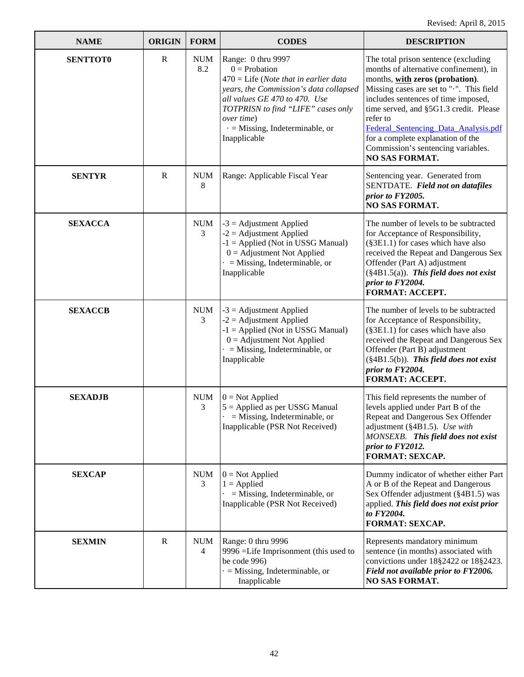| <b>NAME</b>     | <b>ORIGIN</b> | <b>FORM</b>                  | <b>CODES</b>                                                                                                                                                                                                                                                                     | <b>DESCRIPTION</b>                                                                                                                                                                                                                                                                                                                                                                                     |
|-----------------|---------------|------------------------------|----------------------------------------------------------------------------------------------------------------------------------------------------------------------------------------------------------------------------------------------------------------------------------|--------------------------------------------------------------------------------------------------------------------------------------------------------------------------------------------------------------------------------------------------------------------------------------------------------------------------------------------------------------------------------------------------------|
| <b>SENTTOT0</b> | $\mathbb{R}$  | <b>NUM</b><br>8.2            | Range: 0 thru 9997<br>$0 =$ Probation<br>$470$ = Life ( <i>Note that in earlier data</i><br>years, the Commission's data collapsed<br>all values GE 470 to 470. Use<br>TOTPRISN to find "LIFE" cases only<br>over time)<br>$\cdot$ = Missing, Indeterminable, or<br>Inapplicable | The total prison sentence (excluding<br>months of alternative confinement), in<br>months, with zeros (probation).<br>Missing cases are set to ".". This field<br>includes sentences of time imposed,<br>time served, and §5G1.3 credit. Please<br>refer to<br>Federal Sentencing Data Analysis.pdf<br>for a complete explanation of the<br>Commission's sentencing variables.<br><b>NO SAS FORMAT.</b> |
| <b>SENTYR</b>   | $\mathbb{R}$  | <b>NUM</b><br>8              | Range: Applicable Fiscal Year                                                                                                                                                                                                                                                    | Sentencing year. Generated from<br>SENTDATE. Field not on datafiles<br>prior to FY2005.<br><b>NO SAS FORMAT.</b>                                                                                                                                                                                                                                                                                       |
| <b>SEXACCA</b>  |               | <b>NUM</b><br>3              | $-3$ = Adjustment Applied<br>$-2$ = Adjustment Applied<br>$-1$ = Applied (Not in USSG Manual)<br>$0 =$ Adjustment Not Applied<br>$=$ Missing, Indeterminable, or<br>Inapplicable                                                                                                 | The number of levels to be subtracted<br>for Acceptance of Responsibility,<br>(§3E1.1) for cases which have also<br>received the Repeat and Dangerous Sex<br>Offender (Part A) adjustment<br>$(\S 4B1.5(a))$ . This field does not exist<br>prior to FY2004.<br><b>FORMAT: ACCEPT.</b>                                                                                                                 |
| <b>SEXACCB</b>  |               | <b>NUM</b><br>3              | $-3$ = Adjustment Applied<br>$-2$ = Adjustment Applied<br>$-1$ = Applied (Not in USSG Manual)<br>$0 =$ Adjustment Not Applied<br>$=$ Missing, Indeterminable, or<br>Inapplicable                                                                                                 | The number of levels to be subtracted<br>for Acceptance of Responsibility,<br>(§3E1.1) for cases which have also<br>received the Repeat and Dangerous Sex<br>Offender (Part B) adjustment<br>$(\S 4B1.5(b))$ . This field does not exist<br>prior to FY2004.<br><b>FORMAT: ACCEPT.</b>                                                                                                                 |
| <b>SEXADJB</b>  |               | <b>NUM</b><br>3              | $0 = Not Applied$<br>$5 =$ Applied as per USSG Manual<br>$=$ Missing, Indeterminable, or<br>Inapplicable (PSR Not Received)                                                                                                                                                      | This field represents the number of<br>levels applied under Part B of the<br>Repeat and Dangerous Sex Offender<br>adjustment (§4B1.5). Use with<br>MONSEXB. This field does not exist<br>prior to FY2012.<br><b>FORMAT: SEXCAP.</b>                                                                                                                                                                    |
| <b>SEXCAP</b>   |               | NUM<br>3                     | $0 = Not Applied$<br>$1 = \text{Applied}$<br>$=$ Missing, Indeterminable, or<br>Inapplicable (PSR Not Received)                                                                                                                                                                  | Dummy indicator of whether either Part<br>A or B of the Repeat and Dangerous<br>Sex Offender adjustment (§4B1.5) was<br>applied. This field does not exist prior<br>to FY2004.<br><b>FORMAT: SEXCAP.</b>                                                                                                                                                                                               |
| <b>SEXMIN</b>   | $\mathbf R$   | <b>NUM</b><br>$\overline{4}$ | Range: 0 thru 9996<br>9996 = Life Imprisonment (this used to<br>be code 996)<br>$\cdot$ = Missing, Indeterminable, or<br>Inapplicable                                                                                                                                            | Represents mandatory minimum<br>sentence (in months) associated with<br>convictions under 18§2422 or 18§2423.<br>Field not available prior to FY2006.<br><b>NO SAS FORMAT.</b>                                                                                                                                                                                                                         |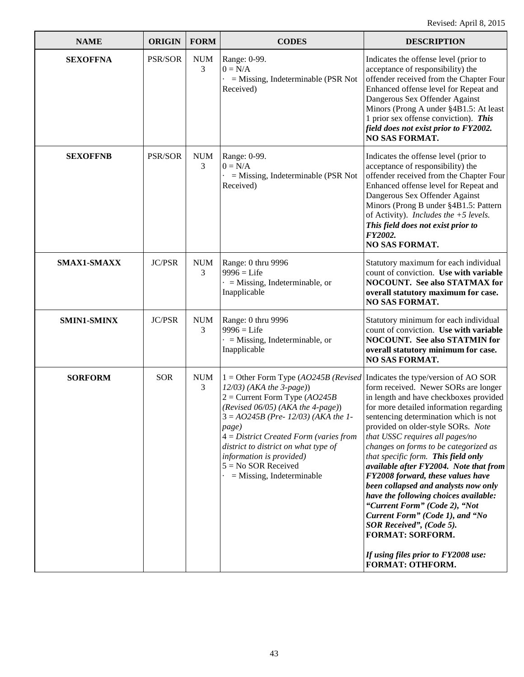| <b>NAME</b>        | <b>ORIGIN</b> | <b>FORM</b>     | <b>CODES</b>                                                                                                                                                                                                                                                                                                                                                                                                              | <b>DESCRIPTION</b>                                                                                                                                                                                                                                                                                                                                                                                                                                                                                                                                                                                                                                                         |
|--------------------|---------------|-----------------|---------------------------------------------------------------------------------------------------------------------------------------------------------------------------------------------------------------------------------------------------------------------------------------------------------------------------------------------------------------------------------------------------------------------------|----------------------------------------------------------------------------------------------------------------------------------------------------------------------------------------------------------------------------------------------------------------------------------------------------------------------------------------------------------------------------------------------------------------------------------------------------------------------------------------------------------------------------------------------------------------------------------------------------------------------------------------------------------------------------|
| <b>SEXOFFNA</b>    | PSR/SOR       | <b>NUM</b><br>3 | Range: 0-99.<br>$0 = N/A$<br>$=$ Missing, Indeterminable (PSR Not<br>Received)                                                                                                                                                                                                                                                                                                                                            | Indicates the offense level (prior to<br>acceptance of responsibility) the<br>offender received from the Chapter Four<br>Enhanced offense level for Repeat and<br>Dangerous Sex Offender Against<br>Minors (Prong A under §4B1.5: At least<br>1 prior sex offense conviction). This<br>field does not exist prior to FY2002.<br><b>NO SAS FORMAT.</b>                                                                                                                                                                                                                                                                                                                      |
| <b>SEXOFFNB</b>    | PSR/SOR       | <b>NUM</b><br>3 | Range: 0-99.<br>$0 = N/A$<br>$=$ Missing, Indeterminable (PSR Not<br>Received)                                                                                                                                                                                                                                                                                                                                            | Indicates the offense level (prior to<br>acceptance of responsibility) the<br>offender received from the Chapter Four<br>Enhanced offense level for Repeat and<br>Dangerous Sex Offender Against<br>Minors (Prong B under §4B1.5: Pattern<br>of Activity). Includes the $+5$ levels.<br>This field does not exist prior to<br>FY2002.<br><b>NO SAS FORMAT.</b>                                                                                                                                                                                                                                                                                                             |
| SMAX1-SMAXX        | <b>JC/PSR</b> | <b>NUM</b><br>3 | Range: 0 thru 9996<br>$9996 =$ Life<br>$\cdot$ = Missing, Indeterminable, or<br>Inapplicable                                                                                                                                                                                                                                                                                                                              | Statutory maximum for each individual<br>count of conviction. Use with variable<br><b>NOCOUNT.</b> See also STATMAX for<br>overall statutory maximum for case.<br><b>NO SAS FORMAT.</b>                                                                                                                                                                                                                                                                                                                                                                                                                                                                                    |
| <b>SMIN1-SMINX</b> | <b>JC/PSR</b> | <b>NUM</b><br>3 | Range: 0 thru 9996<br>$9996 =$ Life<br>$\cdot$ = Missing, Indeterminable, or<br>Inapplicable                                                                                                                                                                                                                                                                                                                              | Statutory minimum for each individual<br>count of conviction. Use with variable<br><b>NOCOUNT.</b> See also STATMIN for<br>overall statutory minimum for case.<br><b>NO SAS FORMAT.</b>                                                                                                                                                                                                                                                                                                                                                                                                                                                                                    |
| <b>SORFORM</b>     | <b>SOR</b>    | <b>NUM</b><br>3 | 1 = Other Form Type $(AO245B$ ( <i>Revised</i>   Indicates the type/version of AO SOR<br>$12/03$ ) (AKA the 3-page))<br>$2 =$ Current Form Type (AO245B)<br>(Revised $06/05$ ) (AKA the 4-page))<br>$3 = AO245B$ (Pre-12/03) (AKA the 1-<br>page)<br>$4 = District$ Created Form (varies from<br>district to district on what type of<br>information is provided)<br>$5 = No$ SOR Received<br>$=$ Missing, Indeterminable | form received. Newer SORs are longer<br>in length and have checkboxes provided<br>for more detailed information regarding<br>sentencing determination which is not<br>provided on older-style SORs. Note<br>that USSC requires all pages/no<br>changes on forms to be categorized as<br>that specific form. This field only<br>available after FY2004. Note that from<br>FY2008 forward, these values have<br>been collapsed and analysts now only<br>have the following choices available:<br>"Current Form" (Code 2), "Not<br>Current Form" (Code 1), and "No<br>SOR Received", (Code 5).<br>FORMAT: SORFORM.<br>If using files prior to FY2008 use:<br>FORMAT: OTHFORM. |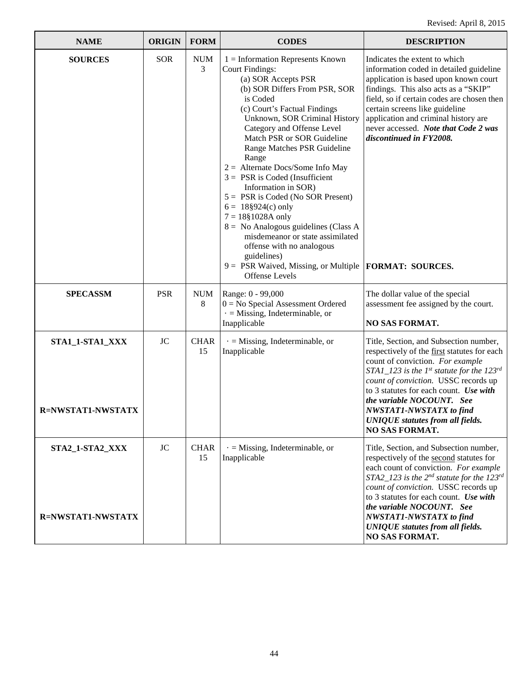| <b>NAME</b>                                 | <b>ORIGIN</b> | <b>FORM</b>       | <b>CODES</b>                                                                                                                                                                                                                                                                                                                                                                                                                                                                                                                                                                                                                                                                                       | <b>DESCRIPTION</b>                                                                                                                                                                                                                                                                                                                                                                                                        |
|---------------------------------------------|---------------|-------------------|----------------------------------------------------------------------------------------------------------------------------------------------------------------------------------------------------------------------------------------------------------------------------------------------------------------------------------------------------------------------------------------------------------------------------------------------------------------------------------------------------------------------------------------------------------------------------------------------------------------------------------------------------------------------------------------------------|---------------------------------------------------------------------------------------------------------------------------------------------------------------------------------------------------------------------------------------------------------------------------------------------------------------------------------------------------------------------------------------------------------------------------|
| <b>SOURCES</b>                              | <b>SOR</b>    | <b>NUM</b><br>3   | $1 =$ Information Represents Known<br><b>Court Findings:</b><br>(a) SOR Accepts PSR<br>(b) SOR Differs From PSR, SOR<br>is Coded<br>(c) Court's Factual Findings<br>Unknown, SOR Criminal History<br>Category and Offense Level<br>Match PSR or SOR Guideline<br>Range Matches PSR Guideline<br>Range<br>$2 =$ Alternate Docs/Some Info May<br>$3 = PSR$ is Coded (Insufficient<br>Information in SOR)<br>$5 = PSR$ is Coded (No SOR Present)<br>$6 = 18\frac{8}{924(c)}$ only<br>$7 = 18§1028A$ only<br>$8 =$ No Analogous guidelines (Class A<br>misdemeanor or state assimilated<br>offense with no analogous<br>guidelines)<br>$9 = PSR$ Waived, Missing, or Multiple<br><b>Offense Levels</b> | Indicates the extent to which<br>information coded in detailed guideline<br>application is based upon known court<br>findings. This also acts as a "SKIP"<br>field, so if certain codes are chosen then<br>certain screens like guideline<br>application and criminal history are<br>never accessed. Note that Code 2 was<br>discontinued in FY2008.<br><b>FORMAT: SOURCES.</b>                                           |
| <b>SPECASSM</b>                             | <b>PSR</b>    | <b>NUM</b><br>8   | Range: 0 - 99,000<br>$0 = No$ Special Assessment Ordered<br>$\cdot$ = Missing, Indeterminable, or<br>Inapplicable                                                                                                                                                                                                                                                                                                                                                                                                                                                                                                                                                                                  | The dollar value of the special<br>assessment fee assigned by the court.<br><b>NO SAS FORMAT.</b>                                                                                                                                                                                                                                                                                                                         |
| STA1_1-STA1_XXX<br>R=NWSTAT1-NWSTATX        | <b>JC</b>     | <b>CHAR</b><br>15 | $\cdot$ = Missing, Indeterminable, or<br>Inapplicable                                                                                                                                                                                                                                                                                                                                                                                                                                                                                                                                                                                                                                              | Title, Section, and Subsection number,<br>respectively of the first statutes for each<br>count of conviction. For example<br>$STAI$ <sub>123</sub> is the 1 <sup>st</sup> statute for the 123 <sup>rd</sup><br>count of conviction. USSC records up<br>to 3 statutes for each count. Use with<br>the variable NOCOUNT. See<br>NWSTAT1-NWSTATX to find<br><b>UNIQUE</b> statutes from all fields.<br><b>NO SAS FORMAT.</b> |
| STA2_1-STA2_XXX<br><b>R=NWSTAT1-NWSTATX</b> | JC            | <b>CHAR</b><br>15 | $\cdot$ = Missing, Indeterminable, or<br>Inapplicable                                                                                                                                                                                                                                                                                                                                                                                                                                                                                                                                                                                                                                              | Title, Section, and Subsection number,<br>respectively of the second statutes for<br>each count of conviction. For example<br>STA2_123 is the $2^{nd}$ statute for the 123 <sup>rd</sup><br>count of conviction. USSC records up<br>to 3 statutes for each count. Use with<br>the variable NOCOUNT. See<br>NWSTAT1-NWSTATX to find<br><b>UNIQUE</b> statutes from all fields.<br><b>NO SAS FORMAT.</b>                    |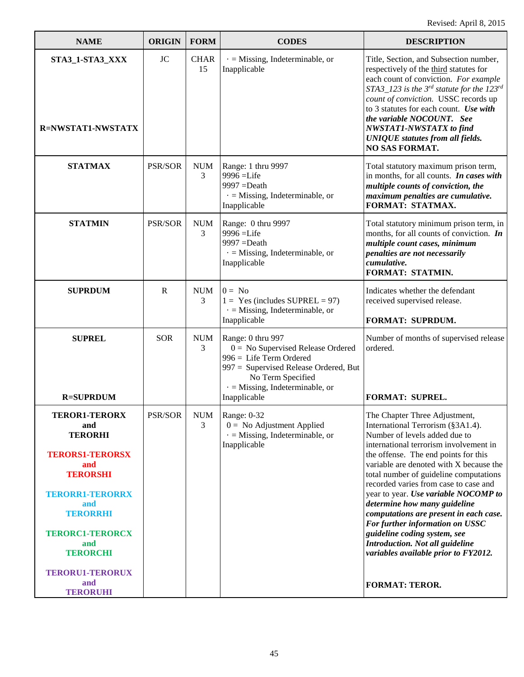| <b>NAME</b>                                                                                                                                                                                                                                                   | <b>ORIGIN</b>  | <b>FORM</b>       | <b>CODES</b>                                                                                                                                                                                               | <b>DESCRIPTION</b>                                                                                                                                                                                                                                                                                                                                                                                                                                                                                                                                                                                           |
|---------------------------------------------------------------------------------------------------------------------------------------------------------------------------------------------------------------------------------------------------------------|----------------|-------------------|------------------------------------------------------------------------------------------------------------------------------------------------------------------------------------------------------------|--------------------------------------------------------------------------------------------------------------------------------------------------------------------------------------------------------------------------------------------------------------------------------------------------------------------------------------------------------------------------------------------------------------------------------------------------------------------------------------------------------------------------------------------------------------------------------------------------------------|
| STA3_1-STA3_XXX<br><b>R=NWSTAT1-NWSTATX</b>                                                                                                                                                                                                                   | <b>JC</b>      | <b>CHAR</b><br>15 | $\cdot$ = Missing, Indeterminable, or<br>Inapplicable                                                                                                                                                      | Title, Section, and Subsection number,<br>respectively of the third statutes for<br>each count of conviction. For example<br>$STA3_123$ is the 3 <sup>rd</sup> statute for the 123 <sup>rd</sup><br>count of conviction. USSC records up<br>to 3 statutes for each count. Use with<br>the variable NOCOUNT. See<br><b>NWSTAT1-NWSTATX</b> to find<br><b>UNIQUE</b> statutes from all fields.<br><b>NO SAS FORMAT.</b>                                                                                                                                                                                        |
| <b>STATMAX</b>                                                                                                                                                                                                                                                | PSR/SOR        | <b>NUM</b><br>3   | Range: 1 thru 9997<br>9996 = Life<br>$9997 = Death$<br>$\cdot$ = Missing, Indeterminable, or<br>Inapplicable                                                                                               | Total statutory maximum prison term,<br>in months, for all counts. In cases with<br>multiple counts of conviction, the<br>maximum penalties are cumulative.<br>FORMAT: STATMAX.                                                                                                                                                                                                                                                                                                                                                                                                                              |
| <b>STATMIN</b>                                                                                                                                                                                                                                                | PSR/SOR        | <b>NUM</b><br>3   | Range: 0 thru 9997<br>9996 = Life<br>$9997 = Death$<br>$\cdot$ = Missing, Indeterminable, or<br>Inapplicable                                                                                               | Total statutory minimum prison term, in<br>months, for all counts of conviction. $\mathbf{In}$<br>multiple count cases, minimum<br>penalties are not necessarily<br>cumulative.<br>FORMAT: STATMIN.                                                                                                                                                                                                                                                                                                                                                                                                          |
| <b>SUPRDUM</b>                                                                                                                                                                                                                                                | $\mathbf R$    | <b>NUM</b><br>3   | $0 = No$<br>$1 = Yes$ (includes SUPREL = 97)<br>$\cdot$ = Missing, Indeterminable, or<br>Inapplicable                                                                                                      | Indicates whether the defendant<br>received supervised release.<br>FORMAT: SUPRDUM.                                                                                                                                                                                                                                                                                                                                                                                                                                                                                                                          |
| <b>SUPREL</b><br><b>R=SUPRDUM</b>                                                                                                                                                                                                                             | <b>SOR</b>     | <b>NUM</b><br>3   | Range: 0 thru 997<br>$0 = No$ Supervised Release Ordered<br>996 = Life Term Ordered<br>997 = Supervised Release Ordered, But<br>No Term Specified<br>$\cdot$ = Missing, Indeterminable, or<br>Inapplicable | Number of months of supervised release<br>ordered.<br><b>FORMAT: SUPREL.</b>                                                                                                                                                                                                                                                                                                                                                                                                                                                                                                                                 |
| <b>TEROR1-TERORX</b><br>and<br><b>TERORHI</b><br><b>TERORS1-TERORSX</b><br>and<br><b>TERORSHI</b><br><b>TERORR1-TERORRX</b><br>and<br><b>TERORRHI</b><br><b>TERORC1-TERORCX</b><br>and<br><b>TERORCHI</b><br><b>TERORU1-TERORUX</b><br>and<br><b>TERORUHI</b> | <b>PSR/SOR</b> | <b>NUM</b><br>3   | Range: 0-32<br>$0 = No$ Adjustment Applied<br>$\cdot$ = Missing, Indeterminable, or<br>Inapplicable                                                                                                        | The Chapter Three Adjustment,<br>International Terrorism (§3A1.4).<br>Number of levels added due to<br>international terrorism involvement in<br>the offense. The end points for this<br>variable are denoted with X because the<br>total number of guideline computations<br>recorded varies from case to case and<br>year to year. Use variable NOCOMP to<br>determine how many guideline<br>computations are present in each case.<br>For further information on USSC<br>guideline coding system, see<br>Introduction. Not all guideline<br>variables available prior to FY2012.<br><b>FORMAT: TEROR.</b> |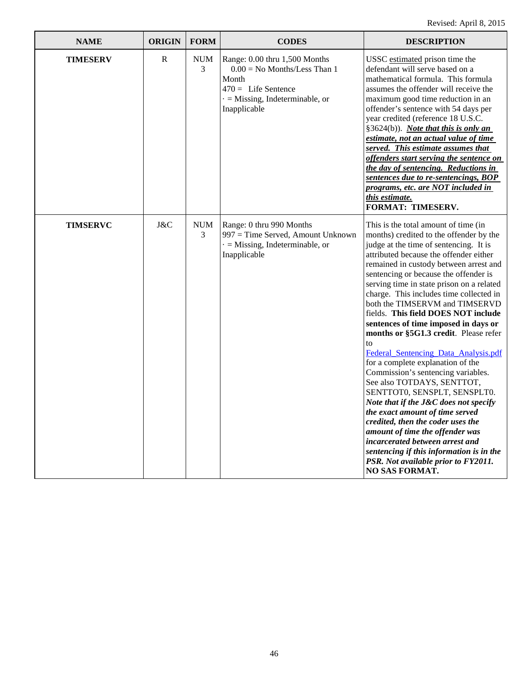| <b>NAME</b>     | <b>ORIGIN</b> | <b>FORM</b>     | <b>CODES</b>                                                                                                                                               | <b>DESCRIPTION</b>                                                                                                                                                                                                                                                                                                                                                                                                                                                                                                                                                                                                                                                                                                                                                                                                                                                                                                                                                                                 |
|-----------------|---------------|-----------------|------------------------------------------------------------------------------------------------------------------------------------------------------------|----------------------------------------------------------------------------------------------------------------------------------------------------------------------------------------------------------------------------------------------------------------------------------------------------------------------------------------------------------------------------------------------------------------------------------------------------------------------------------------------------------------------------------------------------------------------------------------------------------------------------------------------------------------------------------------------------------------------------------------------------------------------------------------------------------------------------------------------------------------------------------------------------------------------------------------------------------------------------------------------------|
| <b>TIMESERV</b> | $\mathbb{R}$  | <b>NUM</b><br>3 | Range: 0.00 thru 1,500 Months<br>$0.00 =$ No Months/Less Than 1<br>Month<br>$470 =$ Life Sentence<br>$\cdot$ = Missing, Indeterminable, or<br>Inapplicable | USSC estimated prison time the<br>defendant will serve based on a<br>mathematical formula. This formula<br>assumes the offender will receive the<br>maximum good time reduction in an<br>offender's sentence with 54 days per<br>year credited (reference 18 U.S.C.<br>§3624(b)). Note that this is only an<br>estimate, not an actual value of time<br>served. This estimate assumes that<br>offenders start serving the sentence on<br>the day of sentencing. Reductions in<br>sentences due to re-sentencings, BOP<br><u>programs, etc. are NOT included in</u><br>this estimate.<br><b>FORMAT: TIMESERV.</b>                                                                                                                                                                                                                                                                                                                                                                                   |
| <b>TIMSERVC</b> | J&C           | <b>NUM</b><br>3 | Range: 0 thru 990 Months<br>997 = Time Served, Amount Unknown<br>$=$ Missing, Indeterminable, or<br>Inapplicable                                           | This is the total amount of time (in<br>months) credited to the offender by the<br>judge at the time of sentencing. It is<br>attributed because the offender either<br>remained in custody between arrest and<br>sentencing or because the offender is<br>serving time in state prison on a related<br>charge. This includes time collected in<br>both the TIMSERVM and TIMSERVD<br>fields. This field DOES NOT include<br>sentences of time imposed in days or<br>months or §5G1.3 credit. Please refer<br>to<br>Federal Sentencing Data Analysis.pdf<br>for a complete explanation of the<br>Commission's sentencing variables.<br>See also TOTDAYS, SENTTOT,<br>SENTTOT0, SENSPLT, SENSPLT0.<br>Note that if the J&C does not specify<br>the exact amount of time served<br>credited, then the coder uses the<br>amount of time the offender was<br>incarcerated between arrest and<br>sentencing if this information is in the<br>PSR. Not available prior to FY2011.<br><b>NO SAS FORMAT.</b> |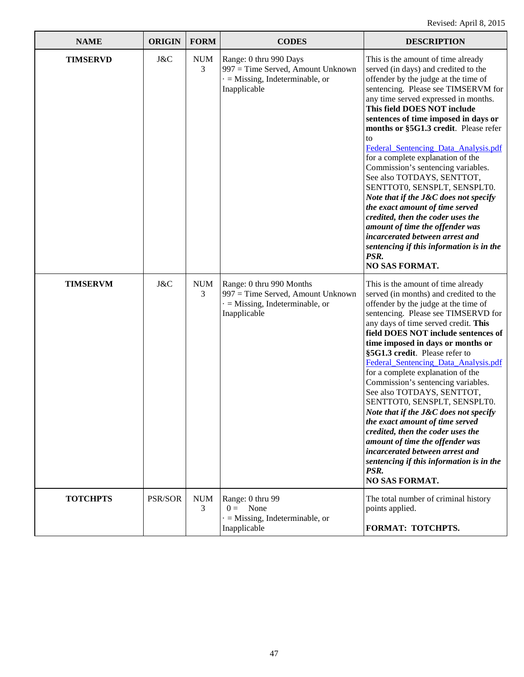| <b>NAME</b>     | <b>ORIGIN</b>  | <b>FORM</b>     | <b>CODES</b>                                                                                                           | <b>DESCRIPTION</b>                                                                                                                                                                                                                                                                                                                                                                                                                                                                                                                                                                                                                                                                                                                                                           |
|-----------------|----------------|-----------------|------------------------------------------------------------------------------------------------------------------------|------------------------------------------------------------------------------------------------------------------------------------------------------------------------------------------------------------------------------------------------------------------------------------------------------------------------------------------------------------------------------------------------------------------------------------------------------------------------------------------------------------------------------------------------------------------------------------------------------------------------------------------------------------------------------------------------------------------------------------------------------------------------------|
| <b>TIMSERVD</b> | J&C            | <b>NUM</b><br>3 | Range: 0 thru 990 Days<br>997 = Time Served, Amount Unknown<br>$=$ Missing, Indeterminable, or<br>Inapplicable         | This is the amount of time already<br>served (in days) and credited to the<br>offender by the judge at the time of<br>sentencing. Please see TIMSERVM for<br>any time served expressed in months.<br>This field DOES NOT include<br>sentences of time imposed in days or<br>months or §5G1.3 credit. Please refer<br>to<br>Federal_Sentencing_Data_Analysis.pdf<br>for a complete explanation of the<br>Commission's sentencing variables.<br>See also TOTDAYS, SENTTOT,<br>SENTTOT0, SENSPLT, SENSPLT0.<br>Note that if the J&C does not specify<br>the exact amount of time served<br>credited, then the coder uses the<br>amount of time the offender was<br>incarcerated between arrest and<br>sentencing if this information is in the<br>PSR.<br><b>NO SAS FORMAT.</b> |
| <b>TIMSERVM</b> | J&C            | <b>NUM</b><br>3 | Range: 0 thru 990 Months<br>997 = Time Served, Amount Unknown<br>$\cdot$ = Missing, Indeterminable, or<br>Inapplicable | This is the amount of time already<br>served (in months) and credited to the<br>offender by the judge at the time of<br>sentencing. Please see TIMSERVD for<br>any days of time served credit. This<br>field DOES NOT include sentences of<br>time imposed in days or months or<br>§5G1.3 credit. Please refer to<br>Federal_Sentencing_Data_Analysis.pdf<br>for a complete explanation of the<br>Commission's sentencing variables.<br>See also TOTDAYS, SENTTOT,<br>SENTTOT0, SENSPLT, SENSPLT0.<br>Note that if the J&C does not specify<br>the exact amount of time served<br>credited, then the coder uses the<br>amount of time the offender was<br>incarcerated between arrest and<br>sentencing if this information is in the<br>PSR.<br><b>NO SAS FORMAT.</b>       |
| <b>TOTCHPTS</b> | <b>PSR/SOR</b> | <b>NUM</b><br>3 | Range: 0 thru 99<br>$0 =$ None<br>$=$ Missing, Indeterminable, or<br>Inapplicable                                      | The total number of criminal history<br>points applied.<br>FORMAT: TOTCHPTS.                                                                                                                                                                                                                                                                                                                                                                                                                                                                                                                                                                                                                                                                                                 |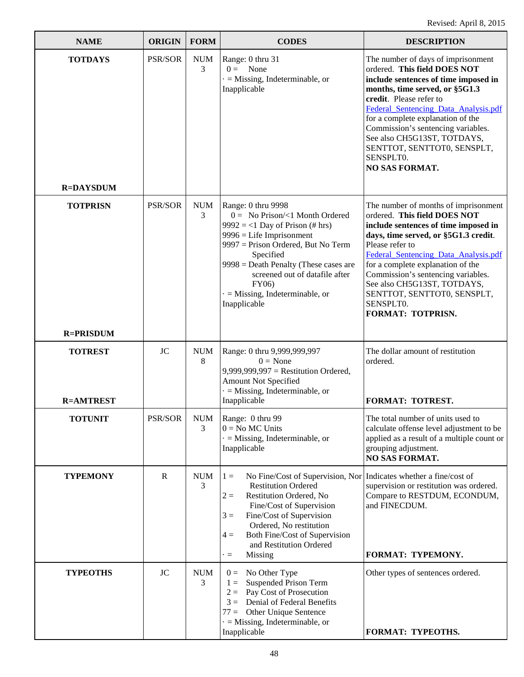| <b>NAME</b>                        | <b>ORIGIN</b>  | <b>FORM</b>     | <b>CODES</b>                                                                                                                                                                                                                                                                                         | <b>DESCRIPTION</b>                                                                                                                                                                                                                                                                                                                                                                             |
|------------------------------------|----------------|-----------------|------------------------------------------------------------------------------------------------------------------------------------------------------------------------------------------------------------------------------------------------------------------------------------------------------|------------------------------------------------------------------------------------------------------------------------------------------------------------------------------------------------------------------------------------------------------------------------------------------------------------------------------------------------------------------------------------------------|
| <b>TOTDAYS</b><br><b>R=DAYSDUM</b> | PSR/SOR        | <b>NUM</b><br>3 | Range: 0 thru 31<br>$0 =$ None<br>$\cdot$ = Missing, Indeterminable, or<br>Inapplicable                                                                                                                                                                                                              | The number of days of imprisonment<br>ordered. This field DOES NOT<br>include sentences of time imposed in<br>months, time served, or §5G1.3<br>credit. Please refer to<br>Federal Sentencing Data Analysis.pdf<br>for a complete explanation of the<br>Commission's sentencing variables.<br>See also CH5G13ST, TOTDAYS,<br>SENTTOT, SENTTOT0, SENSPLT,<br>SENSPLT0.<br><b>NO SAS FORMAT.</b> |
| <b>TOTPRISN</b>                    | <b>PSR/SOR</b> | <b>NUM</b>      | Range: 0 thru 9998                                                                                                                                                                                                                                                                                   | The number of months of imprisonment                                                                                                                                                                                                                                                                                                                                                           |
|                                    |                | 3               | $0 =$ No Prison/<1 Month Ordered<br>$9992 = 1$ Day of Prison (# hrs)<br>$9996$ = Life Imprisonment<br>9997 = Prison Ordered, But No Term<br>Specified<br>$9998 =$ Death Penalty (These cases are<br>screened out of datafile after<br>FY06)<br>$=$ Missing, Indeterminable, or<br>Inapplicable       | ordered. This field DOES NOT<br>include sentences of time imposed in<br>days, time served, or §5G1.3 credit.<br>Please refer to<br>Federal_Sentencing_Data_Analysis.pdf<br>for a complete explanation of the<br>Commission's sentencing variables.<br>See also CH5G13ST, TOTDAYS,<br>SENTTOT, SENTTOT0, SENSPLT,<br>SENSPLT0.<br>FORMAT: TOTPRISN.                                             |
| <b>R=PRISDUM</b>                   |                |                 |                                                                                                                                                                                                                                                                                                      |                                                                                                                                                                                                                                                                                                                                                                                                |
| <b>TOTREST</b>                     | <b>JC</b>      | <b>NUM</b><br>8 | Range: 0 thru 9,999,999,997<br>$0 = \text{None}$<br>$9,999,999,997$ = Restitution Ordered,<br><b>Amount Not Specified</b><br>$\cdot$ = Missing, Indeterminable, or                                                                                                                                   | The dollar amount of restitution<br>ordered.                                                                                                                                                                                                                                                                                                                                                   |
| <b>R=AMTREST</b>                   |                |                 | Inapplicable                                                                                                                                                                                                                                                                                         | FORMAT: TOTREST.                                                                                                                                                                                                                                                                                                                                                                               |
| <b>TOTUNIT</b>                     | PSR/SOR        | <b>NUM</b><br>3 | Range: 0 thru 99<br>$0 = No MC Units$<br>$\cdot$ = Missing, Indeterminable, or<br>Inapplicable                                                                                                                                                                                                       | The total number of units used to<br>calculate offense level adjustment to be<br>applied as a result of a multiple count or<br>grouping adjustment.<br><b>NO SAS FORMAT.</b>                                                                                                                                                                                                                   |
| <b>TYPEMONY</b>                    | $\mathbf R$    | <b>NUM</b><br>3 | No Fine/Cost of Supervision, Nor<br>$1 =$<br><b>Restitution Ordered</b><br>Restitution Ordered, No<br>$2 =$<br>Fine/Cost of Supervision<br>Fine/Cost of Supervision<br>$3 =$<br>Ordered, No restitution<br>Both Fine/Cost of Supervision<br>$4 =$<br>and Restitution Ordered<br>Missing<br>$\cdot =$ | Indicates whether a fine/cost of<br>supervision or restitution was ordered.<br>Compare to RESTDUM, ECONDUM,<br>and FINECDUM.<br>FORMAT: TYPEMONY.                                                                                                                                                                                                                                              |
| <b>TYPEOTHS</b>                    | <b>JC</b>      | <b>NUM</b>      | $0 = No Other Type$                                                                                                                                                                                                                                                                                  | Other types of sentences ordered.                                                                                                                                                                                                                                                                                                                                                              |
|                                    |                | 3               | <b>Suspended Prison Term</b><br>$1 =$<br>Pay Cost of Prosecution<br>$2=$<br>Denial of Federal Benefits<br>$3 =$<br>Other Unique Sentence<br>$77 =$<br>$\cdot$ = Missing, Indeterminable, or<br>Inapplicable                                                                                          | FORMAT: TYPEOTHS.                                                                                                                                                                                                                                                                                                                                                                              |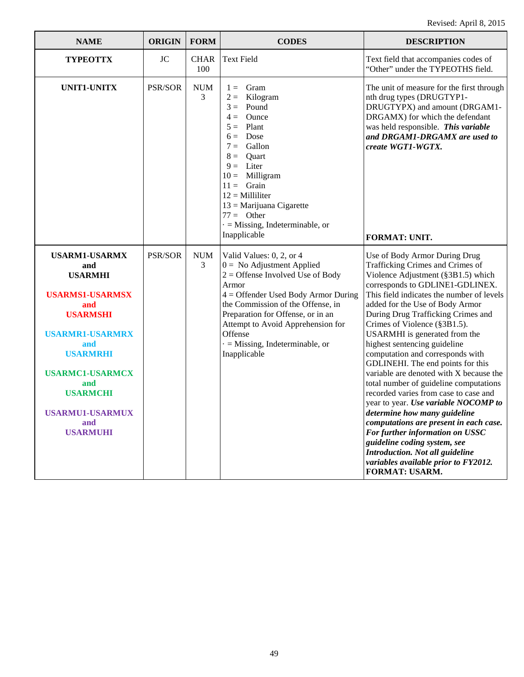| <b>NAME</b>                                                                                                                                                                                                                                                   | <b>ORIGIN</b>  | <b>FORM</b>        | <b>CODES</b>                                                                                                                                                                                                                                                                                                                       | <b>DESCRIPTION</b>                                                                                                                                                                                                                                                                                                                                                                                                                                                                                                                                                                                                                                                                                                                                                                                                                                                |
|---------------------------------------------------------------------------------------------------------------------------------------------------------------------------------------------------------------------------------------------------------------|----------------|--------------------|------------------------------------------------------------------------------------------------------------------------------------------------------------------------------------------------------------------------------------------------------------------------------------------------------------------------------------|-------------------------------------------------------------------------------------------------------------------------------------------------------------------------------------------------------------------------------------------------------------------------------------------------------------------------------------------------------------------------------------------------------------------------------------------------------------------------------------------------------------------------------------------------------------------------------------------------------------------------------------------------------------------------------------------------------------------------------------------------------------------------------------------------------------------------------------------------------------------|
| <b>TYPEOTTX</b>                                                                                                                                                                                                                                               | <b>JC</b>      | <b>CHAR</b><br>100 | <b>Text Field</b>                                                                                                                                                                                                                                                                                                                  | Text field that accompanies codes of<br>"Other" under the TYPEOTHS field.                                                                                                                                                                                                                                                                                                                                                                                                                                                                                                                                                                                                                                                                                                                                                                                         |
| UNIT1-UNITX                                                                                                                                                                                                                                                   | PSR/SOR        | <b>NUM</b><br>3    | Gram<br>$1 =$<br>Kilogram<br>$2 =$<br>Pound<br>$3 =$<br>Ounce<br>$4 =$<br>Plant<br>$5 =$<br>Dose<br>$6 =$<br>Gallon<br>$7 =$<br>Quart<br>$8 =$<br>$9 =$ Liter<br>$10 =$ Milligram<br>$11 =$ Grain<br>$12 =$ Milliliter<br>$13 =$ Marijuana Cigarette<br>$77 =$ Other<br>$\cdot$ = Missing, Indeterminable, or<br>Inapplicable      | The unit of measure for the first through<br>nth drug types (DRUGTYP1-<br>DRUGTYPX) and amount (DRGAM1-<br>DRGAMX) for which the defendant<br>was held responsible. This variable<br>and DRGAM1-DRGAMX are used to<br>create WGT1-WGTX.<br><b>FORMAT: UNIT.</b>                                                                                                                                                                                                                                                                                                                                                                                                                                                                                                                                                                                                   |
| <b>USARM1-USARMX</b><br>and<br><b>USARMHI</b><br><b>USARMS1-USARMSX</b><br>and<br><b>USARMSHI</b><br><b>USARMR1-USARMRX</b><br>and<br><b>USARMRHI</b><br><b>USARMC1-USARMCX</b><br>and<br><b>USARMCHI</b><br><b>USARMU1-USARMUX</b><br>and<br><b>USARMUHI</b> | <b>PSR/SOR</b> | <b>NUM</b><br>3    | Valid Values: 0, 2, or 4<br>$0 =$ No Adjustment Applied<br>$2 =$ Offense Involved Use of Body<br>Armor<br>$4 =$ Offender Used Body Armor During<br>the Commission of the Offense, in<br>Preparation for Offense, or in an<br>Attempt to Avoid Apprehension for<br>Offense<br>$\cdot$ = Missing, Indeterminable, or<br>Inapplicable | Use of Body Armor During Drug<br>Trafficking Crimes and Crimes of<br>Violence Adjustment (§3B1.5) which<br>corresponds to GDLINE1-GDLINEX.<br>This field indicates the number of levels<br>added for the Use of Body Armor<br>During Drug Trafficking Crimes and<br>Crimes of Violence (§3B1.5).<br>USARMHI is generated from the<br>highest sentencing guideline<br>computation and corresponds with<br>GDLINEHI. The end points for this<br>variable are denoted with X because the<br>total number of guideline computations<br>recorded varies from case to case and<br>year to year. Use variable NOCOMP to<br>determine how many guideline<br>computations are present in each case.<br>For further information on USSC<br>guideline coding system, see<br><b>Introduction. Not all guideline</b><br>variables available prior to FY2012.<br>FORMAT: USARM. |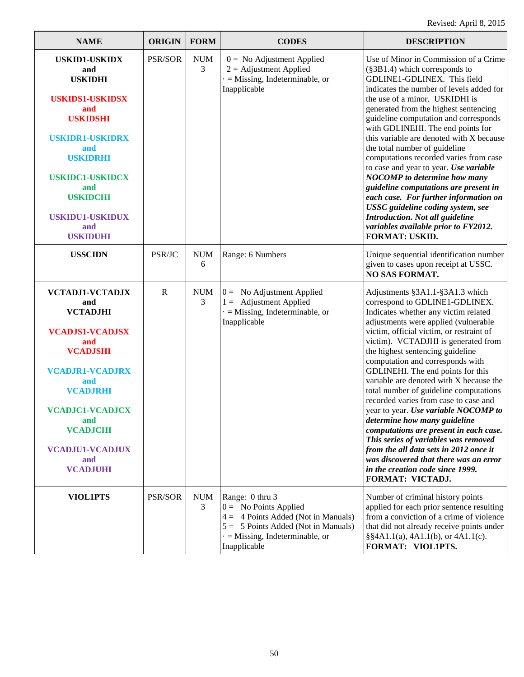| <b>NAME</b>                                                                                                                                                                                                                                                      | <b>ORIGIN</b>  | <b>FORM</b>     | <b>CODES</b>                                                                                                                                                                          | <b>DESCRIPTION</b>                                                                                                                                                                                                                                                                                                                                                                                                                                                                                                                                                                                                                                                                                                                                                                    |
|------------------------------------------------------------------------------------------------------------------------------------------------------------------------------------------------------------------------------------------------------------------|----------------|-----------------|---------------------------------------------------------------------------------------------------------------------------------------------------------------------------------------|---------------------------------------------------------------------------------------------------------------------------------------------------------------------------------------------------------------------------------------------------------------------------------------------------------------------------------------------------------------------------------------------------------------------------------------------------------------------------------------------------------------------------------------------------------------------------------------------------------------------------------------------------------------------------------------------------------------------------------------------------------------------------------------|
| <b>USKID1-USKIDX</b><br>and<br><b>USKIDHI</b><br><b>USKIDS1-USKIDSX</b><br>and<br><b>USKIDSHI</b><br><b>USKIDR1-USKIDRX</b><br>and<br><b>USKIDRHI</b><br><b>USKIDC1-USKIDCX</b><br>and<br><b>USKIDCHI</b><br><b>USKIDU1-USKIDUX</b><br>and<br><b>USKIDUHI</b>    | PSR/SOR        | <b>NUM</b><br>3 | $0 =$ No Adjustment Applied<br>$2 =$ Adjustment Applied<br>$=$ Missing, Indeterminable, or<br>Inapplicable                                                                            | Use of Minor in Commission of a Crime<br>(§3B1.4) which corresponds to<br>GDLINE1-GDLINEX. This field<br>indicates the number of levels added for<br>the use of a minor. USKIDHI is<br>generated from the highest sentencing<br>guideline computation and corresponds<br>with GDLINEHI. The end points for<br>this variable are denoted with X because<br>the total number of guideline<br>computations recorded varies from case<br>to case and year to year. Use variable<br><b>NOCOMP</b> to determine how many<br>guideline computations are present in<br>each case. For further information on<br>USSC guideline coding system, see<br>Introduction. Not all guideline<br>variables available prior to FY2012.<br><b>FORMAT: USKID.</b>                                         |
| <b>USSCIDN</b>                                                                                                                                                                                                                                                   | PSR/JC         | <b>NUM</b><br>6 | Range: 6 Numbers                                                                                                                                                                      | Unique sequential identification number<br>given to cases upon receipt at USSC.<br><b>NO SAS FORMAT.</b>                                                                                                                                                                                                                                                                                                                                                                                                                                                                                                                                                                                                                                                                              |
| <b>VCTADJ1-VCTADJX</b><br>and<br><b>VCTADJHI</b><br><b>VCADJS1-VCADJSX</b><br>and<br><b>VCADJSHI</b><br><b>VCADJR1-VCADJRX</b><br>and<br><b>VCADJRHI</b><br><b>VCADJC1-VCADJCX</b><br>and<br><b>VCADJCHI</b><br><b>VCADJU1-VCADJUX</b><br>and<br><b>VCADJUHI</b> | $\mathbf R$    | <b>NUM</b><br>3 | $0 =$ No Adjustment Applied<br>$1 =$ Adjustment Applied<br>$=$ Missing, Indeterminable, or<br>Inapplicable                                                                            | Adjustments §3A1.1-§3A1.3 which<br>correspond to GDLINE1-GDLINEX.<br>Indicates whether any victim related<br>adjustments were applied (vulnerable<br>victim, official victim, or restraint of<br>victim). VCTADJHI is generated from<br>the highest sentencing guideline<br>computation and corresponds with<br>GDLINEHI. The end points for this<br>variable are denoted with X because the<br>total number of guideline computations<br>recorded varies from case to case and<br>year to year. Use variable NOCOMP to<br>determine how many guideline<br>computations are present in each case.<br>This series of variables was removed<br>from the all data sets in 2012 once it<br>was discovered that there was an error<br>in the creation code since 1999.<br>FORMAT: VICTADJ. |
| <b>VIOL1PTS</b>                                                                                                                                                                                                                                                  | <b>PSR/SOR</b> | <b>NUM</b><br>3 | Range: 0 thru 3<br>$0 =$ No Points Applied<br>$4 = 4$ Points Added (Not in Manuals)<br>$5 = 5$ Points Added (Not in Manuals)<br>$\cdot$ = Missing, Indeterminable, or<br>Inapplicable | Number of criminal history points<br>applied for each prior sentence resulting<br>from a conviction of a crime of violence<br>that did not already receive points under<br>$\S$ \$4A1.1(a), 4A1.1(b), or 4A1.1(c).<br>FORMAT: VIOL1PTS.                                                                                                                                                                                                                                                                                                                                                                                                                                                                                                                                               |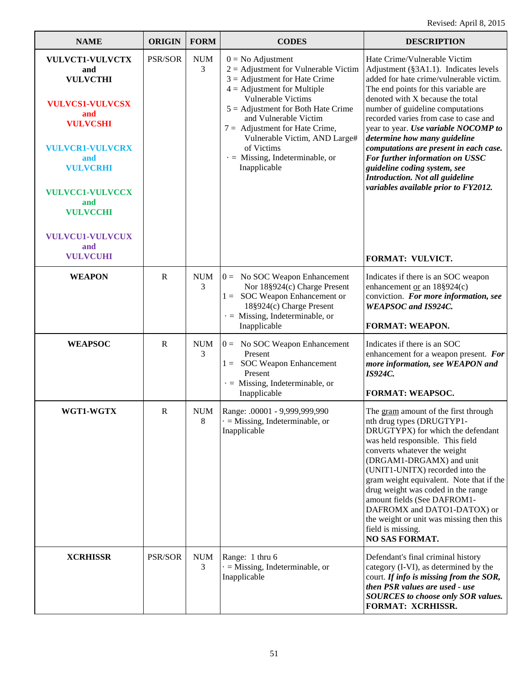| <b>NAME</b>                                                                                                                                                                                                                            | <b>ORIGIN</b> | <b>FORM</b>                      | <b>CODES</b>                                                                                                                                                                                                                                                                                                                                                         | <b>DESCRIPTION</b>                                                                                                                                                                                                                                                                                                                                                                                                                                                                                                                        |
|----------------------------------------------------------------------------------------------------------------------------------------------------------------------------------------------------------------------------------------|---------------|----------------------------------|----------------------------------------------------------------------------------------------------------------------------------------------------------------------------------------------------------------------------------------------------------------------------------------------------------------------------------------------------------------------|-------------------------------------------------------------------------------------------------------------------------------------------------------------------------------------------------------------------------------------------------------------------------------------------------------------------------------------------------------------------------------------------------------------------------------------------------------------------------------------------------------------------------------------------|
| VULVCT1-VULVCTX<br>and<br><b>VULVCTHI</b><br><b>VULVCS1-VULVCSX</b><br>and<br><b>VULVCSHI</b><br><b>VULVCR1-VULVCRX</b><br>and<br><b>VULVCRHI</b><br><b>VULVCC1-VULVCCX</b><br>and<br><b>VULVCCHI</b><br><b>VULVCU1-VULVCUX</b><br>and | PSR/SOR       | $\boldsymbol{\mathsf{NUM}}$<br>3 | $0 = No$ Adjustment<br>$2 =$ Adjustment for Vulnerable Victim<br>$3 =$ Adjustment for Hate Crime<br>$4 =$ Adjustment for Multiple<br>Vulnerable Victims<br>$5 =$ Adjustment for Both Hate Crime<br>and Vulnerable Victim<br>$7 =$ Adjustment for Hate Crime,<br>Vulnerable Victim, AND Large#<br>of Victims<br>$\cdot$ = Missing, Indeterminable, or<br>Inapplicable | Hate Crime/Vulnerable Victim<br>Adjustment (§3A1.1). Indicates levels<br>added for hate crime/vulnerable victim.<br>The end points for this variable are<br>denoted with X because the total<br>number of guideline computations<br>recorded varies from case to case and<br>year to year. Use variable NOCOMP to<br>determine how many guideline<br>computations are present in each case.<br>For further information on USSC<br>guideline coding system, see<br>Introduction. Not all guideline<br>variables available prior to FY2012. |
| <b>VULVCUHI</b>                                                                                                                                                                                                                        |               |                                  |                                                                                                                                                                                                                                                                                                                                                                      | FORMAT: VULVICT.                                                                                                                                                                                                                                                                                                                                                                                                                                                                                                                          |
| <b>WEAPON</b>                                                                                                                                                                                                                          | R             | <b>NUM</b><br>3                  | $0 = No SOC$ Weapon Enhancement<br>Nor 18§924(c) Charge Present<br>$1 =$ SOC Weapon Enhancement or<br>18§924(c) Charge Present<br>$\cdot$ = Missing, Indeterminable, or<br>Inapplicable                                                                                                                                                                              | Indicates if there is an SOC weapon<br>enhancement or an $18\S924(c)$<br>conviction. For more information, see<br><b>WEAPSOC</b> and IS924C.<br>FORMAT: WEAPON.                                                                                                                                                                                                                                                                                                                                                                           |
|                                                                                                                                                                                                                                        | R             | <b>NUM</b>                       |                                                                                                                                                                                                                                                                                                                                                                      | Indicates if there is an SOC                                                                                                                                                                                                                                                                                                                                                                                                                                                                                                              |
| <b>WEAPSOC</b>                                                                                                                                                                                                                         |               | 3                                | $0 = No SOC$ Weapon Enhancement<br>Present<br><b>SOC Weapon Enhancement</b><br>$1 =$<br>Present<br>$\cdot$ = Missing, Indeterminable, or<br>Inapplicable                                                                                                                                                                                                             | enhancement for a weapon present. For<br>more information, see WEAPON and<br><b>IS924C.</b><br>FORMAT: WEAPSOC.                                                                                                                                                                                                                                                                                                                                                                                                                           |
| WGT1-WGTX                                                                                                                                                                                                                              | R             | <b>NUM</b><br>8                  | Range: .00001 - 9,999,999,990<br>$\cdot$ = Missing, Indeterminable, or<br>Inapplicable                                                                                                                                                                                                                                                                               | The gram amount of the first through<br>nth drug types (DRUGTYP1-<br>DRUGTYPX) for which the defendant<br>was held responsible. This field<br>converts whatever the weight<br>(DRGAM1-DRGAMX) and unit<br>(UNIT1-UNITX) recorded into the<br>gram weight equivalent. Note that if the<br>drug weight was coded in the range<br>amount fields (See DAFROM1-<br>DAFROMX and DATO1-DATOX) or<br>the weight or unit was missing then this<br>field is missing.<br><b>NO SAS FORMAT.</b>                                                       |
| <b>XCRHISSR</b>                                                                                                                                                                                                                        | PSR/SOR       | <b>NUM</b><br>3                  | Range: 1 thru 6<br>$=$ Missing, Indeterminable, or<br>Inapplicable                                                                                                                                                                                                                                                                                                   | Defendant's final criminal history<br>category (I-VI), as determined by the<br>court. If info is missing from the SOR,<br>then PSR values are used - use<br><b>SOURCES</b> to choose only SOR values.<br>FORMAT: XCRHISSR.                                                                                                                                                                                                                                                                                                                |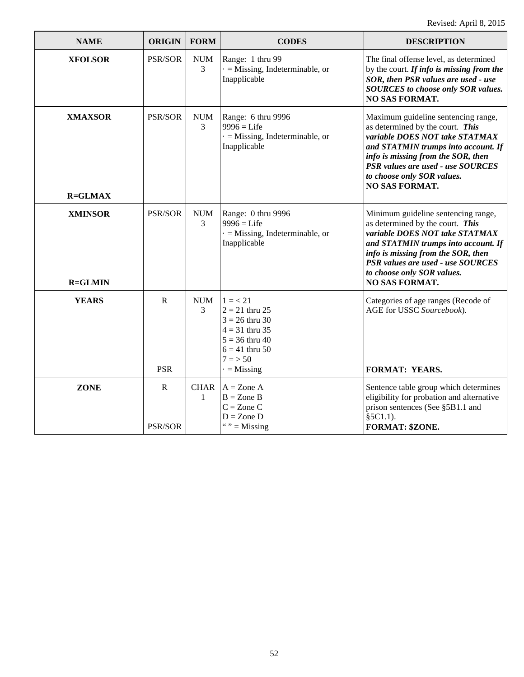| <b>NAME</b>                      | <b>ORIGIN</b>                 | <b>FORM</b>      | <b>CODES</b>                                                                                                                            | <b>DESCRIPTION</b>                                                                                                                                                                                                                                                                 |
|----------------------------------|-------------------------------|------------------|-----------------------------------------------------------------------------------------------------------------------------------------|------------------------------------------------------------------------------------------------------------------------------------------------------------------------------------------------------------------------------------------------------------------------------------|
| <b>XFOLSOR</b>                   | PSR/SOR                       | <b>NUM</b><br>3  | Range: 1 thru 99<br>$\cdot$ = Missing, Indeterminable, or<br>Inapplicable                                                               | The final offense level, as determined<br>by the court. If info is missing from the<br>SOR, then PSR values are used - use<br><b>SOURCES</b> to choose only SOR values.<br><b>NO SAS FORMAT.</b>                                                                                   |
| <b>XMAXSOR</b><br><b>R=GLMAX</b> | PSR/SOR                       | <b>NUM</b><br>3  | Range: 6 thru 9996<br>$9996 =$ Life<br>$=$ Missing, Indeterminable, or<br>Inapplicable                                                  | Maximum guideline sentencing range,<br>as determined by the court. This<br>variable DOES NOT take STATMAX<br>and STATMIN trumps into account. If<br>info is missing from the SOR, then<br>PSR values are used - use SOURCES<br>to choose only SOR values.<br>NO SAS FORMAT.        |
| <b>XMINSOR</b><br><b>R=GLMIN</b> | <b>PSR/SOR</b>                | <b>NUM</b><br>3  | Range: 0 thru 9996<br>$9996 =$ Life<br>$=$ Missing, Indeterminable, or<br>Inapplicable                                                  | Minimum guideline sentencing range,<br>as determined by the court. This<br>variable DOES NOT take STATMAX<br>and STATMIN trumps into account. If<br>info is missing from the SOR, then<br>PSR values are used - use SOURCES<br>to choose only SOR values.<br><b>NO SAS FORMAT.</b> |
| <b>YEARS</b>                     | R<br><b>PSR</b>               | <b>NUM</b><br>3  | $1 = 21$<br>$2 = 21$ thru 25<br>$3 = 26$ thru 30<br>$4 = 31$ thru 35<br>$5 = 36$ thru 40<br>$6 = 41$ thru 50<br>$7 = 50$<br>$=$ Missing | Categories of age ranges (Recode of<br>AGE for USSC Sourcebook).<br><b>FORMAT: YEARS.</b>                                                                                                                                                                                          |
| <b>ZONE</b>                      | $\mathbf R$<br><b>PSR/SOR</b> | <b>CHAR</b><br>1 | $A = \text{Zone } A$<br>$B = Z$ one $B$<br>$C = Z$ one $C$<br>$D = Z$ one D<br>" $" =$ Missing                                          | Sentence table group which determines<br>eligibility for probation and alternative<br>prison sentences (See §5B1.1 and<br>$§5C1.1$ ).<br>FORMAT: \$ZONE.                                                                                                                           |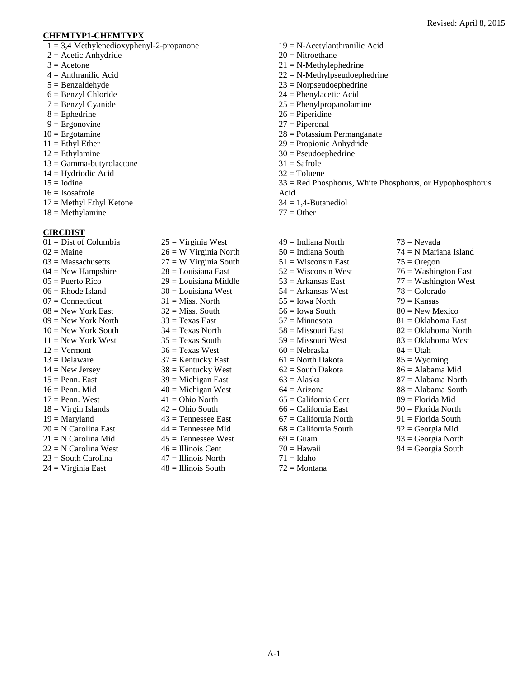#### **CHEMTYP1-CHEMTYPX**

- $1 = 3,4$  Methylenedioxyphenyl-2-propanone
- $2 =$  Acetic Anhydride
- $3 =$  Acetone
- $4 =$  Anthranilic Acid
- $5 =$ Benzaldehyde
- 6 = Benzyl Chloride
- 7 = Benzyl Cyanide
- $8 =$ Ephedrine
- $9 =$  Ergonovine
- $10 =$  Ergotamine
- $11 =$  Ethyl Ether
- $12 =$ Ethylamine
- $13 = \text{Gamma-butyrolactone}$
- 14 = Hydriodic Acid
- $15 =$ Iodine
- $16 = Isosafrole$
- 17 = Methyl Ethyl Ketone
- $18 =$ Methylamine

#### **CIRCDIST**

 $\overline{01}$  = Dist of Columbia  $02$  = Maine  $03$  = Massachusetts  $04 =$  New Hampshire 05 = Puerto Rico  $06$  = Rhode Island  $07 =$ Connecticut  $08$  = New York East  $09$  = New York North  $10 =$  New York South  $11 =$  New York West  $12 =$  Vermont  $13 =$ Delaware  $14 =$  New Jersey  $15 =$  Penn. East  $16$  = Penn. Mid  $17$  = Penn. West  $18 = V$ irgin Islands  $19 =$  Maryland 20 = N Carolina East 21 = N Carolina Mid  $22 = N$  Carolina West  $23$  = South Carolina  $24 = Virginia East$ 

 $25 = V$ irginia West  $26 = W$  Virginia North  $27 = W$  Virginia South 28 = Louisiana East 29 = Louisiana Middle  $30 =$ Louisiana West  $31$  = Miss. North  $32$  = Miss. South  $33 =$ Texas East  $34 =$ Texas North  $35 =$ Texas South  $36$  = Texas West  $37$  = Kentucky East  $38$  = Kentucky West  $39$  = Michigan East  $40$  = Michigan West  $41 = Ohio North$  $42 = Ohio$  South  $43$  = Tennessee East  $44$  = Tennessee Mid  $45$  = Tennessee West 46 = Illinois Cent  $47 =$  Illinois North  $48 =$  Illinois South

- 19 = N-Acetylanthranilic Acid
- 20 = Nitroethane
- $21 = N-Methylephedrine$
- $22 = N-Methylpseudoephedrine$
- 23 = Norpseudoephedrine
- 24 = Phenylacetic Acid
- $25 =$ Phenylpropanolamine
- 26 = Piperidine
- $27 =$ Piperonal
- 28 = Potassium Permanganate
- 29 = Propionic Anhydride
- 30 = Pseudoephedrine
- $31 =$ Safrole
- $32$  = Toluene
- 33 = Red Phosphorus, White Phosphorus, or Hypophosphorus Acid
- $34 = 1,4$ -Butanediol
- $77 =$ Other
- $49 =$ Indiana North  $50 =$ Indiana South  $51 = W$ isconsin East  $52 = W$ isconsin West  $53$  = Arkansas East 54 = Arkansas West  $55 =$ Iowa North  $56 =$  Iowa South 57 = Minnesota 58 = Missouri East  $59$  = Missouri West  $60 =$ Nebraska 61 = North Dakota  $62$  = South Dakota  $63$  = Alaska  $64 =$ Arizona  $65 =$ California Cent 66 = California East 67 = California North 68 = California South  $69$  = Guam  $70 =$ Hawaii  $71 =$ Idaho 72 = Montana  $73$  = Nevada 74 = N Mariana Island  $75 =$ Oregon  $76$  = Washington East  $77 =$  Washington West 78 = Colorado  $79$  = Kansas  $80$  = New Mexico 81 = Oklahoma East 82 = Oklahoma North  $83 = 0$ klahoma West  $84 =$  Utah  $85 = W$ yoming 86 = Alabama Mid  $87 =$  Alabama North 88 = Alabama South 89 = Florida Mid 90 = Florida North 91 = Florida South 92 = Georgia Mid 93 = Georgia North  $94 = \text{Georgia}$  South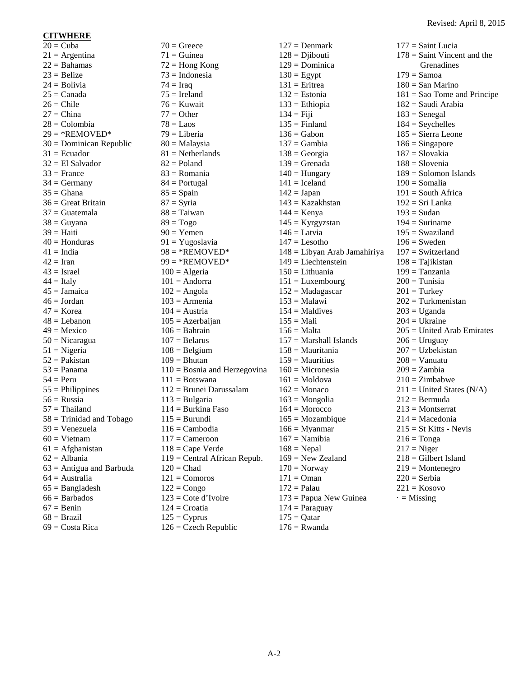#### **CITWHERE**

 $20 =$ Cuba  $21 =$ Argentina  $22 =$ Bahamas  $23 =$ Belize  $24 =$ Bolivia  $25 =$ Canada  $26$  = Chile  $27 =$ China  $28 =$ Colombia  $29 = *REMONED*$ 30 = Dominican Republic  $31$  = Ecuador  $32$  = El Salvador  $33$  = France  $34 =$  Germany  $35 =$ Ghana  $36$  = Great Britain  $37 =$ Guatemala  $38 =$  Guyana  $39$  = Haiti  $40 =$ Honduras  $41 \equiv$  India  $42 =$ Iran  $43$  = Israel  $44 =$ Italy  $45 =$ Jamaica  $46 =$  Jordan  $47$  = Korea  $48 =$ Lebanon  $49 =$ Mexico 50 = Nicaragua  $51 =$ Nigeria  $52$  = Pakistan  $53$  = Panama  $54 = Peru$  $55 =$ Philippines  $56$  = Russia 57 = Thailand 58 = Trinidad and Tobago  $59 = Venezuela$  $60 =$  Vietnam  $61 =$ Afghanistan  $62$  = Albania  $63$  = Antigua and Barbuda  $64 =$ Australia  $65 =$ Bangladesh  $66 =$ Barbados  $67 =$ Benin  $68 = Brazil$  $69$  = Costa Rica

 $70$  = Greece  $71$  = Guinea  $72$  = Hong Kong  $73 =$ Indonesia  $74 = \text{Iraq}$  $75 =$  Ireland  $76 =$ Kuwait  $77 =$ Other  $78 =$ Laos  $79 =$ Liberia 80 = Malaysia  $81$  = Netherlands  $82$  = Poland 83 = Romania  $84 =$  Portugal  $85 =$ Spain  $87 = S$ yria  $88 =$ Taiwan  $89 = Togo$  $90 =$ Yemen 91 = Yugoslavia  $98 = *$ REMOVED\*  $99 = *RE$ NOVED\*  $100 =$  Algeria  $101 =$  Andorra  $102$  = Angola  $103$  = Armenia  $104 =$ Austria  $105 =$  Azerbaijan  $106 =$ Bahrain  $107 =$ Belarus  $108 =$ Belgium  $109 = Bhutan$  $110 =$ Bosnia and Herzegovina  $111 = Botswana$ 112 = Brunei Darussalam  $113 = Bulgaria$  $114 =$ Burkina Faso  $115 = Burundi$  $116$  = Cambodia  $117 =$ Cameroon  $118$  = Cape Verde 119 = Central African Repub.  $120$  = Chad  $121 = Comoros$  $122 =$ Congo 123 = Cote d'Ivoire  $124$  = Croatia  $125 = Cyprus$ 

 $126$  = Czech Republic

 $127 =$ Denmark  $128 = \text{Djibouti}$ 129 = Dominica  $130 =$ Egypt  $131$  = Eritrea  $132$  = Estonia  $133 =$ Ethiopia  $134 =$ Fiji  $135$  = Finland  $136$  = Gabon  $137 =$ Gambia  $138 = Ge$ orgia  $139$  = Grenada  $140$  = Hungary  $141 =$ Iceland  $142 = Japan$ 143 = Kazakhstan  $144 =$ Kenya  $145 = Kyrgyzstan$  $146 =$ Latvia  $147 =$ Lesotho 148 = Libyan Arab Jamahiriya  $149$  = Liechtenstein  $150 =$ Lithuania  $151 =$ Luxembourg  $152$  = Madagascar  $153 =$ Malawi  $154 =$  Maldives  $155 =$ Mali  $156 = \text{Malta}$  $157 =$  Marshall Islands  $158$  = Mauritania  $159$  = Mauritius  $160$  = Micronesia  $161 =$ Moldova  $162$  = Monaco  $163$  = Mongolia  $164 = \text{Moreover}$  $165 = \text{Mozambique}$  $166$  = Myanmar  $167 =$  Namibia  $168$  = Nepal  $169$  = New Zealand  $170 =$  Norway  $171 = \text{Oman}$  $172$  = Palau 173 = Papua New Guinea  $174 =$ Paraguay  $175 = \text{Qatar}$  $176$  = Rwanda

 $177 =$ Saint Lucia 178 = Saint Vincent and the Grenadines  $179$  = Samoa  $180 =$ San Marino  $181 =$ Sao Tome and Principe 182 = Saudi Arabia  $183$  = Senegal  $184 =$  Seychelles 185 = Sierra Leone  $186 =$ Singapore 187 = Slovakia  $188$  = Slovenia 189 = Solomon Islands  $190 =$ Somalia  $191$  = South Africa  $192 = Sri$  Lanka  $193$  = Sudan  $194 =$ Suriname  $195 = Swaziland$  $196$  = Sweden  $197 =$  Switzerland 198 = Tajikistan  $199$  = Tanzania  $200$  = Tunisia  $201$  = Turkey 202 = Turkmenistan  $203 = U$ ganda  $204 =$ Ukraine  $205 =$  United Arab Emirates  $206 = Uruguav$ 207 = Uzbekistan  $208 =$ Vanuatu  $209 = Zambia$  $210 = Zimbabwe$  $211 =$  United States (N/A)  $212 = \text{Bernuda}$  $213$  = Montserrat  $214 = Macedonia$  $215 = St$  Kitts - Nevis  $216 =$ Tonga  $217 =$ Niger  $218 =$  Gilbert Island  $219$  = Montenegro  $220 =$ Serbia  $221 =$ Kosovo  $\cdot$  = Missing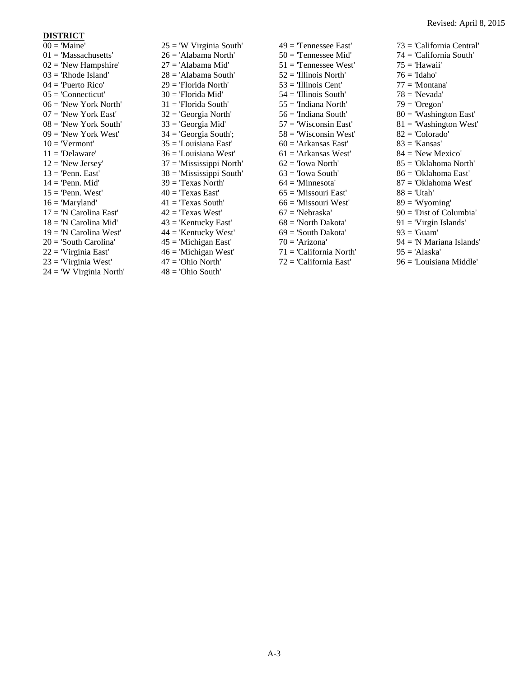#### **DISTRICT**

 $00 = 'Maine'$  $01 =$ 'Massachusetts'  $02 =$  'New Hampshire'  $03$  = 'Rhode Island' 04 = 'Puerto Rico'  $05$  = 'Connecticut' 06 = 'New York North'  $07 =$ 'New York East'  $08 =$  'New York South'  $09 =$  'New York West'  $10 = 'Vermont'$  $11 = 'Delaware'$  $12 = 'New Jersey'$  $13$  = 'Penn. East'  $14 =$  'Penn. Mid'  $15$  = 'Penn. West'  $16 = 'Maryland'$ 17 = 'N Carolina East' 18 = 'N Carolina Mid'  $19 = 'N$  Carolina West' 20 = 'South Carolina' 22 = 'Virginia East'  $23$  = 'Virginia West' 24 = 'W Virginia North'  $25 = W$  Virginia South' 26 = 'Alabama North' 27 = 'Alabama Mid' 28 = 'Alabama South' 29 = 'Florida North'  $30$  = 'Florida Mid' 31 = 'Florida South' 32 = 'Georgia North' 33 = 'Georgia Mid' 34 = 'Georgia South'; 35 = 'Louisiana East' 36 = 'Louisiana West' 37 = 'Mississippi North' 38 = 'Mississippi South'  $39 =$  Texas North'  $40 =$  'Texas East'  $41 =$  Texas South'  $42 =$  Texas West' 43 = 'Kentucky East' 44 = 'Kentucky West' 45 = 'Michigan East'  $46$  = 'Michigan West' 47 = 'Ohio North'  $48 =$ 'Ohio South'

 $49 =$  Tennessee East' 50 = 'Tennessee Mid' 51 = 'Tennessee West'  $52 = 7$ Illinois North' 53 = 'Illinois Cent' 54 = 'Illinois South' 55 = 'Indiana North' 56 = 'Indiana South'  $57 =$ Wisconsin East'  $58 \equiv$  'Wisconsin West'  $60 = 'Arkansas East'$  $61$  = 'Arkansas West'  $62 =$ 'Iowa North'  $63$  = 'Iowa South'  $64 =$ 'Minnesota' 65 = 'Missouri East' 66 = 'Missouri West'  $67 =$ 'Nebraska' 68 = 'North Dakota' 69 = 'South Dakota'  $70 = 'Arizona'$ 71 = 'California North' 72 = 'California East'

73 = 'California Central' 74 = 'California South'  $75 = 'Hawai'$  $76 = 'Idaho'$ 77 = 'Montana' 78 = 'Nevada'  $79 = 'O$ regon'  $80 =$  'Washington East'  $81 =$  'Washington West' 82 = 'Colorado'  $83$  = 'Kansas'  $84 =$ 'New Mexico' 85 = 'Oklahoma North' 86 = 'Oklahoma East' 87 = 'Oklahoma West'  $88 = 'Utah'$  $89 =$  'Wyoming' 90 = 'Dist of Columbia' 91 = 'Virgin Islands'  $93 = 'Guam'$ 94 = 'N Mariana Islands'  $95 = 'Alaska'$ 

96 = 'Louisiana Middle'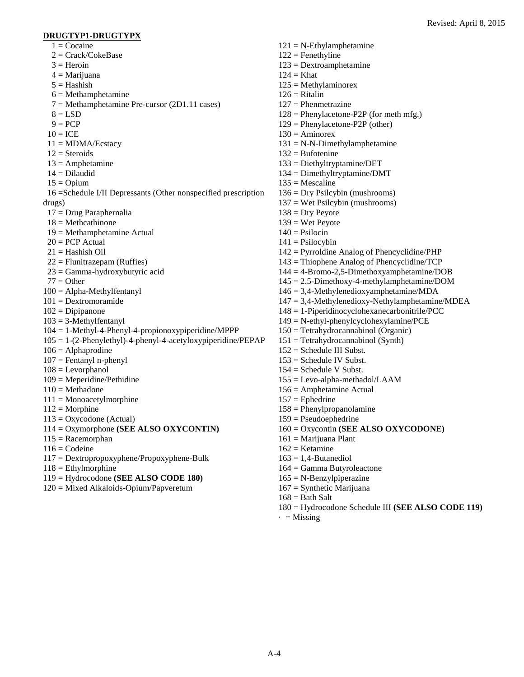#### **DRUGTYP1-DRUGTYPX**

- $1 =$ Cocaine
- $2 = Crack/CokeBase$
- $3 =$  Heroin
- $4 =$ Marijuana
- $5 =$ Hashish
- $6 = \text{Metham}\text{ph}$ etamine
- $7 =$ Methamphetamine Pre-cursor (2D1.11 cases)
- $8 = LSD$
- $9 = PCP$
- $10 = ICE$
- $11 = MDMA/Escatacy$
- $12 =$ Steroids
- $13 =$  Amphetamine
- 14 = Dilaudid
- $15 =$  Opium
- 16 =Schedule I/II Depressants (Other nonspecified prescription
- drugs)
- 17 = Drug Paraphernalia
- $18 = Methcathinone$
- 19 = Methamphetamine Actual
- $20 = PCP$  Actual
- $21 =$ Hashish Oil
- $22$  = Flunitrazepam (Ruffies)
- 23 = Gamma-hydroxybutyric acid
- $77 =$ Other
- 100 = Alpha-Methylfentanyl
- 101 = Dextromoramide
- $102 = Dipipanone$
- $103 = 3$ -Methylfentanyl
- 104 = 1-Methyl-4-Phenyl-4-propionoxypiperidine/MPPP
- $105 = 1-(2-Phenylethyl)-4-phenyl-4-acetyloxypiperidine/PEPAP$
- $106 =$  Alphaprodine
- 107 = Fentanyl n-phenyl
- $108$  = Levorphanol
- 109 = Meperidine/Pethidine
- $110 = \text{Method}$
- 111 = Monoacetylmorphine
- $112 = \text{Morphine}$
- $113 = Oxycodone$  (Actual)
- 114 = Oxymorphone **(SEE ALSO OXYCONTIN)**
- $115 =$ Racemorphan
- $116 = \text{Codeine}$
- 117 = Dextropropoxyphene/Propoxyphene-Bulk
- $118 =$ Ethylmorphine
- 119 = Hydrocodone **(SEE ALSO CODE 180)**
- 120 = Mixed Alkaloids-Opium/Papveretum

 $122$  = Fenethyline 123 = Dextroamphetamine  $124 = Khat$  $125 =$ Methylaminorex  $126$  = Ritalin 127 = Phenmetrazine  $128$  = Phenylacetone-P2P (for meth mfg.) 129 = Phenylacetone-P2P (other)  $130 =$  Aminorex  $131 = N-N-Dimethylampletamine$  $132 =$ Bufotenine 133 = Diethyltryptamine/DET 134 = Dimethyltryptamine/DMT  $135$  = Mescaline 136 = Dry Psilcybin (mushrooms) 137 = Wet Psilcybin (mushrooms)  $138 =$  Dry Peyote  $139$  = Wet Peyote  $140 =$  Psilocin  $141 =$  Psilocybin 142 = Pyrroldine Analog of Phencyclidine/PHP 143 = Thiophene Analog of Phencyclidine/TCP 144 = 4-Bromo-2,5-Dimethoxyamphetamine/DOB 145 = 2.5-Dimethoxy-4-methylamphetamine/DOM 146 = 3,4-Methylenedioxyamphetamine/MDA 147 = 3,4-Methylenedioxy-Nethylamphetamine/MDEA 148 = 1-Piperidinocyclohexanecarbonitrile/PCC 149 = N-ethyl-phenylcyclohexylamine/PCE 150 = Tetrahydrocannabinol (Organic)  $151 = Tetrahydrocannabinol (Synth)$ 152 = Schedule III Subst.  $153$  = Schedule IV Subst. 154 = Schedule V Subst. 155 = Levo-alpha-methadol/LAAM 156 = Amphetamine Actual  $157 =$ Ephedrine 158 = Phenylpropanolamine 159 = Pseudoephedrine 160 = Oxycontin **(SEE ALSO OXYCODONE)** 161 = Marijuana Plant  $162$  = Ketamine  $163 = 1.4$ -Butanediol

164 = Gamma Butyroleactone

 $121 = N-Ethylampletamine$ 

- $165 = N-Benzylpiperazine$
- 167 = Synthetic Marijuana
- $168 =$ Bath Salt
- 180 = Hydrocodone Schedule III **(SEE ALSO CODE 119)**
- $\cdot$  = Missing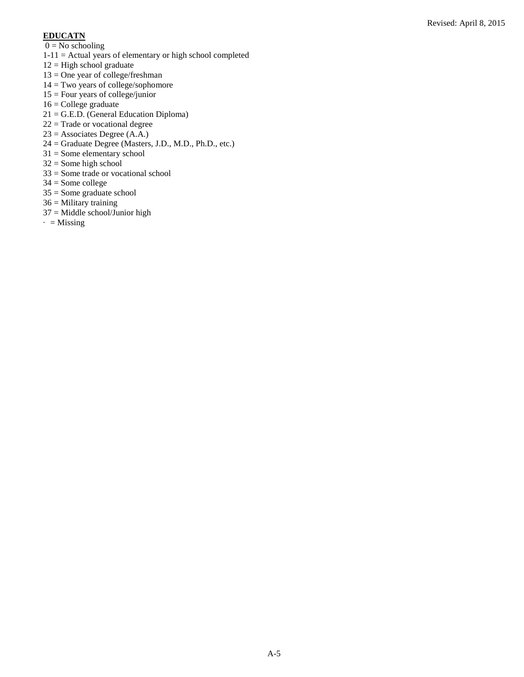#### **EDUCATN**

- $0 = No$  schooling
- 1-11 = Actual years of elementary or high school completed
- $12 =$  High school graduate
- $13 =$ One year of college/freshman
- 14 = Two years of college/sophomore
- 15 = Four years of college/junior
- 16 = College graduate
- 21 = G.E.D. (General Education Diploma)
- $22 =$ Trade or vocational degree
- 23 = Associates Degree (A.A.)
- 24 = Graduate Degree (Masters, J.D., M.D., Ph.D., etc.)
- 31 = Some elementary school
- 32 = Some high school
- 33 = Some trade or vocational school
- 34 = Some college
- 35 = Some graduate school
- $36 =$  Military training
- 37 = Middle school/Junior high
- $\cdot$  = Missing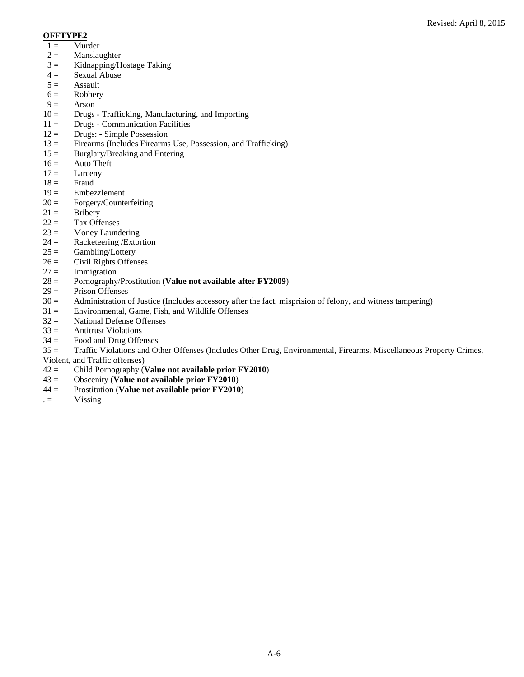#### **OFFTYPE2**

- $1 =$  Murder
- $2 =$  Manslaughter
- $3 =$  Kidnapping/Hostage Taking<br> $4 =$  Sexual Abuse
- $4 =$  Sexual Abuse<br> $5 =$  Assault
- Assault
- $6 = \text{Robbery}$ <br> $9 = \text{Arson}$
- Arson
- $10 =$  Drugs Trafficking, Manufacturing, and Importing
- $11 =$  Drugs Communication Facilities
- 12 = Drugs: Simple Possession
- 13 = Firearms (Includes Firearms Use, Possession, and Trafficking)
- $15 =$  Burglary/Breaking and Entering
- $16 =$  Auto Theft
- $17 =$  Larceny
- 
- $18 =$  Fraud<br> $19 =$  Embez **Embezzlement**
- $20 = \text{Forgery/Counterfeiting}$
- 
- $21 =$  Bribery<br> $22 =$  Tax Off Tax Offenses
- 
- $23 =$  Money Laundering<br> $24 =$  Racketeering / Extor
- $24 =$  Racketeering /Extortion<br> $25 =$  Gambling/Lottery Gambling/Lottery
- $26 =$  Civil Rights Offenses
- 
- $27 =$  Immigration<br> $28 =$  Pornography. 28 = Pornography/Prostitution (**Value not available after FY2009**)
- $29 =$  Prison Offenses
- $30 =$  Administration of Justice (Includes accessory after the fact, misprision of felony, and witness tampering)  $31 =$  Environmental, Game, Fish, and Wildlife Offenses
- Environmental, Game, Fish, and Wildlife Offenses
- $32 =$  National Defense Offenses
- $33 =$  Antitrust Violations
- $34 =$  Food and Drug Offenses

35 = Traffic Violations and Other Offenses (Includes Other Drug, Environmental, Firearms, Miscellaneous Property Crimes, Violent, and Traffic offenses)

- 42 = Child Pornography (**Value not available prior FY2010**)
- 43 = Obscenity (**Value not available prior FY2010**)
- 44 = Prostitution (**Value not available prior FY2010**)
- $. =$  Missing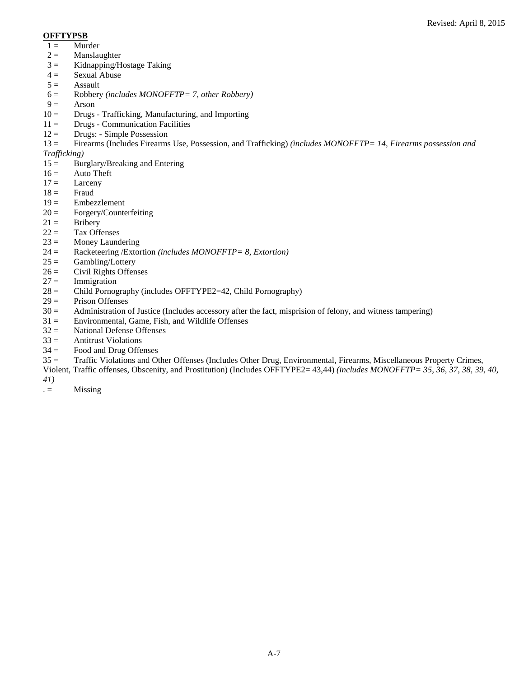#### **OFFTYPSB**

- $1 =$  Murder
- $2 =$  Manslaughter
- $3 =$  Kidnapping/Hostage Taking<br> $4 =$  Sexual Abuse
- $4 =$  Sexual Abuse<br> $5 =$  Assault
- Assault
- 6 = Robbery *(includes MONOFFTP= 7, other Robbery)*
- Arson
- 10 = Drugs Trafficking, Manufacturing, and Importing
- $11 =$  Drugs Communication Facilities
- $12 =$  Drugs: Simple Possession
- 13 = Firearms (Includes Firearms Use, Possession, and Trafficking) *(includes MONOFFTP= 14, Firearms possession and*

#### *Trafficking)*

- $15 =$  Burglary/Breaking and Entering
- $16 =$  Auto Theft
- $17 =$  Larceny<br> $18 =$  Fraud
- **Fraud**
- 19 = Embezzlement
- $20 = \text{Forgery/Counterfeiting}$ <br>  $21 = \text{Bribery}$
- **Bribery**
- $22 =$  Tax Offenses
- $23 =$  Money Laundering<br> $24 =$  Racketeering / Extor
- 24 = Racketeering /Extortion *(includes MONOFFTP= 8, Extortion)*
- $25 =$  Gambling/Lottery
- $26 =$  Civil Rights Offenses<br> $27 =$  Immigration
- Immigration
- 28 = Child Pornography (includes OFFTYPE2=42, Child Pornography)
- $29 =$  Prison Offenses<br> $30 =$  Administration of
- Administration of Justice (Includes accessory after the fact, misprision of felony, and witness tampering)
- $31 =$  Environmental, Game, Fish, and Wildlife Offenses
- $32 =$  National Defense Offenses
- $33 =$  Antitrust Violations
- $34 =$  Food and Drug Offenses
- 35 = Traffic Violations and Other Offenses (Includes Other Drug, Environmental, Firearms, Miscellaneous Property Crimes,
- Violent, Traffic offenses, Obscenity, and Prostitution) (Includes OFFTYPE2= 43,44) *(includes MONOFFTP= 35, 36, 37, 38, 39, 40,*
- *41)*
- $. =$  Missing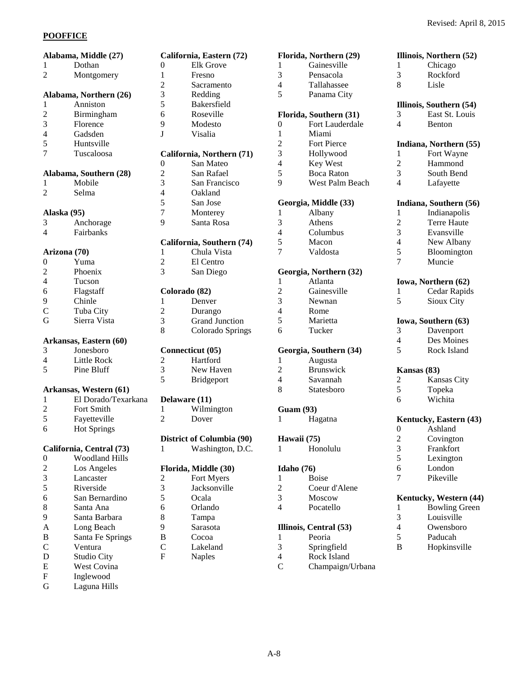#### **POOFFICE**

|                          | Alabama, Middle (27)     |                         | California, Eastern (72) |
|--------------------------|--------------------------|-------------------------|--------------------------|
| 1                        | Dothan                   | $\overline{0}$          | Elk Grove                |
| $\overline{2}$           | Montgomery               | $\mathbf{1}$            | Fresno                   |
|                          |                          | $\overline{c}$          | Sacramento               |
|                          | Alabama, Northern (26)   | 3                       | Redding                  |
| $\mathbf{1}$             | Anniston                 | 5                       | Bakersfield              |
| $\overline{c}$           | Birmingham               | 6                       | Roseville                |
| 3                        | Florence                 | 9                       | Modesto                  |
| $\overline{4}$           | Gadsden                  | J                       | Visalia                  |
| 5                        | Huntsville               |                         |                          |
| 7                        | Tuscaloosa               |                         | California, Northern (71 |
|                          |                          | 0                       | San Mateo                |
|                          | Alabama, Southern (28)   | $\overline{c}$          | San Rafael               |
| 1                        | Mobile                   | 3                       | San Francisco            |
| $\overline{2}$           | Selma                    | $\overline{4}$          | Oakland                  |
|                          |                          | 5                       | San Jose                 |
|                          | Alaska (95)              | 7                       | Monterey                 |
| 3                        | Anchorage                | 9                       | Santa Rosa               |
| $\overline{4}$           | Fairbanks                |                         |                          |
|                          |                          |                         | California, Southern (74 |
|                          | Arizona (70)             | 1                       | Chula Vista              |
| 0                        | Yuma                     | $\overline{c}$          | El Centro                |
| $\overline{c}$           | Phoenix                  | 3                       | San Diego                |
| $\overline{\mathcal{L}}$ | Tucson                   |                         |                          |
| 6                        |                          |                         |                          |
|                          | Flagstaff                | $\mathbf{1}$            | Colorado (82)            |
| 9                        | Chinle                   |                         | Denver                   |
| $\mathsf{C}$             | Tuba City                | $\overline{c}$          | Durango                  |
| G                        | Sierra Vista             | 3                       | <b>Grand Junction</b>    |
|                          |                          | 8                       | Colorado Spring          |
|                          | Arkansas, Eastern (60)   |                         |                          |
| 3                        | Jonesboro                |                         | Connecticut (05)         |
| 4                        | <b>Little Rock</b>       | $\overline{\mathbf{c}}$ | Hartford                 |
| 5                        | Pine Bluff               | 3                       | New Haven                |
|                          |                          | 5                       | Bridgeport               |
|                          | Arkansas, Western (61)   |                         |                          |
| $\mathbf 1$              | El Dorado/Texarkana      |                         | Delaware (11)            |
| $\overline{c}$           | Fort Smith               | $\mathbf{1}$            | Wilmington               |
| 5                        | Fayetteville             | $\overline{2}$          | Dover                    |
| 6                        | <b>Hot Springs</b>       |                         |                          |
|                          |                          |                         | District of Columbia (90 |
|                          | California, Central (73) | 1                       | Washington, D.C          |
| 0                        | <b>Woodland Hills</b>    |                         |                          |
| $\overline{\mathbf{c}}$  | Los Angeles              |                         | Florida, Middle (30)     |
| 3                        | Lancaster                | $\overline{\mathbf{c}}$ | Fort Myers               |
| 5                        | Riverside                | 3                       | Jacksonville             |
| 6                        | San Bernardino           | 5                       | Ocala                    |
| 8                        | Santa Ana                | 6                       | Orlando                  |
| 9                        | Santa Barbara            | 8                       | Tampa                    |
| A                        | Long Beach               | 9                       | Sarasota                 |
| B                        | Santa Fe Springs         | B                       | Cocoa                    |
| $\mathsf{C}$             | Ventura                  | $\mathcal{C}$           | Lakeland                 |
| D                        | Studio City              | F                       | <b>Naples</b>            |
| E                        | West Covina              |                         |                          |
| F                        | Inglewood                |                         |                          |
| G                        | Laguna Hills             |                         |                          |
|                          |                          |                         |                          |

| $\boldsymbol{0}$        | <b>Elk Grove</b>          |
|-------------------------|---------------------------|
| $\mathbf{1}$            | Fresno                    |
|                         | Sacramento                |
| 2<br>3<br>5<br>6        | Redding                   |
|                         | Bakersfield               |
|                         | Roseville                 |
| $\overline{9}$          | Modesto                   |
| J                       | Visalia                   |
|                         | California, Northern (71) |
| $\mathbf{0}$            | San Mateo                 |
|                         | San Rafael                |
|                         | San Francisco             |
|                         | Oakland                   |
| 234579                  | San Jose                  |
|                         | Monterey                  |
|                         | Santa Rosa                |
|                         | California, Southern (74) |
| $\mathbf{1}$            | Chula Vista               |
| $\frac{2}{3}$           | El Centro                 |
|                         | San Diego                 |
| Colorado (82)           |                           |
| 1                       | Denver                    |
|                         | Durango                   |
| $\frac{2}{3}$           | <b>Grand Junction</b>     |
|                         | Colorado Springs          |
|                         | Connecticut (05)          |
|                         | Hartford                  |
| $\frac{2}{3}$           | New Haven                 |
|                         | Bridgeport                |
| <b>Delaware</b> (11)    |                           |
| $\mathbf{1}$            | Wilmington                |
| $\overline{c}$          | Dover                     |
|                         | District of Columbia (90) |
| 1                       | Washington, D.C.          |
|                         | Florida, Middle (30)      |
|                         | Fort Myers                |
|                         | Jacksonville              |
|                         | Ocala                     |
| 23568                   | Orlando                   |
|                         | Tampa                     |
| 9                       | Sarasota                  |
| B                       | Cocoa                     |
| $\mathcal{C}_{0}^{(n)}$ | Lakeland                  |
| F                       | Naples                    |
|                         |                           |

|                          | Florida, Northern (29) |                          | Illinois, Northern (52) |
|--------------------------|------------------------|--------------------------|-------------------------|
| 1                        | Gainesville            | 1                        | Chicago                 |
| 3                        | Pensacola              | 3                        | Rockford                |
| $\overline{4}$           | Tallahassee            | 8                        | Lisle                   |
| 5                        | Panama City            |                          |                         |
|                          |                        |                          | Illinois, Southern (54) |
|                          | Florida, Southern (31) | 3                        | East St. Louis          |
| $\boldsymbol{0}$         | Fort Lauderdale        | 4                        | Benton                  |
| $\mathbf{1}$             | Miami                  |                          |                         |
| $\overline{c}$           | <b>Fort Pierce</b>     |                          | Indiana, Northern (55)  |
| 3                        | Hollywood              | 1                        | Fort Wayne              |
| $\overline{\mathcal{L}}$ | Key West               | $\mathfrak{2}$           | Hammond                 |
| 5                        | <b>Boca Raton</b>      | 3                        | South Bend              |
| 9                        | West Palm Beach        | 4                        | Lafayette               |
|                          |                        |                          |                         |
|                          | Georgia, Middle (33)   |                          | Indiana, Southern (56)  |
| $\mathbf{1}$             | Albany                 | 1                        | Indianapolis            |
| 3                        | Athens                 | $\overline{c}$           | <b>Terre Haute</b>      |
| $\overline{\mathcal{L}}$ | Columbus               | 3                        | Evansville              |
| 5                        | Macon                  | $\overline{\mathcal{L}}$ | New Albany              |
| 7                        | Valdosta               | 5                        | Bloomington             |
|                          |                        | 7                        | Muncie                  |
|                          | Georgia, Northern (32) |                          |                         |
| 1                        | Atlanta                |                          | Iowa, Northern (62)     |
| $\overline{c}$           | Gainesville            | 1                        | Cedar Rapids            |
| 3                        | Newnan                 | 5                        | Sioux City              |
| $\overline{\mathbf{4}}$  | Rome                   |                          |                         |
| 5                        | Marietta               |                          | Iowa, Southern (63)     |
| 6                        | Tucker                 | 3                        | Davenport               |
|                          |                        | $\overline{4}$           | Des Moines              |
|                          | Georgia, Southern (34) | 5                        | Rock Island             |
| $\mathbf{1}$             | Augusta                |                          |                         |
| $\overline{c}$           | <b>Brunswick</b>       | Kansas (83)              |                         |
| $\overline{\mathcal{L}}$ | Savannah               | 2                        | Kansas City             |
| 8                        | Statesboro             | 5                        | Topeka                  |
|                          |                        | 6                        | Wichita                 |
| <b>Guam (93)</b>         |                        |                          |                         |
| 1                        | Hagatna                |                          | Kentucky, Eastern (43)  |
|                          |                        | 0                        | Ashland                 |
|                          |                        |                          |                         |
| Hawaii (75)<br>1         | Honolulu               | $\overline{c}$<br>3      | Covington<br>Frankfort  |
|                          |                        | 5                        |                         |
|                          |                        |                          | Lexington               |
| <b>Idaho</b> (76)        |                        | 6<br>7                   | London<br>Pikeville     |
| $\mathbf{1}$             | <b>Boise</b>           |                          |                         |
| $\overline{\mathbf{c}}$  | Coeur d'Alene          |                          |                         |
| 3                        | Moscow                 |                          | Kentucky, Western (44)  |
| $\overline{4}$           | Pocatello              | 1                        | <b>Bowling Green</b>    |
|                          |                        | 3                        | Louisville              |
|                          | Illinois, Central (53) | $\overline{\mathcal{L}}$ | Owensboro               |
| 1                        | Peoria                 | 5                        | Paducah                 |
| 3                        | Springfield            | B                        | Hopkinsville            |
| $\overline{4}$           | Rock Island            |                          |                         |
| $\mathcal{C}$            | Champaign/Urbana       |                          |                         |

Champaign/Urbana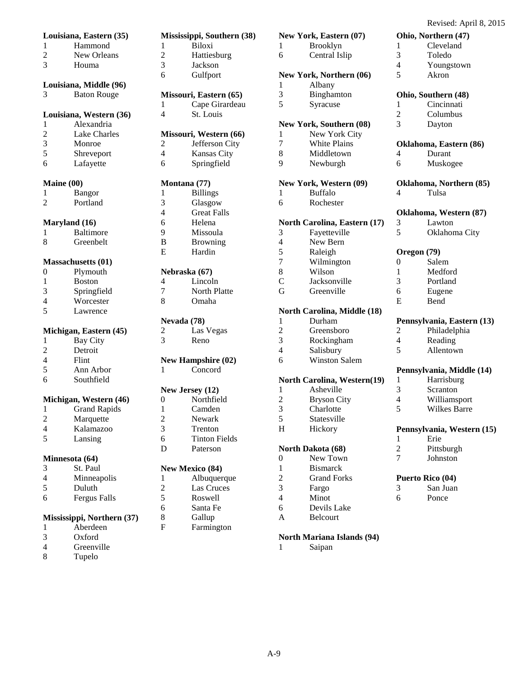**Ohio, Northern (47)** 1 Cleveland<br>3 Toledo **Toledo** 4 Youngstown Akron

**Ohio, Southern (48)** 1 Cincinnati<br>2 Columbus **Columbus** 

**Oklahoma, Eastern (86)**

3 Dayton

|                          | Louisiana, Eastern (35)               |                | Mississippi, Southern (38)  |
|--------------------------|---------------------------------------|----------------|-----------------------------|
| 1                        | Hammond                               | 1              | <b>Biloxi</b>               |
| $\overline{c}$           | New Orleans                           | $\overline{2}$ | Hattiesburg                 |
| 3                        | Houma                                 | 3              | Jackson                     |
|                          |                                       | 6              | Gulfport                    |
|                          | Louisiana, Middle (96)                |                |                             |
| 3                        | <b>Baton Rouge</b>                    |                |                             |
|                          |                                       | 1              | Missouri, Eastern (65)      |
|                          |                                       | 4              | Cape Girardeau<br>St. Louis |
|                          | Louisiana, Western (36)<br>Alexandria |                |                             |
| 1                        | <b>Lake Charles</b>                   |                |                             |
| $\overline{c}$           |                                       |                | Missouri, Western (66)      |
| 3                        | Monroe                                | 2              | Jefferson City              |
| 5                        | Shreveport                            | $\overline{4}$ | Kansas City                 |
| 6                        | Lafayette                             | 6              | Springfield                 |
|                          | Maine (00)                            |                | Montana (77)                |
| 1                        | Bangor                                | 1              | <b>Billings</b>             |
| $\overline{2}$           | Portland                              | 3              | Glasgow                     |
|                          |                                       | 4              | <b>Great Falls</b>          |
|                          | Maryland (16)                         | 6              | Helena                      |
| 1                        | <b>Baltimore</b>                      | 9              | Missoula                    |
| 8                        | Greenbelt                             | B              | <b>Browning</b>             |
|                          |                                       | Е              | Hardin                      |
|                          | <b>Massachusetts (01)</b>             |                |                             |
| $\boldsymbol{0}$         | Plymouth                              |                | Nebraska (67)               |
| $\mathbf{1}$             | <b>Boston</b>                         | 4              | Lincoln                     |
| 3                        | Springfield                           | 7              | <b>North Platte</b>         |
| 4                        | Worcester                             | 8              | Omaha                       |
| 5                        | Lawrence                              |                |                             |
|                          |                                       |                | Nevada (78)                 |
|                          | Michigan, Eastern (45)                | 2              | Las Vegas                   |
| 1                        | <b>Bay City</b>                       | 3              | Reno                        |
| $\overline{c}$           | Detroit                               |                |                             |
| 4                        | Flint                                 |                | <b>New Hampshire (02)</b>   |
| 5                        | Ann Arbor                             | 1              | Concord                     |
| 6                        | Southfield                            |                |                             |
|                          |                                       |                | New Jersey (12)             |
|                          | Michigan, Western (46)                | 0              | Northfield                  |
| 1                        | <b>Grand Rapids</b>                   | $\mathbf{1}$   | Camden                      |
| $\overline{c}$           | Marquette                             | $\overline{c}$ | Newark                      |
| $\overline{\mathcal{L}}$ | Kalamazoo                             | 3              | Trenton                     |
| 5                        | Lansing                               | 6              | <b>Tinton Fields</b>        |
|                          |                                       | D              | Paterson                    |
|                          | Minnesota (64)                        |                |                             |
| 3                        | St. Paul                              |                | <b>New Mexico (84)</b>      |
| $\overline{\mathcal{L}}$ | Minneapolis                           | 1              | Albuquerque                 |
| 5                        | Duluth                                | 2              | Las Cruces                  |
| 6                        | <b>Fergus Falls</b>                   | 5              | Roswell                     |

#### **Mississippi, Northern (37)**

1 Aberdeen 3 Oxford

- 4 Greenville
- 8 Tupelo

| ssippi, Southern (38) |                | New York, Eastern (07)       |
|-----------------------|----------------|------------------------------|
| Biloxi                | 1              | Brooklyn                     |
| Hattiesburg           | 6              | Central Islip                |
| Jackson               |                |                              |
| Gulfport              |                | New York, Northern (06)      |
|                       | 1              | Albany                       |
| ouri, Eastern (65)    | 3              | Binghamton                   |
| Cape Girardeau        | 5              | Syracuse                     |
| St. Louis             |                |                              |
|                       |                | New York, Southern (08)      |
| ouri, Western (66)    | 1              | New York City                |
| Jefferson City        | 7              | White Plains                 |
| Kansas City           | 8              | Middletown                   |
| Springfield           | 9              | Newburgh                     |
|                       |                |                              |
| ana (77)              |                | New York, Western (09)       |
| <b>Billings</b>       | 1              | <b>Buffalo</b>               |
| Glasgow               | 6              | Rochester                    |
| <b>Great Falls</b>    |                |                              |
| Helena                |                | North Carolina, Eastern (17) |
| Missoula              | 3              | Fayetteville                 |
| <b>Browning</b>       | $\overline{4}$ | New Bern                     |
| Hardin                | 5              | Raleigh                      |
|                       | $\overline{7}$ | Wilmington                   |
| aska (67)             | 8              | Wilson                       |
| Lincoln               | $\mathcal{C}$  | Jacksonville                 |
| <b>North Platte</b>   | G              | Greenville                   |
| Omaha                 |                |                              |
|                       |                | North Carolina, Middle (18)  |
| da (78)               | $\mathbf{1}$   | Durham                       |
| Las Vegas             | $\overline{c}$ | Greensboro                   |
| Reno                  | 3              | Rockingham                   |
|                       | $\overline{4}$ | Salisbury                    |
| Hampshire (02)        | 6              | <b>Winston Salem</b>         |
| Concord               |                |                              |
|                       |                | North Carolina, Western(19)  |
| Jersey (12)           | $\mathbf{1}$   | Asheville                    |
| Northfield            | $\overline{c}$ | <b>Bryson City</b>           |
| Camden                | 3              | Charlotte                    |
| Newark                | 5              | Statesville                  |
| Trenton               | Η              | Hickory                      |
|                       |                |                              |
| <b>Tinton Fields</b>  |                |                              |
| Paterson              |                | North Dakota (68)            |
|                       | 0              | New Town                     |
| <b>Mexico</b> (84)    | 1              | <b>Bismarck</b>              |
| Albuquerque           | $\overline{c}$ | <b>Grand Forks</b>           |
| Las Cruces            | $\overline{3}$ | Fargo                        |

5 Roswell 6 Santa Fe 8 Gallup<br>F Farmin Farmington

| 2 | <b>Bryson City</b> |  |
|---|--------------------|--|
| 3 | Charlotte          |  |
| 5 | Statesville        |  |
| H | Hickory            |  |
|   |                    |  |
|   | North Dakota (68)  |  |
|   |                    |  |
| 0 | New Town           |  |
| 1 | <b>Bismarck</b>    |  |
| 2 | <b>Grand Forks</b> |  |
| 3 | Fargo              |  |
| 4 | Minot              |  |

#### A Belcourt

#### **North Mariana Islands (94)**

1 Saipan

| Middletown                   | 4                | Durant                     |
|------------------------------|------------------|----------------------------|
| Newburgh                     | 6                | Muskogee                   |
| lew York, Western (09)       |                  | Oklahoma, Northern (85)    |
| <b>Buffalo</b>               | 4                | Tulsa                      |
| Rochester                    |                  |                            |
|                              |                  | Oklahoma, Western (87)     |
| forth Carolina, Eastern (17) | 3                | Lawton                     |
| Fayetteville                 | 5                | Oklahoma City              |
| New Bern                     |                  |                            |
| Raleigh                      |                  | Oregon (79)                |
| Wilmington                   | $\boldsymbol{0}$ | Salem                      |
| Wilson                       | $\mathbf{1}$     | Medford                    |
| Jacksonville                 | 3                | Portland                   |
| Greenville                   | 6                | Eugene                     |
|                              | E                | Bend                       |
| forth Carolina, Middle (18)  |                  |                            |
| Durham                       |                  | Pennsylvania, Eastern (13) |
| Greensboro                   | 2                | Philadelphia               |
| Rockingham                   | $\overline{4}$   | Reading                    |
| Salisbury                    | 5                | Allentown                  |
| <b>Winston Salem</b>         |                  |                            |
|                              |                  | Pennsylvania, Middle (14)  |
| orth Carolina, Western(19)   | 1                | Harrisburg                 |
| Asheville                    | 3                | Scranton                   |
| <b>Bryson City</b>           | 4                | Williamsport               |
| Charlotte                    | 5                | <b>Wilkes Barre</b>        |
|                              |                  |                            |

## **Pennsylvania, Western (15)**

- 1 Erie
- 2 Pittsburgh<br>7 Iohnston
- 7 Johnston

#### **Puerto Rico (04)**

6 Ponce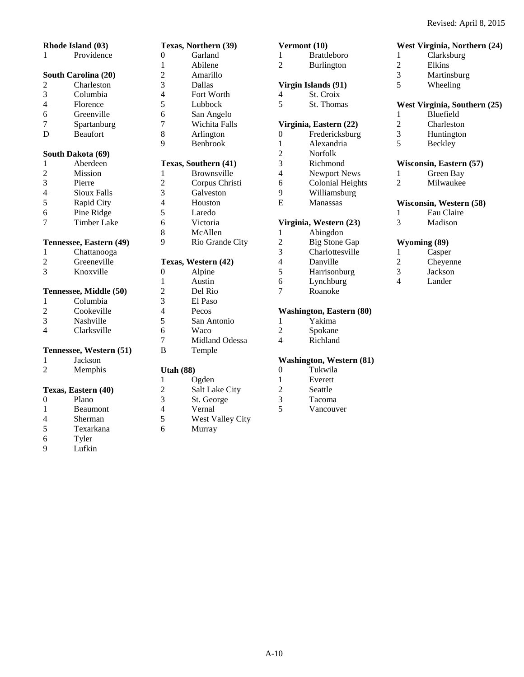**West Virginia, Northern (24)**

| Rhode Island (03)        |                         |  |  |
|--------------------------|-------------------------|--|--|
| 1                        | Providence              |  |  |
|                          | South Carolina (20)     |  |  |
| 2                        | Charleston              |  |  |
| 3                        | Columbia                |  |  |
| $\overline{4}$           | Florence                |  |  |
| 6                        | Greenville              |  |  |
| $\overline{7}$           | Spartanburg             |  |  |
| D                        | <b>Beaufort</b>         |  |  |
|                          | South Dakota (69)       |  |  |
| $\mathbf{1}$             | Aberdeen                |  |  |
| $\overline{c}$           | <b>Mission</b>          |  |  |
| 3                        | Pierre                  |  |  |
| $\overline{4}$           | <b>Sioux Falls</b>      |  |  |
| 5                        | Rapid City              |  |  |
| 6                        | Pine Ridge              |  |  |
| $\overline{7}$           | <b>Timber Lake</b>      |  |  |
|                          | Tennessee, Eastern (49) |  |  |
| 1                        | Chattanooga             |  |  |
| $\overline{c}$           | Greeneville             |  |  |
| $\overline{\mathcal{E}}$ | Knoxville               |  |  |
|                          | Tennessee, Middle (50)  |  |  |
| 1                        | Columbia                |  |  |
| $\overline{2}$           | Cookeville              |  |  |
| 3                        | Nashville               |  |  |
| $\overline{4}$           | Clarksville             |  |  |
| Tennessee, Western (51)  |                         |  |  |
| 1                        | Jackson                 |  |  |
| $\overline{2}$           | Memphis                 |  |  |
|                          | Texas, Eastern (40)     |  |  |
| $\overline{0}$           | Plano                   |  |  |
| $\mathbf{1}$             | Beaumont                |  |  |
| 4                        | Sherman                 |  |  |
| 5                        | Texarkana               |  |  |

6 Tyler 9 Lufkin

|                | Texas, Northern (39) |
|----------------|----------------------|
| 0              | Garland              |
| 1              | Abilene              |
| $\overline{c}$ | Amarillo             |
| 3              | Dallas               |
| $\overline{4}$ | Fort Worth           |
| 5              | Lubbock              |
| 6              | San Angelo           |
| $\overline{7}$ | Wichita Falls        |
| 8              | Arlington            |
| 9              | <b>Benbrook</b>      |
|                |                      |
|                | Texas, Southern (41) |
| 1              | Brownsville          |
| $\overline{c}$ | Corpus Christi       |
| 3              | Galveston            |
| $\overline{4}$ | Houston              |
| 5              | Laredo               |
| 6              | Victoria             |
| 8              | McAllen              |
| 9              | Rio Grande City      |
|                |                      |
|                | Texas, Western (42)  |
| 0              | Alpine               |
| 1              | Austin               |
| $\overline{c}$ | Del Rio              |
| 3              | El Paso              |
| $\overline{4}$ | Pecos                |
| 5              | San Antonio          |
| 6              | Waco                 |

B Temple

#### **Utah (88)**

1 Ogden<br>2 Salt La 2 Salt Lake City<br>3 St. George 3 St. George 4 Vernal<br>5 West V

7 Midland Odessa

- 5 West Valley City<br>6 Murray
	- Murray

#### **Vermont (10)**

1 Brattleboro 2 Burlington

#### **Virgin Islands (91)**

- 4 St. Croix<br>5 St. Thoma St. Thomas
	-

# **Virginia, Eastern (22)**

Fredericksburg 1 Alexandria 2 Norfolk<br>3 Richmon **Richmond** 4 Newport News 6 Colonial Heights 9 Williamsburg<br>E Manassas **Manassas** 

#### **Virginia, Western (23)**

1 Abingdon 2 Big Stone Gap<br>3 Charlottesville Charlottesville 4 Danville 5 Harrisonburg<br>6 Lynchburg Lynchburg 7 Roanoke

#### **Washington, Eastern (80)**

- 1 Yakima<br>2 Spokane
- Spokane
- 4 Richland

# **Washington, Western (81)**

- Tukwila
- 1 Everett<br>2 Seattle
- 2 Seattle<br>3 Tacoma
- 3 Tacoma
- Vancouver

**West Virginia, Southern (25)**  1 Bluefield

1 Clarksburg<br>2 Elkins 2 Elkins<br>3 Martin 3 Martinsburg<br>5 Wheeling Wheeling

- 2 Charleston<br>3 Huntington
- 3 Huntington<br>5 Beckley
- **Beckley**

#### **Wisconsin, Eastern (57)**

- 1 Green Bay<br>2 Milwaukee
- **Milwaukee**

## **Wisconsin, Western (58)**<br>1 Eau Claire

- 1 Eau Claire<br>3 Madison
- 3 Madison

### **Wyoming (89)**

1 Casper<br>2 Cheyen Cheyenne 3 Jackson Lander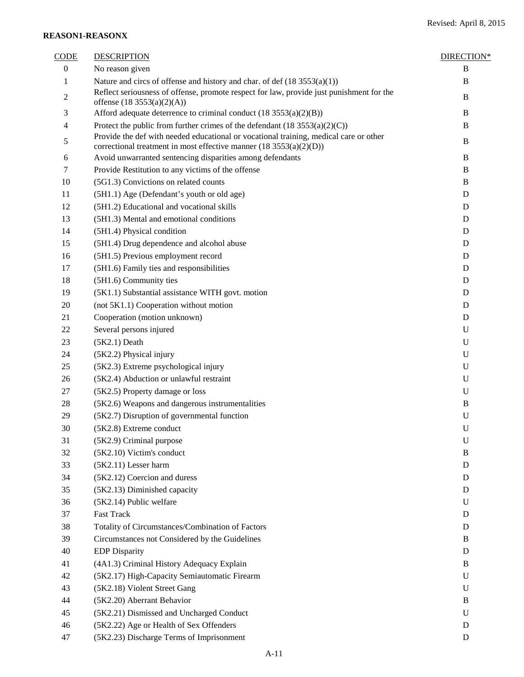#### **REASON1-REASONX**

| <b>CODE</b>      | <b>DESCRIPTION</b>                                                                                                                                            | DIRECTION*  |
|------------------|---------------------------------------------------------------------------------------------------------------------------------------------------------------|-------------|
| $\boldsymbol{0}$ | No reason given                                                                                                                                               | B           |
| 1                | Nature and circs of offense and history and char. of def $(18 3553(a)(1))$                                                                                    | $\bf{B}$    |
| $\overline{c}$   | Reflect seriousness of offense, promote respect for law, provide just punishment for the<br>offense (18 3553(a)(2)(A))                                        | B           |
| 3                | Afford adequate deterrence to criminal conduct $(18 3553(a)(2)(B))$                                                                                           | B           |
| 4                | Protect the public from further crimes of the defendant $(18 3553(a)(2)(C))$                                                                                  | B           |
| 5                | Provide the def with needed educational or vocational training, medical care or other<br>correctional treatment in most effective manner $(18 3553(a)(2)(D))$ | B           |
| 6                | Avoid unwarranted sentencing disparities among defendants                                                                                                     | B           |
| 7                | Provide Restitution to any victims of the offense                                                                                                             | B           |
| 10               | (5G1.3) Convictions on related counts                                                                                                                         | B           |
| 11               | (5H1.1) Age (Defendant's youth or old age)                                                                                                                    | D           |
| 12               | (5H1.2) Educational and vocational skills                                                                                                                     | D           |
| 13               | (5H1.3) Mental and emotional conditions                                                                                                                       | D           |
| 14               | (5H1.4) Physical condition                                                                                                                                    | D           |
| 15               | (5H1.4) Drug dependence and alcohol abuse                                                                                                                     | D           |
| 16               | (5H1.5) Previous employment record                                                                                                                            | D           |
| 17               | (5H1.6) Family ties and responsibilities                                                                                                                      | D           |
| 18               | (5H1.6) Community ties                                                                                                                                        | D           |
| 19               | (5K1.1) Substantial assistance WITH govt. motion                                                                                                              | D           |
| 20               | (not 5K1.1) Cooperation without motion                                                                                                                        | D           |
| 21               | Cooperation (motion unknown)                                                                                                                                  | D           |
| 22               | Several persons injured                                                                                                                                       | U           |
| 23               | $(5K2.1)$ Death                                                                                                                                               | U           |
| 24               | (5K2.2) Physical injury                                                                                                                                       | U           |
| 25               | (5K2.3) Extreme psychological injury                                                                                                                          | U           |
| 26               | (5K2.4) Abduction or unlawful restraint                                                                                                                       | U           |
| 27               | (5K2.5) Property damage or loss                                                                                                                               | U           |
| 28               | (5K2.6) Weapons and dangerous instrumentalities                                                                                                               | B           |
| 29               | (5K2.7) Disruption of governmental function                                                                                                                   | $\mathbf U$ |
| 30               | (5K2.8) Extreme conduct                                                                                                                                       | U           |
| 31               | (5K2.9) Criminal purpose                                                                                                                                      | $\mathbf U$ |
| 32               | (5K2.10) Victim's conduct                                                                                                                                     | B           |
| 33               | (5K2.11) Lesser harm                                                                                                                                          | D           |
| 34               | (5K2.12) Coercion and duress                                                                                                                                  | D           |
| 35               | (5K2.13) Diminished capacity                                                                                                                                  | D           |
| 36               | (5K2.14) Public welfare                                                                                                                                       | U           |
| 37               | <b>Fast Track</b>                                                                                                                                             | D           |
| 38               | Totality of Circumstances/Combination of Factors                                                                                                              | D           |
| 39               | Circumstances not Considered by the Guidelines                                                                                                                | B           |
| 40               | <b>EDP</b> Disparity                                                                                                                                          | D           |
| 41               | (4A1.3) Criminal History Adequacy Explain                                                                                                                     | B           |
| 42               | (5K2.17) High-Capacity Semiautomatic Firearm                                                                                                                  | U           |
| 43               | (5K2.18) Violent Street Gang                                                                                                                                  | U           |
| 44               | (5K2.20) Aberrant Behavior                                                                                                                                    | B           |
| 45               | (5K2.21) Dismissed and Uncharged Conduct                                                                                                                      | U           |
| 46               | (5K2.22) Age or Health of Sex Offenders                                                                                                                       | D           |
| 47               | (5K2.23) Discharge Terms of Imprisonment                                                                                                                      | D           |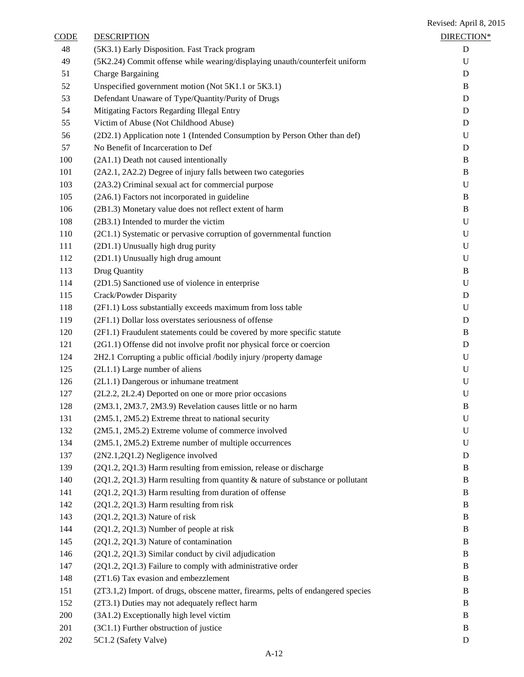| CODE | <b>DESCRIPTION</b>                                                                | DIRECTION*  |
|------|-----------------------------------------------------------------------------------|-------------|
| 48   | (5K3.1) Early Disposition. Fast Track program                                     | D           |
| 49   | (5K2.24) Commit offense while wearing/displaying unauth/counterfeit uniform       | U           |
| 51   | Charge Bargaining                                                                 | D           |
| 52   | Unspecified government motion (Not 5K1.1 or 5K3.1)                                | B           |
| 53   | Defendant Unaware of Type/Quantity/Purity of Drugs                                | D           |
| 54   | Mitigating Factors Regarding Illegal Entry                                        | D           |
| 55   | Victim of Abuse (Not Childhood Abuse)                                             | D           |
| 56   | (2D2.1) Application note 1 (Intended Consumption by Person Other than def)        | U           |
| 57   | No Benefit of Incarceration to Def                                                | D           |
| 100  | (2A1.1) Death not caused intentionally                                            | B           |
| 101  | (2A2.1, 2A2.2) Degree of injury falls between two categories                      | B           |
| 103  | (2A3.2) Criminal sexual act for commercial purpose                                | $\mathbf U$ |
| 105  | (2A6.1) Factors not incorporated in guideline                                     | B           |
| 106  | (2B1.3) Monetary value does not reflect extent of harm                            | $\bf{B}$    |
| 108  | (2B3.1) Intended to murder the victim                                             | U           |
| 110  | (2C1.1) Systematic or pervasive corruption of governmental function               | $\mathbf U$ |
| 111  | (2D1.1) Unusually high drug purity                                                | $\mathbf U$ |
| 112  | (2D1.1) Unusually high drug amount                                                | $\mathbf U$ |
| 113  | Drug Quantity                                                                     | B           |
| 114  | (2D1.5) Sanctioned use of violence in enterprise                                  | U           |
| 115  | Crack/Powder Disparity                                                            | D           |
| 118  | (2F1.1) Loss substantially exceeds maximum from loss table                        | $\mathbf U$ |
| 119  | (2F1.1) Dollar loss overstates seriousness of offense                             | D           |
| 120  | (2F1.1) Fraudulent statements could be covered by more specific statute           | B           |
| 121  | (2G1.1) Offense did not involve profit nor physical force or coercion             | D           |
| 124  | 2H2.1 Corrupting a public official /bodily injury /property damage                | U           |
| 125  | $(2L1.1)$ Large number of aliens                                                  | $\mathbf U$ |
| 126  | (2L1.1) Dangerous or inhumane treatment                                           | $\mathbf U$ |
| 127  | (2L2.2, 2L2.4) Deported on one or more prior occasions                            | U           |
| 128  | (2M3.1, 2M3.7, 2M3.9) Revelation causes little or no harm                         | $\bf{B}$    |
| 131  | (2M5.1, 2M5.2) Extreme threat to national security                                | $\mathbf U$ |
| 132  | (2M5.1, 2M5.2) Extreme volume of commerce involved                                | U           |
| 134  | (2M5.1, 2M5.2) Extreme number of multiple occurrences                             | U           |
| 137  | (2N2.1,2Q1.2) Negligence involved                                                 | D           |
| 139  | (2Q1.2, 2Q1.3) Harm resulting from emission, release or discharge                 | B           |
| 140  | $(2Q1.2, 2Q1.3)$ Harm resulting from quantity & nature of substance or pollutant  | B           |
| 141  | (2Q1.2, 2Q1.3) Harm resulting from duration of offense                            | B           |
| 142  | (2Q1.2, 2Q1.3) Harm resulting from risk                                           | B           |
| 143  | (2Q1.2, 2Q1.3) Nature of risk                                                     | B           |
| 144  | (2Q1.2, 2Q1.3) Number of people at risk                                           | B           |
| 145  | (2Q1.2, 2Q1.3) Nature of contamination                                            | B           |
| 146  | (2Q1.2, 2Q1.3) Similar conduct by civil adjudication                              | B           |
| 147  | (2Q1.2, 2Q1.3) Failure to comply with administrative order                        | B           |
| 148  | (2T1.6) Tax evasion and embezzlement                                              | B           |
| 151  | (2T3.1,2) Import. of drugs, obscene matter, firearms, pelts of endangered species | B           |
| 152  | (2T3.1) Duties may not adequately reflect harm                                    | B           |
| 200  | (3A1.2) Exceptionally high level victim                                           | B           |
| 201  | (3C1.1) Further obstruction of justice                                            | B           |
| 202  | 5C1.2 (Safety Valve)                                                              | D           |
|      |                                                                                   |             |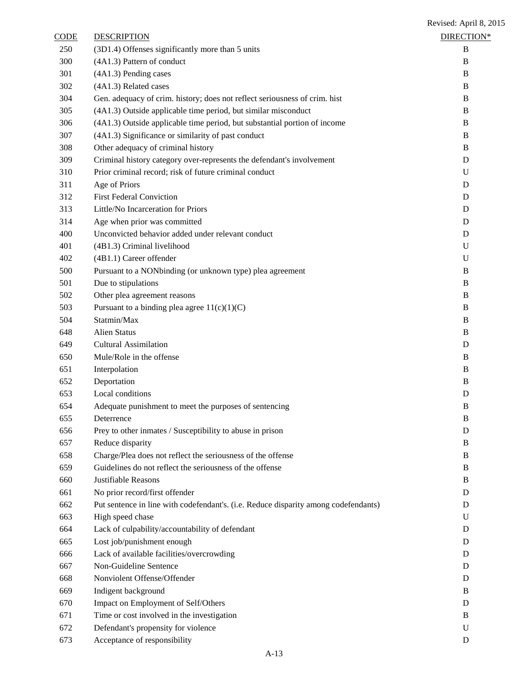| <b>CODE</b> | <b>DESCRIPTION</b>                                                                  | DIRECTION*  |
|-------------|-------------------------------------------------------------------------------------|-------------|
| 250         | (3D1.4) Offenses significantly more than 5 units                                    | B           |
| 300         | (4A1.3) Pattern of conduct                                                          | B           |
| 301         | (4A1.3) Pending cases                                                               | B           |
| 302         | (4A1.3) Related cases                                                               | B           |
| 304         | Gen. adequacy of crim. history; does not reflect seriousness of crim. hist          | B           |
| 305         | (4A1.3) Outside applicable time period, but similar misconduct                      | B           |
| 306         | (4A1.3) Outside applicable time period, but substantial portion of income           | B           |
| 307         | (4A1.3) Significance or similarity of past conduct                                  | B           |
| 308         | Other adequacy of criminal history                                                  | B           |
| 309         | Criminal history category over-represents the defendant's involvement               | D           |
| 310         | Prior criminal record; risk of future criminal conduct                              | U           |
| 311         | Age of Priors                                                                       | D           |
| 312         | <b>First Federal Conviction</b>                                                     | D           |
| 313         | Little/No Incarceration for Priors                                                  | D           |
| 314         | Age when prior was committed                                                        | D           |
| 400         | Unconvicted behavior added under relevant conduct                                   | D           |
| 401         | (4B1.3) Criminal livelihood                                                         | U           |
| 402         | (4B1.1) Career offender                                                             | U           |
| 500         | Pursuant to a NONbinding (or unknown type) plea agreement                           | B           |
| 501         | Due to stipulations                                                                 | B           |
| 502         | Other plea agreement reasons                                                        | $\bf{B}$    |
| 503         | Pursuant to a binding plea agree $11(c)(1)(C)$                                      | B           |
| 504         | Statmin/Max                                                                         | B           |
| 648         | <b>Alien Status</b>                                                                 | B           |
| 649         | <b>Cultural Assimilation</b>                                                        | D           |
| 650         | Mule/Role in the offense                                                            | B           |
| 651         | Interpolation                                                                       | B           |
| 652         | Deportation                                                                         | B           |
| 653         | Local conditions                                                                    | D           |
| 654         | Adequate punishment to meet the purposes of sentencing                              | B           |
| 655         | Deterrence                                                                          | B           |
| 656         | Prey to other inmates / Susceptibility to abuse in prison                           | D           |
| 657         | Reduce disparity                                                                    | B           |
| 658         | Charge/Plea does not reflect the seriousness of the offense                         | B           |
| 659         | Guidelines do not reflect the seriousness of the offense                            | B           |
| 660         | Justifiable Reasons                                                                 | B           |
| 661         | No prior record/first offender                                                      | D           |
| 662         | Put sentence in line with codefendant's. (i.e. Reduce disparity among codefendants) | D           |
| 663         | High speed chase                                                                    | U           |
| 664         | Lack of culpability/accountability of defendant                                     | D           |
| 665         | Lost job/punishment enough                                                          | D           |
| 666         | Lack of available facilities/overcrowding                                           | D           |
| 667         | Non-Guideline Sentence                                                              | D           |
| 668         | Nonviolent Offense/Offender                                                         | D           |
| 669         | Indigent background                                                                 | B           |
| 670         | Impact on Employment of Self/Others                                                 | D           |
| 671         | Time or cost involved in the investigation                                          | B           |
| 672         | Defendant's propensity for violence                                                 | $\mathbf U$ |
| 673         | Acceptance of responsibility                                                        | D           |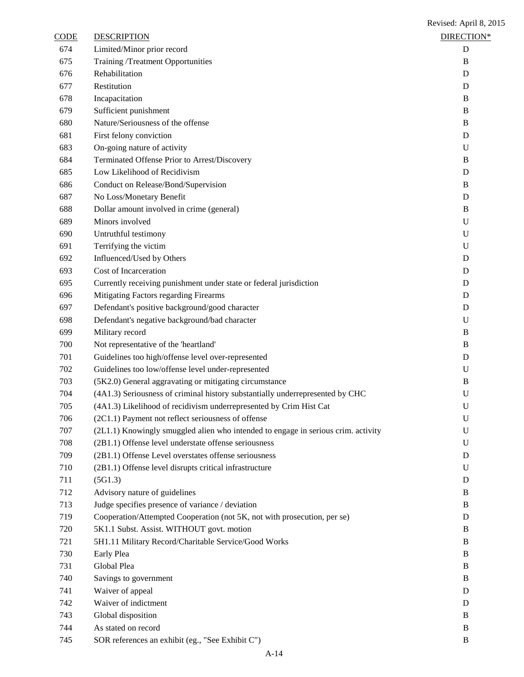CODE DESCRIPTION **DESCRIPTION**  Limited/Minor prior record D Training /Treatment Opportunities B Rehabilitation D Restitution D Incapacitation B Sufficient punishment B Nature/Seriousness of the offense B First felony conviction D On-going nature of activity U Terminated Offense Prior to Arrest/Discovery B Low Likelihood of Recidivism D Conduct on Release/Bond/Supervision B No Loss/Monetary Benefit D Dollar amount involved in crime (general) B Minors involved U Untruthful testimony U Terrifying the victim U Influenced/Used by Others D Cost of Incarceration D Currently receiving punishment under state or federal jurisdiction D Mitigating Factors regarding Firearms D Defendant's positive background/good character D Defendant's negative background/bad character U Military record B Not representative of the 'heartland' B Guidelines too high/offense level over-represented D Guidelines too low/offense level under-represented U (5K2.0) General aggravating or mitigating circumstance B (4A1.3) Seriousness of criminal history substantially underrepresented by CHC U (4A1.3) Likelihood of recidivism underrepresented by Crim Hist Cat U (2C1.1) Payment not reflect seriousness of offense U (2L1.1) Knowingly smuggled alien who intended to engage in serious crim. activity U (2B1.1) Offense level understate offense seriousness U (2B1.1) Offense Level overstates offense seriousness D (2B1.1) Offense level disrupts critical infrastructure U (5G1.3) D Advisory nature of guidelines B Judge specifies presence of variance / deviation B Cooperation/Attempted Cooperation (not 5K, not with prosecution, per se) D 5K1.1 Subst. Assist. WITHOUT govt. motion B 5H1.11 Military Record/Charitable Service/Good Works B Early Plea B Global Plea B 740 Savings to government B 741 Waiver of appeal D

Revised: April 8, 2015

 Waiver of indictment D Global disposition B As stated on record B 745 SOR references an exhibit (eg., "See Exhibit C") B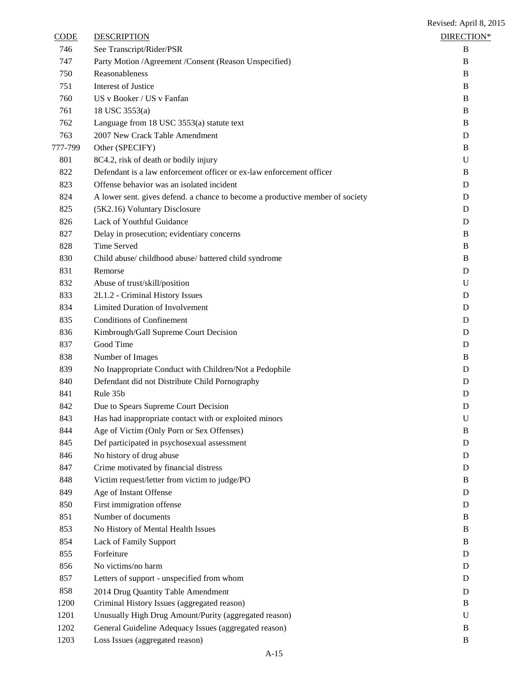| <b>CODE</b> | <b>DESCRIPTION</b>                                                            | DIRECTION*  |
|-------------|-------------------------------------------------------------------------------|-------------|
| 746         | See Transcript/Rider/PSR                                                      | B           |
| 747         | Party Motion / Agreement / Consent (Reason Unspecified)                       | B           |
| 750         | Reasonableness                                                                | B           |
| 751         | <b>Interest of Justice</b>                                                    | B           |
| 760         | US v Booker / US v Fanfan                                                     | B           |
| 761         | 18 USC 3553(a)                                                                | B           |
| 762         | Language from 18 USC 3553(a) statute text                                     | B           |
| 763         | 2007 New Crack Table Amendment                                                | D           |
| 777-799     | Other (SPECIFY)                                                               | B           |
| 801         | 8C4.2, risk of death or bodily injury                                         | U           |
| 822         | Defendant is a law enforcement officer or ex-law enforcement officer          | B           |
| 823         | Offense behavior was an isolated incident                                     | D           |
| 824         | A lower sent. gives defend. a chance to become a productive member of society | D           |
| 825         | (5K2.16) Voluntary Disclosure                                                 | D           |
| 826         | Lack of Youthful Guidance                                                     | D           |
| 827         | Delay in prosecution; evidentiary concerns                                    | B           |
| 828         | Time Served                                                                   | B           |
| 830         | Child abuse/childhood abuse/battered child syndrome                           | B           |
| 831         | Remorse                                                                       | D           |
| 832         | Abuse of trust/skill/position                                                 | U           |
| 833         | 2L1.2 - Criminal History Issues                                               | D           |
| 834         | <b>Limited Duration of Involvement</b>                                        | D           |
| 835         | <b>Conditions of Confinement</b>                                              | D           |
| 836         | Kimbrough/Gall Supreme Court Decision                                         | D           |
| 837         | Good Time                                                                     | D           |
| 838         | Number of Images                                                              | B           |
| 839         | No Inappropriate Conduct with Children/Not a Pedophile                        | D           |
| 840         | Defendant did not Distribute Child Pornography                                | D           |
| 841         | Rule 35b                                                                      | D           |
| 842         | Due to Spears Supreme Court Decision                                          | D           |
| 843         | Has had inappropriate contact with or exploited minors                        | ${\bf U}$   |
| 844         | Age of Victim (Only Porn or Sex Offenses)                                     | B           |
| 845         | Def participated in psychosexual assessment                                   | D           |
| 846         | No history of drug abuse                                                      | D           |
| 847         | Crime motivated by financial distress                                         | D           |
| 848         | Victim request/letter from victim to judge/PO                                 | B           |
| 849         | Age of Instant Offense                                                        | D           |
| 850         | First immigration offense                                                     | D           |
| 851         | Number of documents                                                           | B           |
| 853         | No History of Mental Health Issues                                            | B           |
| 854         | Lack of Family Support                                                        | B           |
| 855         | Forfeiture                                                                    | D           |
| 856         | No victims/no harm                                                            | D           |
| 857         | Letters of support - unspecified from whom                                    | D           |
| 858         | 2014 Drug Quantity Table Amendment                                            | D           |
| 1200        | Criminal History Issues (aggregated reason)                                   | B           |
| 1201        | Unusually High Drug Amount/Purity (aggregated reason)                         | U           |
| 1202        | General Guideline Adequacy Issues (aggregated reason)                         | B           |
| 1203        | Loss Issues (aggregated reason)                                               | $\mathbf B$ |
|             |                                                                               |             |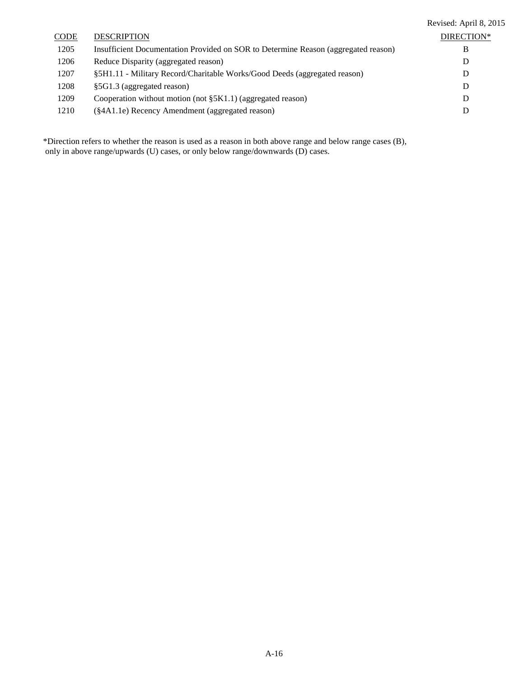|             |                                                                                    | Revised: April 8, 2015 |
|-------------|------------------------------------------------------------------------------------|------------------------|
| <b>CODE</b> | <b>DESCRIPTION</b>                                                                 | DIRECTION*             |
| 1205        | Insufficient Documentation Provided on SOR to Determine Reason (aggregated reason) | В                      |
| 1206        | Reduce Disparity (aggregated reason)                                               | D                      |
| 1207        | §5H1.11 - Military Record/Charitable Works/Good Deeds (aggregated reason)          | D                      |
| 1208        | §5G1.3 (aggregated reason)                                                         | D                      |
| 1209        | Cooperation without motion (not $\S$ 5K1.1) (aggregated reason)                    | D                      |
| 1210        | (§4A1.1e) Recency Amendment (aggregated reason)                                    | D                      |
|             |                                                                                    |                        |

\*Direction refers to whether the reason is used as a reason in both above range and below range cases (B), only in above range/upwards (U) cases, or only below range/downwards (D) cases.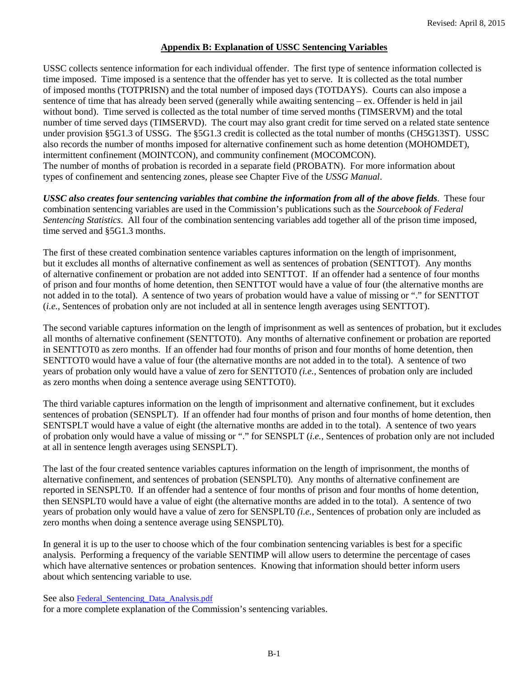#### **Appendix B: Explanation of USSC Sentencing Variables**

USSC collects sentence information for each individual offender. The first type of sentence information collected is time imposed. Time imposed is a sentence that the offender has yet to serve. It is collected as the total number of imposed months (TOTPRISN) and the total number of imposed days (TOTDAYS). Courts can also impose a sentence of time that has already been served (generally while awaiting sentencing – ex. Offender is held in jail without bond). Time served is collected as the total number of time served months (TIMSERVM) and the total number of time served days (TIMSERVD). The court may also grant credit for time served on a related state sentence under provision §5G1.3 of USSG. The §5G1.3 credit is collected as the total number of months (CH5G13ST). USSC also records the number of months imposed for alternative confinement such as home detention (MOHOMDET), intermittent confinement (MOINTCON), and community confinement (MOCOMCON). The number of months of probation is recorded in a separate field (PROBATN). For more information about types of confinement and sentencing zones, please see Chapter Five of the *USSG Manual*.

*USSC also creates four sentencing variables that combine the information from all of the above fields*. These four combination sentencing variables are used in the Commission's publications such as the *Sourcebook of Federal Sentencing Statistics*. All four of the combination sentencing variables add together all of the prison time imposed, time served and §5G1.3 months.

The first of these created combination sentence variables captures information on the length of imprisonment, but it excludes all months of alternative confinement as well as sentences of probation (SENTTOT). Any months of alternative confinement or probation are not added into SENTTOT. If an offender had a sentence of four months of prison and four months of home detention, then SENTTOT would have a value of four (the alternative months are not added in to the total). A sentence of two years of probation would have a value of missing or "." for SENTTOT (*i.e.,* Sentences of probation only are not included at all in sentence length averages using SENTTOT).

The second variable captures information on the length of imprisonment as well as sentences of probation, but it excludes all months of alternative confinement (SENTTOT0). Any months of alternative confinement or probation are reported in SENTTOT0 as zero months. If an offender had four months of prison and four months of home detention, then SENTTOT0 would have a value of four (the alternative months are not added in to the total). A sentence of two years of probation only would have a value of zero for SENTTOT0 *(i.e.,* Sentences of probation only are included as zero months when doing a sentence average using SENTTOT0).

The third variable captures information on the length of imprisonment and alternative confinement, but it excludes sentences of probation (SENSPLT). If an offender had four months of prison and four months of home detention, then SENTSPLT would have a value of eight (the alternative months are added in to the total). A sentence of two years of probation only would have a value of missing or "." for SENSPLT (*i.e.,* Sentences of probation only are not included at all in sentence length averages using SENSPLT).

The last of the four created sentence variables captures information on the length of imprisonment, the months of alternative confinement, and sentences of probation (SENSPLT0). Any months of alternative confinement are reported in SENSPLT0. If an offender had a sentence of four months of prison and four months of home detention, then SENSPLT0 would have a value of eight (the alternative months are added in to the total). A sentence of two years of probation only would have a value of zero for SENSPLT0 *(i.e.,* Sentences of probation only are included as zero months when doing a sentence average using SENSPLT0).

In general it is up to the user to choose which of the four combination sentencing variables is best for a specific analysis. Performing a frequency of the variable SENTIMP will allow users to determine the percentage of cases which have alternative sentences or probation sentences. Knowing that information should better inform users about which sentencing variable to use.

See also Federal Sentencing Data Analysis.pdf

for a more complete explanation of the Commission's sentencing variables.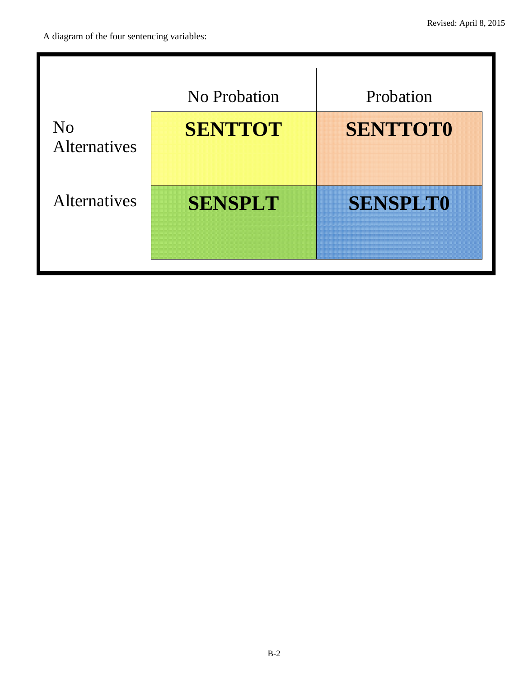|                                       | No Probation   | Probation       |
|---------------------------------------|----------------|-----------------|
| N <sub>0</sub><br><b>Alternatives</b> | <b>SENTTOT</b> | <b>SENTTOT0</b> |
| <b>Alternatives</b>                   | <b>SENSPLT</b> | <b>SENSPLT0</b> |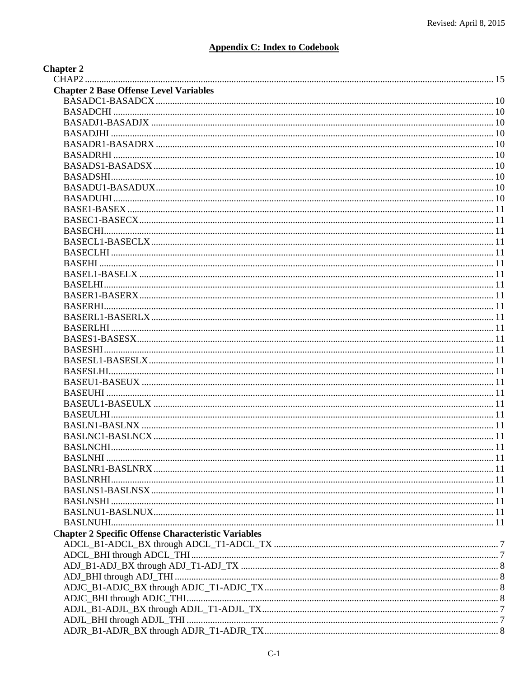## **Appendix C: Index to Codebook**

| <b>Chapter 2</b>                                           |       |
|------------------------------------------------------------|-------|
|                                                            |       |
| <b>Chapter 2 Base Offense Level Variables</b>              |       |
|                                                            |       |
|                                                            |       |
|                                                            |       |
| <b>BASADJHI</b>                                            |       |
|                                                            |       |
|                                                            |       |
|                                                            |       |
|                                                            |       |
|                                                            |       |
|                                                            |       |
|                                                            |       |
|                                                            |       |
| <b>BASECHI.</b>                                            |       |
|                                                            |       |
|                                                            |       |
|                                                            |       |
|                                                            |       |
|                                                            |       |
|                                                            |       |
| BASERHI.                                                   |       |
|                                                            |       |
| <b>BASERLHI</b> .                                          |       |
|                                                            |       |
| <b>BASESHI</b> .                                           | $-11$ |
|                                                            |       |
|                                                            |       |
|                                                            |       |
|                                                            |       |
|                                                            |       |
| <b>BASEULHI</b>                                            |       |
|                                                            |       |
|                                                            |       |
|                                                            |       |
|                                                            |       |
|                                                            |       |
|                                                            |       |
|                                                            |       |
|                                                            |       |
|                                                            |       |
|                                                            |       |
| <b>Chapter 2 Specific Offense Characteristic Variables</b> |       |
|                                                            |       |
|                                                            |       |
|                                                            |       |
|                                                            |       |
|                                                            |       |
|                                                            |       |
|                                                            |       |
|                                                            |       |
|                                                            |       |
|                                                            |       |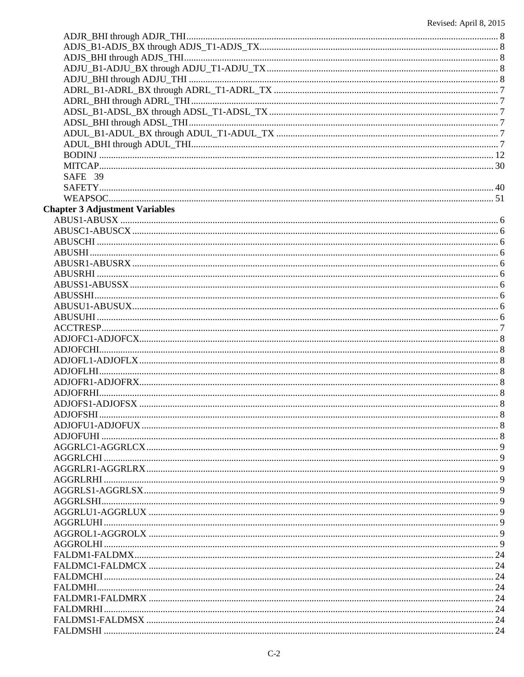| SAFE 39                               |  |
|---------------------------------------|--|
|                                       |  |
|                                       |  |
| <b>Chapter 3 Adjustment Variables</b> |  |
|                                       |  |
|                                       |  |
|                                       |  |
|                                       |  |
|                                       |  |
|                                       |  |
|                                       |  |
|                                       |  |
|                                       |  |
|                                       |  |
|                                       |  |
|                                       |  |
|                                       |  |
|                                       |  |
|                                       |  |
|                                       |  |
|                                       |  |
|                                       |  |
|                                       |  |
|                                       |  |
|                                       |  |
|                                       |  |
|                                       |  |
|                                       |  |
|                                       |  |
|                                       |  |
|                                       |  |
|                                       |  |
|                                       |  |
|                                       |  |
|                                       |  |
|                                       |  |
|                                       |  |
|                                       |  |
|                                       |  |
|                                       |  |
|                                       |  |
|                                       |  |
|                                       |  |
|                                       |  |
|                                       |  |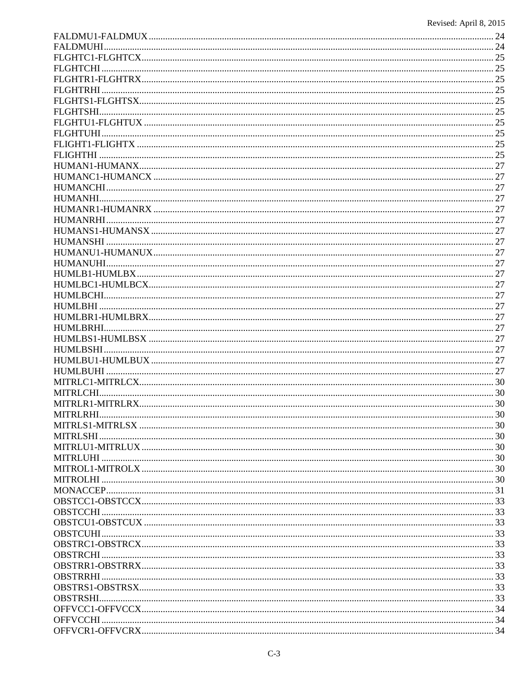| <b>MITRI RHI</b> | 30 |
|------------------|----|
|                  |    |
|                  |    |
|                  |    |
|                  |    |
|                  |    |
|                  |    |
|                  |    |
|                  |    |
|                  |    |
|                  |    |
|                  |    |
|                  |    |
|                  |    |
|                  |    |
|                  |    |
|                  |    |
|                  |    |
|                  |    |
|                  |    |
|                  |    |
|                  |    |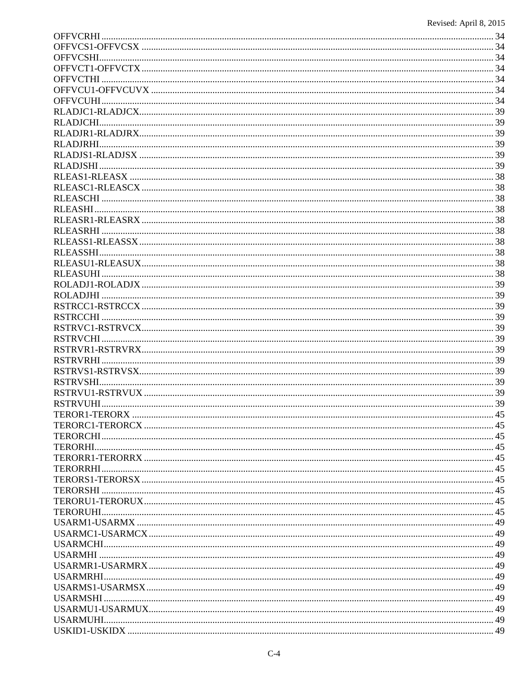| TEROR1-TERORX | 45 |
|---------------|----|
|               |    |
|               |    |
|               |    |
|               |    |
|               |    |
|               |    |
|               |    |
|               |    |
|               |    |
|               |    |
|               |    |
|               |    |
|               |    |
|               |    |
|               |    |
|               |    |
|               |    |
|               |    |
|               |    |
|               |    |
|               |    |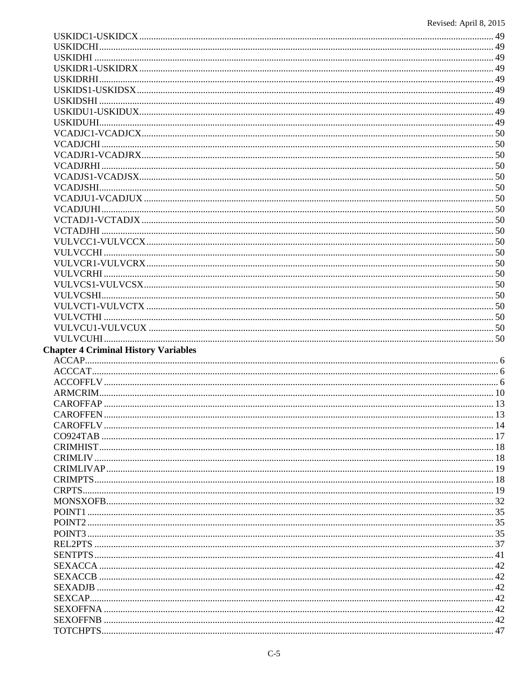| <b>Chapter 4 Criminal History Variables</b> |  |
|---------------------------------------------|--|
|                                             |  |
|                                             |  |
|                                             |  |
|                                             |  |
|                                             |  |
|                                             |  |
|                                             |  |
|                                             |  |
|                                             |  |
|                                             |  |
|                                             |  |
|                                             |  |
|                                             |  |
|                                             |  |
|                                             |  |
|                                             |  |
|                                             |  |
|                                             |  |
|                                             |  |
|                                             |  |
|                                             |  |
|                                             |  |
|                                             |  |
|                                             |  |
|                                             |  |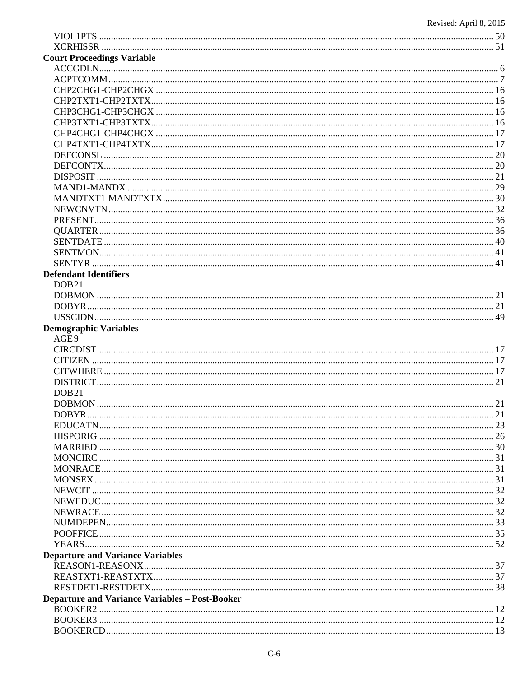| <b>Court Proceedings Variable</b>                     |            |
|-------------------------------------------------------|------------|
|                                                       |            |
|                                                       |            |
|                                                       |            |
|                                                       |            |
|                                                       |            |
|                                                       |            |
|                                                       |            |
|                                                       |            |
|                                                       |            |
|                                                       |            |
|                                                       |            |
|                                                       |            |
|                                                       |            |
|                                                       |            |
|                                                       |            |
|                                                       |            |
|                                                       |            |
|                                                       |            |
|                                                       |            |
| <b>Defendant Identifiers</b>                          |            |
| DOB <sub>21</sub>                                     |            |
|                                                       |            |
|                                                       |            |
|                                                       |            |
| <b>Demographic Variables</b>                          |            |
| AGE9                                                  |            |
|                                                       |            |
|                                                       |            |
|                                                       |            |
|                                                       |            |
| DOB <sub>21</sub>                                     |            |
|                                                       |            |
| <b>DOBYR</b>                                          | $\cdot$ 21 |
|                                                       |            |
|                                                       |            |
|                                                       |            |
|                                                       |            |
|                                                       |            |
|                                                       |            |
|                                                       |            |
|                                                       |            |
|                                                       |            |
|                                                       |            |
|                                                       |            |
|                                                       |            |
| <b>Departure and Variance Variables</b>               |            |
|                                                       |            |
|                                                       |            |
| <b>Departure and Variance Variables - Post-Booker</b> |            |
|                                                       |            |
|                                                       |            |
|                                                       |            |
|                                                       |            |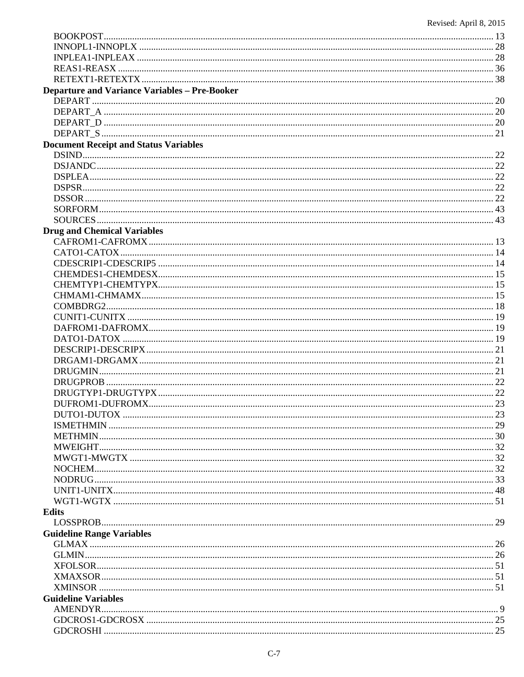| <b>Departure and Variance Variables - Pre-Booker</b> |  |
|------------------------------------------------------|--|
|                                                      |  |
|                                                      |  |
|                                                      |  |
|                                                      |  |
| <b>Document Receipt and Status Variables</b>         |  |
|                                                      |  |
|                                                      |  |
|                                                      |  |
|                                                      |  |
|                                                      |  |
|                                                      |  |
|                                                      |  |
| <b>Drug and Chemical Variables</b>                   |  |
|                                                      |  |
|                                                      |  |
|                                                      |  |
|                                                      |  |
|                                                      |  |
|                                                      |  |
|                                                      |  |
|                                                      |  |
|                                                      |  |
|                                                      |  |
|                                                      |  |
|                                                      |  |
|                                                      |  |
|                                                      |  |
|                                                      |  |
|                                                      |  |
|                                                      |  |
|                                                      |  |
|                                                      |  |
|                                                      |  |
|                                                      |  |
|                                                      |  |
|                                                      |  |
|                                                      |  |
|                                                      |  |
| <b>Edits</b>                                         |  |
|                                                      |  |
| <b>Guideline Range Variables</b>                     |  |
|                                                      |  |
|                                                      |  |
|                                                      |  |
|                                                      |  |
|                                                      |  |
| <b>Guideline Variables</b>                           |  |
|                                                      |  |
|                                                      |  |
|                                                      |  |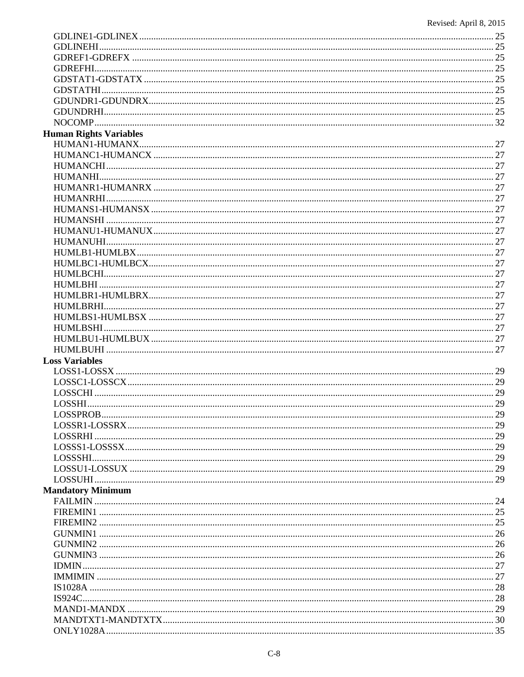| <b>Human Rights Variables</b> |  |
|-------------------------------|--|
|                               |  |
|                               |  |
|                               |  |
|                               |  |
|                               |  |
|                               |  |
|                               |  |
|                               |  |
|                               |  |
|                               |  |
|                               |  |
|                               |  |
|                               |  |
|                               |  |
|                               |  |
|                               |  |
|                               |  |
|                               |  |
|                               |  |
|                               |  |
|                               |  |
| <b>Loss Variables</b>         |  |
|                               |  |
|                               |  |
|                               |  |
|                               |  |
| LOSSPROB                      |  |
|                               |  |
|                               |  |
|                               |  |
|                               |  |
|                               |  |
|                               |  |
| <b>Mandatory Minimum</b>      |  |
|                               |  |
|                               |  |
|                               |  |
|                               |  |
|                               |  |
|                               |  |
|                               |  |
|                               |  |
|                               |  |
|                               |  |
|                               |  |
|                               |  |
|                               |  |
|                               |  |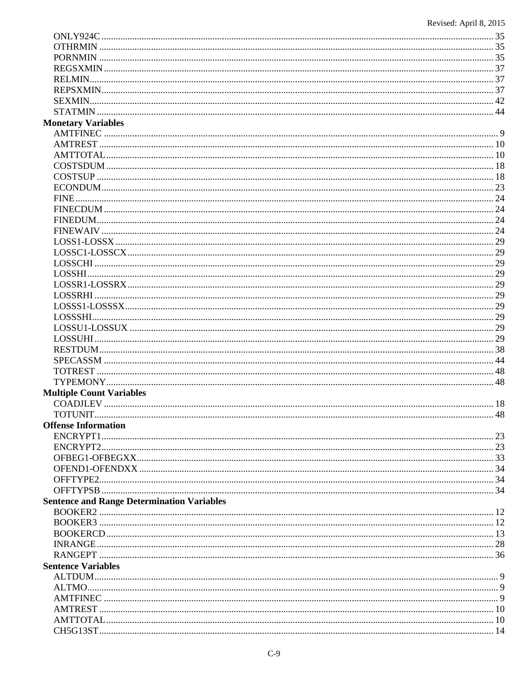| <b>Monetary Variables</b>                         |  |
|---------------------------------------------------|--|
|                                                   |  |
|                                                   |  |
|                                                   |  |
|                                                   |  |
|                                                   |  |
|                                                   |  |
|                                                   |  |
|                                                   |  |
|                                                   |  |
|                                                   |  |
|                                                   |  |
|                                                   |  |
|                                                   |  |
|                                                   |  |
|                                                   |  |
|                                                   |  |
|                                                   |  |
|                                                   |  |
|                                                   |  |
|                                                   |  |
|                                                   |  |
|                                                   |  |
|                                                   |  |
|                                                   |  |
|                                                   |  |
| <b>Multiple Count Variables</b>                   |  |
|                                                   |  |
|                                                   |  |
| <b>Offense Information</b>                        |  |
|                                                   |  |
|                                                   |  |
|                                                   |  |
|                                                   |  |
|                                                   |  |
|                                                   |  |
| <b>Sentence and Range Determination Variables</b> |  |
|                                                   |  |
|                                                   |  |
|                                                   |  |
|                                                   |  |
|                                                   |  |
| <b>Sentence Variables</b>                         |  |
|                                                   |  |
|                                                   |  |
|                                                   |  |
|                                                   |  |
|                                                   |  |
|                                                   |  |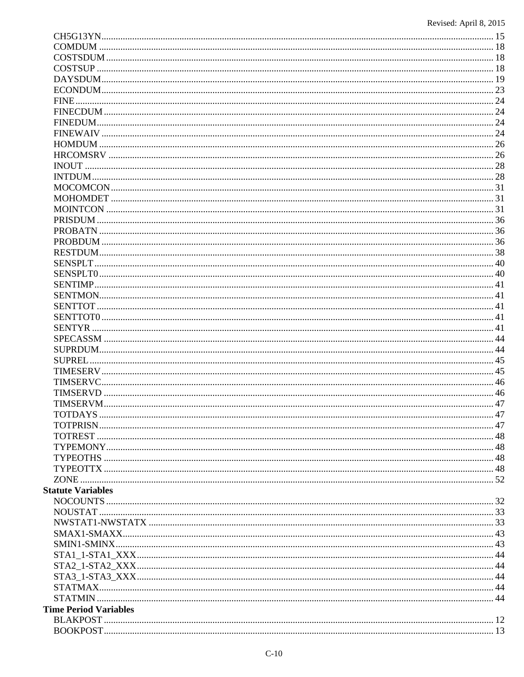| SUPREL                       |  |
|------------------------------|--|
|                              |  |
|                              |  |
|                              |  |
|                              |  |
|                              |  |
|                              |  |
|                              |  |
|                              |  |
|                              |  |
|                              |  |
|                              |  |
| <b>Statute Variables</b>     |  |
|                              |  |
|                              |  |
|                              |  |
|                              |  |
|                              |  |
|                              |  |
|                              |  |
|                              |  |
|                              |  |
|                              |  |
|                              |  |
| <b>Time Period Variables</b> |  |
|                              |  |
|                              |  |